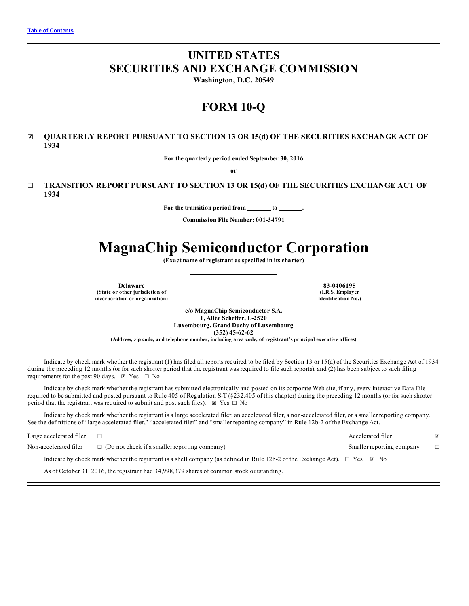# **UNITED STATES SECURITIES AND EXCHANGE COMMISSION**

**Washington, D.C. 20549**

## **FORM 10-Q**

## ☒ **QUARTERLY REPORT PURSUANT TO SECTION 13 OR 15(d) OF THE SECURITIES EXCHANGE ACT OF 1934**

**For the quarterly period ended September 30, 2016**

**or**

☐ **TRANSITION REPORT PURSUANT TO SECTION 13 OR 15(d) OF THE SECURITIES EXCHANGE ACT OF 1934**

**For the transition period from to .**

**Commission File Number: 001-34791**

# **MagnaChip Semiconductor Corporation**

**(Exact name of registrant as specified in its charter)**

**Delaware 83-0406195 (State or other jurisdiction of incorporation or organization)**

**(I.R.S. Employer Identification No.)**

#### **c/o MagnaChip Semiconductor S.A. 1, Allée Scheffer, L-2520 Luxembourg, Grand Duchy of Luxembourg (352) 45-62-62 (Address, zip code, and telephone number, including area code, of registrant's principal executive offices)**

Indicate by check mark whether the registrant (1) has filed all reports required to be filed by Section 13 or 15(d) of the Securities Exchange Act of 1934 during the preceding 12 months (or for such shorter period that the registrant was required to file such reports), and (2) has been subject to such filing requirements for the past 90 days.  $\boxtimes$  Yes  $\Box$  No

Indicate by check mark whether the registrant has submitted electronically and posted on its corporate Web site, if any, every Interactive Data File required to be submitted and posted pursuant to Rule 405 of Regulation S-T (§232.405 of this chapter) during the preceding 12 months (or for such shorter period that the registrant was required to submit and post such files).  $\boxtimes$  Yes  $\Box$  No

Indicate by check mark whether the registrant is a large accelerated filer, an accelerated filer, a non-accelerated filer, or a smaller reporting company. See the definitions of "large accelerated filer," "accelerated filer" and "smaller reporting company" in Rule 12b-2 of the Exchange Act.

| Large accelerated filer |                                                                                                                                            | Accelerated filer         | $\mathbf{x}$ |
|-------------------------|--------------------------------------------------------------------------------------------------------------------------------------------|---------------------------|--------------|
| Non-accelerated filer   | $\Box$ (Do not check if a smaller reporting company)                                                                                       | Smaller reporting company |              |
|                         | Indicate by check mark whether the registrant is a shell company (as defined in Rule 12b-2 of the Exchange Act). $\Box$ Yes $\boxtimes$ No |                           |              |
|                         | As of October 31, 2016, the registrant had 34,998,379 shares of common stock outstanding.                                                  |                           |              |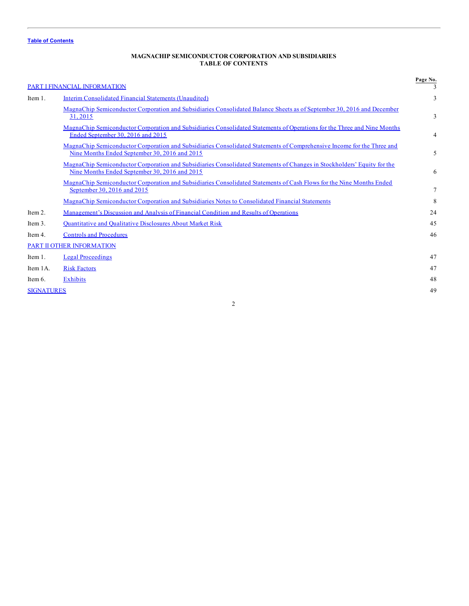## **MAGNACHIP SEMICONDUCTOR CORPORATION AND SUBSIDIARIES TABLE OF CONTENTS**

<span id="page-1-0"></span>

|                   | PART I FINANCIAL INFORMATION                                                                                                                                             | Page No. |
|-------------------|--------------------------------------------------------------------------------------------------------------------------------------------------------------------------|----------|
| Item 1.           | Interim Consolidated Financial Statements (Unaudited)                                                                                                                    | 3        |
|                   | MagnaChip Semiconductor Corporation and Subsidiaries Consolidated Balance Sheets as of September 30, 2016 and December<br>31, 2015                                       | 3        |
|                   | MagnaChip Semiconductor Corporation and Subsidiaries Consolidated Statements of Operations for the Three and Nine Months<br>Ended September 30, 2016 and 2015            | 4        |
|                   | MagnaChip Semiconductor Corporation and Subsidiaries Consolidated Statements of Comprehensive Income for the Three and<br>Nine Months Ended September 30, 2016 and 2015  | 5        |
|                   | MagnaChip Semiconductor Corporation and Subsidiaries Consolidated Statements of Changes in Stockholders' Equity for the<br>Nine Months Ended September 30, 2016 and 2015 | 6        |
|                   | MagnaChip Semiconductor Corporation and Subsidiaries Consolidated Statements of Cash Flows for the Nine Months Ended<br>September 30, 2016 and 2015                      | 7        |
|                   | MagnaChip Semiconductor Corporation and Subsidiaries Notes to Consolidated Financial Statements                                                                          | 8        |
| Item 2.           | Management's Discussion and Analysis of Financial Condition and Results of Operations                                                                                    | 24       |
| Item 3.           | <b>Ouantitative and Qualitative Disclosures About Market Risk</b>                                                                                                        | 45       |
| Item 4.           | <b>Controls and Procedures</b>                                                                                                                                           | 46       |
|                   | PART II OTHER INFORMATION                                                                                                                                                |          |
| Item 1.           | <b>Legal Proceedings</b>                                                                                                                                                 | 47       |
| Item 1A.          | <b>Risk Factors</b>                                                                                                                                                      | 47       |
| Item 6.           | <b>Exhibits</b>                                                                                                                                                          | 48       |
| <b>SIGNATURES</b> |                                                                                                                                                                          | 49       |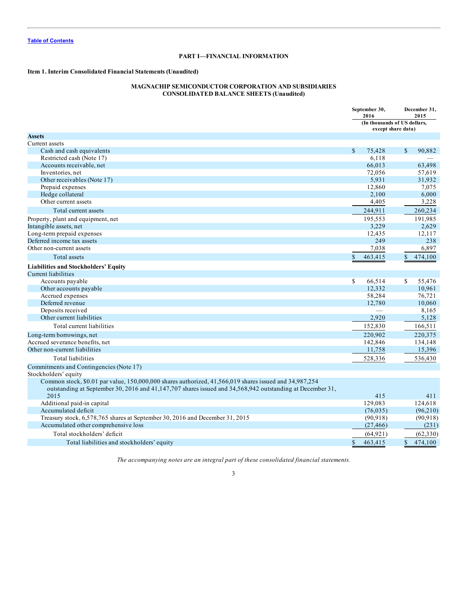## **PART I—FINANCIAL INFORMATION**

## <span id="page-2-0"></span>**Item 1. Interim Consolidated Financial Statements (Unaudited)**

## **MAGNACHIP SEMICONDUCTOR CORPORATION AND SUBSIDIARIES CONSOLIDATED BALANCE SHEETS (Unaudited)**

|                                                                                                                                                                                                                             |               | September 30,<br>2016<br>(In thousands of US dollars, | except share data) | December 31,<br>2015 |
|-----------------------------------------------------------------------------------------------------------------------------------------------------------------------------------------------------------------------------|---------------|-------------------------------------------------------|--------------------|----------------------|
| <b>Assets</b>                                                                                                                                                                                                               |               |                                                       |                    |                      |
| Current assets                                                                                                                                                                                                              |               |                                                       |                    |                      |
| Cash and cash equivalents                                                                                                                                                                                                   | $\mathbf S$   | 75,428                                                | $\mathbf S$        | 90.882               |
| Restricted cash (Note 17)                                                                                                                                                                                                   |               | 6.118                                                 |                    |                      |
| Accounts receivable, net                                                                                                                                                                                                    |               | 66,013                                                |                    | 63,498               |
| Inventories, net                                                                                                                                                                                                            |               | 72,056                                                |                    | 57,619               |
| Other receivables (Note 17)                                                                                                                                                                                                 |               | 5,931                                                 |                    | 31,932               |
| Prepaid expenses                                                                                                                                                                                                            |               | 12,860                                                |                    | 7,075                |
| Hedge collateral                                                                                                                                                                                                            |               | 2,100                                                 |                    | 6,000                |
| Other current assets                                                                                                                                                                                                        |               | 4,405                                                 |                    | 3,228                |
| Total current assets                                                                                                                                                                                                        |               | 244,911                                               |                    | 260,234              |
| Property, plant and equipment, net                                                                                                                                                                                          |               | 195,553                                               |                    | 191,985              |
| Intangible assets, net                                                                                                                                                                                                      |               | 3,229                                                 |                    | 2,629                |
| Long-term prepaid expenses                                                                                                                                                                                                  |               | 12,435                                                |                    | 12,117               |
| Deferred income tax assets                                                                                                                                                                                                  |               | 249                                                   |                    | 238                  |
| Other non-current assets                                                                                                                                                                                                    |               | 7,038                                                 |                    | 6.897                |
| <b>Total assets</b>                                                                                                                                                                                                         | $\mathcal{S}$ | 463,415                                               | $\mathbb{S}$       | 474,100              |
| <b>Liabilities and Stockholders' Equity</b>                                                                                                                                                                                 |               |                                                       |                    |                      |
| Current liabilities                                                                                                                                                                                                         |               |                                                       |                    |                      |
| Accounts payable                                                                                                                                                                                                            | $\mathbb{S}$  | 66,514                                                | <sup>\$</sup>      | 55,476               |
| Other accounts payable                                                                                                                                                                                                      |               | 12,332                                                |                    | 10,961               |
| Accrued expenses                                                                                                                                                                                                            |               | 58,284                                                |                    | 76,721               |
| Deferred revenue                                                                                                                                                                                                            |               | 12,780                                                |                    | 10,060               |
| Deposits received                                                                                                                                                                                                           |               |                                                       |                    | 8,165                |
| Other current liabilities                                                                                                                                                                                                   |               | 2.920                                                 |                    | 5,128                |
| Total current liabilities                                                                                                                                                                                                   |               | 152.830                                               |                    | 166,511              |
| Long-term borrowings, net                                                                                                                                                                                                   |               | 220,902                                               |                    | 220,375              |
| Accrued severance benefits, net                                                                                                                                                                                             |               | 142,846                                               |                    | 134,148              |
| Other non-current liabilities                                                                                                                                                                                               |               | 11,758                                                |                    | 15,396               |
| Total liabilities                                                                                                                                                                                                           |               | 528,336                                               |                    | 536,430              |
| Commitments and Contingencies (Note 17)                                                                                                                                                                                     |               |                                                       |                    |                      |
| Stockholders' equity                                                                                                                                                                                                        |               |                                                       |                    |                      |
| Common stock, \$0.01 par value, 150,000,000 shares authorized, 41,566,019 shares issued and 34,987,254<br>outstanding at September 30, 2016 and 41,147,707 shares issued and 34,568,942 outstanding at December 31,<br>2015 |               | 415                                                   |                    |                      |
| Additional paid-in capital                                                                                                                                                                                                  |               | 129,083                                               |                    | 411<br>124,618       |
| Accumulated deficit                                                                                                                                                                                                         |               | (76, 035)                                             |                    | (96,210)             |
| Treasury stock, 6,578,765 shares at September 30, 2016 and December 31, 2015                                                                                                                                                |               | (90,918)                                              |                    | (90, 918)            |
| Accumulated other comprehensive loss                                                                                                                                                                                        |               | (27, 466)                                             |                    | (231)                |
| Total stockholders' deficit                                                                                                                                                                                                 |               |                                                       |                    |                      |
|                                                                                                                                                                                                                             |               | (64, 921)                                             |                    | (62, 330)            |
| Total liabilities and stockholders' equity                                                                                                                                                                                  | $\mathbf S$   | 463,415                                               | \$.                | 474,100              |

*The accompanying notes are an integral part of these consolidated financial statements.*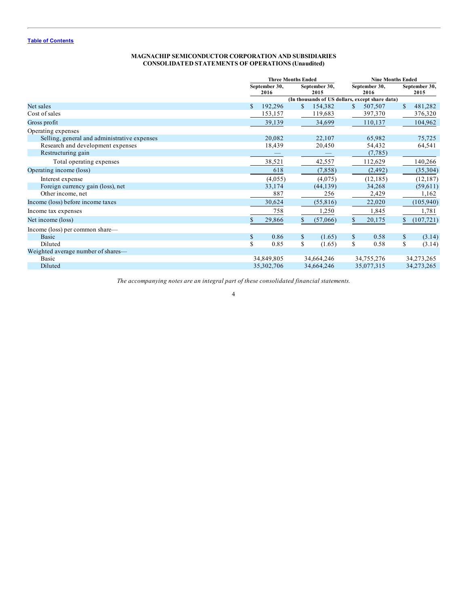## **MAGNACHIP SEMICONDUCTOR CORPORATION AND SUBSIDIARIES CONSOLIDATED STATEMENTS OF OPERATIONS (Unaudited)**

<span id="page-3-0"></span>

|                                              |              | <b>Three Months Ended</b>                       |              |                       | <b>Nine Months Ended</b> |                       |               |                       |
|----------------------------------------------|--------------|-------------------------------------------------|--------------|-----------------------|--------------------------|-----------------------|---------------|-----------------------|
|                                              |              | September 30,<br>2016                           |              | September 30,<br>2015 |                          | September 30,<br>2016 |               | September 30,<br>2015 |
|                                              |              | (In thousands of US dollars, except share data) |              |                       |                          |                       |               |                       |
| Net sales                                    | \$.          | 192,296                                         | $\mathbb{S}$ | 154,382               | S.                       | 507,507               | <sup>\$</sup> | 481,282               |
| Cost of sales                                |              | 153,157                                         |              | 119,683               |                          | 397,370               |               | 376,320               |
| Gross profit                                 |              | 39,139                                          |              | 34,699                |                          | 110,137               |               | 104,962               |
| Operating expenses                           |              |                                                 |              |                       |                          |                       |               |                       |
| Selling, general and administrative expenses |              | 20,082                                          |              | 22,107                |                          | 65,982                |               | 75,725                |
| Research and development expenses            |              | 18,439                                          |              | 20,450                |                          | 54,432                |               | 64,541                |
| Restructuring gain                           |              |                                                 |              |                       |                          | (7, 785)              |               |                       |
| Total operating expenses                     |              | 38,521                                          |              | 42,557                |                          | 112,629               |               | 140,266               |
| Operating income (loss)                      |              | 618                                             |              | (7,858)               |                          | (2, 492)              |               | (35,304)              |
| Interest expense                             |              | (4,055)                                         |              | (4,075)               |                          | (12, 185)             |               | (12, 187)             |
| Foreign currency gain (loss), net            |              | 33,174                                          |              | (44, 139)             |                          | 34,268                |               | (59,611)              |
| Other income, net                            |              | 887                                             |              | 256                   |                          | 2,429                 |               | 1,162                 |
| Income (loss) before income taxes            |              | 30,624                                          |              | (55, 816)             |                          | 22,020                |               | (105, 940)            |
| Income tax expenses                          |              | 758                                             |              | 1,250                 |                          | 1,845                 |               | 1,781                 |
| Net income (loss)                            |              | 29,866                                          | \$           | (57,066)              |                          | 20,175                | \$            | (107, 721)            |
| Income (loss) per common share—              |              |                                                 |              |                       |                          |                       |               |                       |
| <b>Basic</b>                                 | $\mathbb{S}$ | 0.86                                            | \$           | (1.65)                | \$                       | 0.58                  | \$            | (3.14)                |
| Diluted                                      | \$.          | 0.85                                            | \$           | (1.65)                | \$                       | 0.58                  | \$            | (3.14)                |
| Weighted average number of shares—           |              |                                                 |              |                       |                          |                       |               |                       |
| Basic                                        |              | 34,849,805                                      |              | 34,664,246            |                          | 34,755,276            |               | 34,273,265            |
| Diluted                                      |              | 35, 302, 706                                    |              | 34,664,246            |                          | 35,077,315            |               | 34,273,265            |

*The accompanying notes are an integral part of these consolidated financial statements.*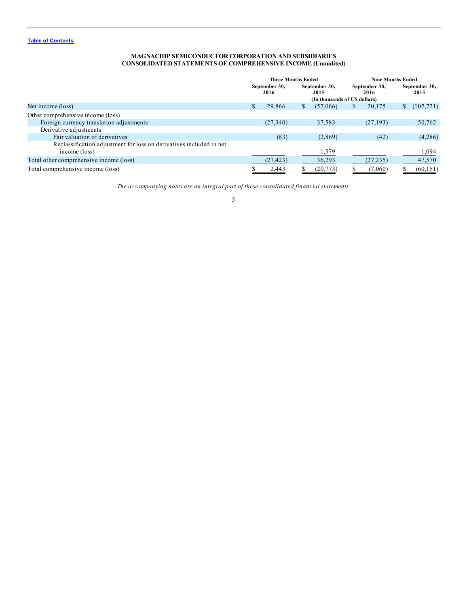## **MAGNACHIP SEMICONDUCTOR CORPORATION AND SUBSIDIARIES CONSOLIDATED STATEMENTS OF COMPREHENSIVE INCOME (Unaudited)**

<span id="page-4-0"></span>

|                                                                     | <b>Three Months Ended</b> |           | <b>Nine Months Ended</b> |                              |                       |           |                       |            |
|---------------------------------------------------------------------|---------------------------|-----------|--------------------------|------------------------------|-----------------------|-----------|-----------------------|------------|
|                                                                     | September 30,<br>2016     |           | September 30,<br>2015    |                              | September 30,<br>2016 |           | September 30,<br>2015 |            |
|                                                                     |                           |           |                          | (In thousands of US dollars) |                       |           |                       |            |
| Net income (loss)                                                   |                           | 29,866    |                          | (57,066)                     |                       | 20,175    | S                     | (107, 721) |
| Other comprehensive income (loss)                                   |                           |           |                          |                              |                       |           |                       |            |
| Foreign currency translation adjustments                            |                           | (27,340)  |                          | 37,583                       |                       | (27, 193) |                       | 50,762     |
| Derivative adjustments                                              |                           |           |                          |                              |                       |           |                       |            |
| Fair valuation of derivatives                                       |                           | (83)      |                          | (2,869)                      |                       | (42)      |                       | (4,286)    |
| Reclassification adjustment for loss on derivatives included in net |                           |           |                          |                              |                       |           |                       |            |
| income (loss)                                                       |                           |           |                          | 1,579                        |                       |           |                       | 1,094      |
| Total other comprehensive income (loss)                             |                           | (27, 423) |                          | 36,293                       |                       | (27, 235) |                       | 47,570     |
| Total comprehensive income (loss)                                   |                           | 2,443     |                          | (20, 773)                    |                       | (7,060)   |                       | (60, 151)  |

*The accompanying notes are an integral part of these consolidated financial statements.*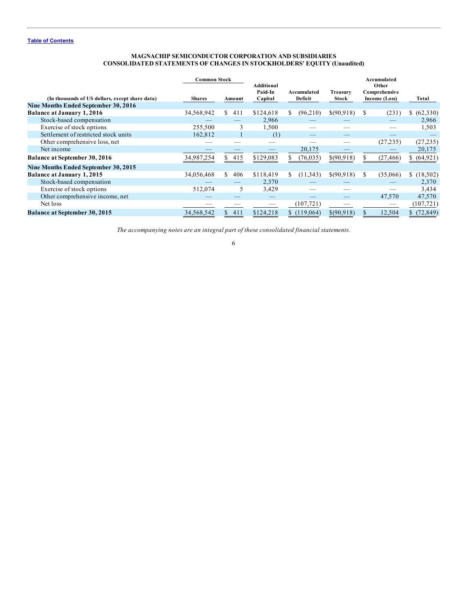## **MAGNACHIP SEMICONDUCTOR CORPORATION AND SUBSIDIARIES CONSOLIDATED STATEMENTS OF CHANGES IN STOCKHOLDERS' EQUITY (Unaudited)**

<span id="page-5-0"></span>

|                                                                                         | <b>Common Stock</b> |            |                                  |                        |                          | Accumulated                             |                |
|-----------------------------------------------------------------------------------------|---------------------|------------|----------------------------------|------------------------|--------------------------|-----------------------------------------|----------------|
| (In thousands of US dollars, except share data)<br>Nine Months Ended September 30, 2016 | <b>Shares</b>       | Amount     | Additional<br>Paid-In<br>Capital | Accumulated<br>Deficit | <b>Treasury</b><br>Stock | Other<br>Comprehensive<br>Income (Loss) | Total          |
| <b>Balance at January 1, 2016</b>                                                       | 34,568,942          | 411<br>S.  | \$124,618                        | (96,210)<br>S.         | \$(90,918)               | (231)<br>S                              | (62,330)<br>S. |
| Stock-based compensation                                                                |                     |            | 2,966                            |                        |                          |                                         | 2,966          |
| Exercise of stock options                                                               | 255,500             | 3          | 1,500                            |                        |                          |                                         | 1,503          |
| Settlement of restricted stock units                                                    | 162,812             |            | (1)                              |                        |                          |                                         |                |
| Other comprehensive loss, net                                                           |                     |            |                                  |                        |                          | (27, 235)                               | (27, 235)      |
| Net income                                                                              |                     |            |                                  | 20,175                 |                          |                                         | 20,175         |
| <b>Balance at September 30, 2016</b>                                                    | 34,987,254          | 415<br>S.  | \$129,083                        | (76, 035)              | \$(90, 918)              | (27, 466)                               | \$ (64,921)    |
| Nine Months Ended September 30, 2015                                                    |                     |            |                                  |                        |                          |                                         |                |
| <b>Balance at January 1, 2015</b>                                                       | 34,056,468          | 406<br>\$. | \$118,419                        | (11, 343)<br>S.        | \$(90,918)               | (35,066)<br>S.                          | (18,502)<br>S. |
| Stock-based compensation                                                                |                     |            | 2,370                            |                        |                          |                                         | 2,370          |
| Exercise of stock options                                                               | 512,074             | 5          | 3,429                            |                        |                          |                                         | 3,434          |
| Other comprehensive income, net                                                         |                     |            |                                  |                        |                          | 47,570                                  | 47,570         |
| Net loss                                                                                |                     |            |                                  | (107, 721)             |                          | $\overline{\phantom{0}}$                | (107, 721)     |
| <b>Balance at September 30, 2015</b>                                                    | 34,568,542          | 411        | \$124,218                        | (119,064)              | \$(90,918)               | 12,504                                  | (72, 849)      |

*The accompanying notes are an integral part of these consolidated financial statements.*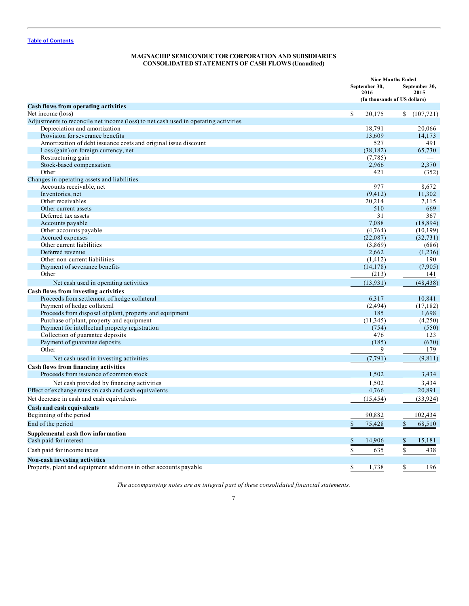## **MAGNACHIP SEMICONDUCTOR CORPORATION AND SUBSIDIARIES CONSOLIDATED STATEMENTS OF CASH FLOWS (Unaudited)**

<span id="page-6-0"></span>

|                                                                                     | <b>Nine Months Ended</b>             |                        |  |
|-------------------------------------------------------------------------------------|--------------------------------------|------------------------|--|
|                                                                                     | September 30,                        | September 30,          |  |
|                                                                                     | 2016<br>(In thousands of US dollars) | 2015                   |  |
| Cash flows from operating activities                                                |                                      |                        |  |
| Net income (loss)                                                                   | $\mathbb{S}$<br>20,175               | \$(107,721)            |  |
| Adjustments to reconcile net income (loss) to net cash used in operating activities |                                      |                        |  |
| Depreciation and amortization                                                       | 18,791                               | 20,066                 |  |
| Provision for severance benefits                                                    | 13,609                               | 14.173                 |  |
| Amortization of debt issuance costs and original issue discount                     | 527                                  | 491                    |  |
| Loss (gain) on foreign currency, net                                                | (38, 182)                            | 65,730                 |  |
| Restructuring gain                                                                  | (7, 785)                             |                        |  |
| Stock-based compensation                                                            | 2,966                                | 2,370                  |  |
| Other                                                                               | 421                                  | (352)                  |  |
| Changes in operating assets and liabilities                                         |                                      |                        |  |
| Accounts receivable, net                                                            | 977                                  | 8,672                  |  |
| Inventories, net                                                                    | (9, 412)                             | 11,302                 |  |
| Other receivables                                                                   | 20,214                               | 7,115                  |  |
| Other current assets                                                                | 510                                  | 669                    |  |
| Deferred tax assets                                                                 | 31                                   | 367                    |  |
| Accounts payable                                                                    | 7,088                                | (18, 894)              |  |
| Other accounts payable                                                              | (4,764)                              | (10, 199)              |  |
| Accrued expenses                                                                    | (22,087)                             | (32, 731)              |  |
| Other current liabilities                                                           | (3,869)                              | (686)                  |  |
| Deferred revenue                                                                    | 2,662                                | (1,236)                |  |
| Other non-current liabilities                                                       | (1, 412)                             | 190                    |  |
| Payment of severance benefits                                                       | (14, 178)                            | (7,905)                |  |
| Other                                                                               | (213)                                | 141                    |  |
| Net cash used in operating activities                                               | (13, 931)                            | (48, 438)              |  |
| Cash flows from investing activities                                                |                                      |                        |  |
| Proceeds from settlement of hedge collateral                                        | 6,317                                | 10,841                 |  |
| Payment of hedge collateral                                                         | (2, 494)                             | (17, 182)              |  |
| Proceeds from disposal of plant, property and equipment                             | 185                                  | 1,698                  |  |
| Purchase of plant, property and equipment                                           | (11,345)                             | (4,250)                |  |
| Payment for intellectual property registration                                      | (754)                                | (550)                  |  |
| Collection of guarantee deposits                                                    | 476                                  | 123                    |  |
| Payment of guarantee deposits                                                       | (185)                                | (670)                  |  |
| Other                                                                               | 9                                    | 179                    |  |
|                                                                                     |                                      |                        |  |
| Net cash used in investing activities                                               | (7, 791)                             | (9, 811)               |  |
| Cash flows from financing activities                                                |                                      |                        |  |
| Proceeds from issuance of common stock                                              | 1,502                                | 3,434                  |  |
| Net cash provided by financing activities                                           | 1,502                                | 3,434                  |  |
| Effect of exchange rates on cash and cash equivalents                               | 4,766                                | 20,891                 |  |
| Net decrease in cash and cash equivalents                                           | (15, 454)                            | (33, 924)              |  |
| Cash and cash equivalents                                                           |                                      |                        |  |
| Beginning of the period                                                             | 90,882                               | 102,434                |  |
| End of the period                                                                   | $\mathbb{S}$<br>75,428               | $\mathbb{S}$<br>68,510 |  |
|                                                                                     |                                      |                        |  |
| Supplemental cash flow information                                                  |                                      |                        |  |
| Cash paid for interest                                                              | \$<br>14,906                         | $\mathbb{S}$<br>15,181 |  |
| Cash paid for income taxes                                                          | \$<br>635                            | \$<br>438              |  |
| Non-cash investing activities                                                       |                                      |                        |  |
| Property, plant and equipment additions in other accounts payable                   | \$<br>1,738                          | \$<br>196              |  |
|                                                                                     |                                      |                        |  |

*The accompanying notes are an integral part of these consolidated financial statements.*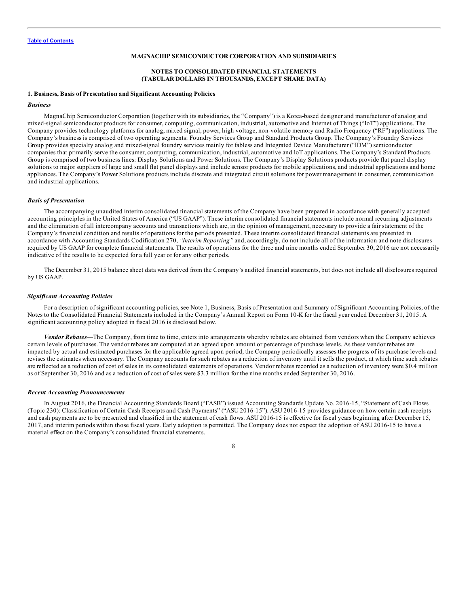#### **MAGNACHIP SEMICONDUCTOR CORPORATION AND SUBSIDIARIES**

## **NOTES TO CONSOLIDATED FINANCIAL STATEMENTS (TABULAR DOLLARS IN THOUSANDS, EXCEPT SHARE DATA)**

#### <span id="page-7-0"></span>**1. Business, Basis of Presentation and Significant Accounting Policies**

#### *Business*

MagnaChip Semiconductor Corporation (together with its subsidiaries, the "Company") is a Korea-based designer and manufacturer of analog and mixed-signal semiconductor products for consumer, computing, communication, industrial, automotive and Internet of Things ("IoT") applications. The Company provides technology platforms for analog, mixed signal, power, high voltage, non-volatile memory and Radio Frequency ("RF") applications. The Company's business is comprised of two operating segments: Foundry Services Group and Standard Products Group. The Company's Foundry Services Group provides specialty analog and mixed-signal foundry services mainly for fabless and Integrated Device Manufacturer ("IDM") semiconductor companies that primarily serve the consumer, computing, communication, industrial, automotive and IoT applications. The Company's Standard Products Group is comprised of two business lines: Display Solutions and Power Solutions. The Company's Display Solutions products provide flat panel display solutions to major suppliers of large and small flat panel displays and include sensor products for mobile applications, and industrial applications and home appliances. The Company's Power Solutions products include discrete and integrated circuit solutions for power management in consumer, communication and industrial applications.

#### *Basis of Presentation*

The accompanying unaudited interim consolidated financial statements of the Company have been prepared in accordance with generally accepted accounting principles in the United States of America ("US GAAP"). These interim consolidated financial statements include normal recurring adjustments and the elimination of all intercompany accounts and transactions which are, in the opinion of management, necessary to provide a fair statement of the Company's financial condition and results of operations for the periods presented. These interim consolidated financial statements are presented in accordance with Accounting Standards Codification 270, *"Interim Reporting"* and, accordingly, do not include all of the information and note disclosures required by US GAAP for complete financial statements. The results of operations for the three and nine months ended September 30, 2016 are not necessarily indicative of the results to be expected for a full year or for any other periods.

The December 31, 2015 balance sheet data was derived from the Company's audited financial statements, but does not include all disclosures required by US GAAP.

#### *Significant Accounting Policies*

For a description of significant accounting policies, see Note 1, Business, Basis of Presentation and Summary of Significant Accounting Policies, of the Notes to the Consolidated Financial Statements included in the Company's Annual Report on Form 10-K for the fiscal year ended December 31, 2015. A significant accounting policy adopted in fiscal 2016 is disclosed below.

*Vendor Rebates*—The Company, from time to time, enters into arrangements whereby rebates are obtained from vendors when the Company achieves certain levels of purchases. The vendor rebates are computed at an agreed upon amount or percentage of purchase levels. As these vendor rebates are impacted by actual and estimated purchases for the applicable agreed upon period, the Company periodically assesses the progress of its purchase levels and revises the estimates when necessary. The Company accounts for such rebates as a reduction of inventory until it sells the product, at which time such rebates are reflected as a reduction of cost of sales in its consolidated statements of operations. Vendor rebates recorded as a reduction of inventory were \$0.4 million as of September 30, 2016 and as a reduction of cost of sales were \$3.3 million for the nine months ended September 30, 2016.

#### *Recent Accounting Pronouncements*

In August 2016, the Financial Accounting Standards Board ("FASB") issued Accounting Standards Update No. 2016-15, "Statement of Cash Flows (Topic 230): Classification of Certain Cash Receipts and Cash Payments" ("ASU 2016-15"). ASU 2016-15 provides guidance on how certain cash receipts and cash payments are to be presented and classified in the statement of cash flows. ASU 2016-15 is effective for fiscal years beginning after December 15, 2017, and interim periods within those fiscal years. Early adoption is permitted. The Company does not expect the adoption of ASU 2016-15 to have a material effect on the Company's consolidated financial statements.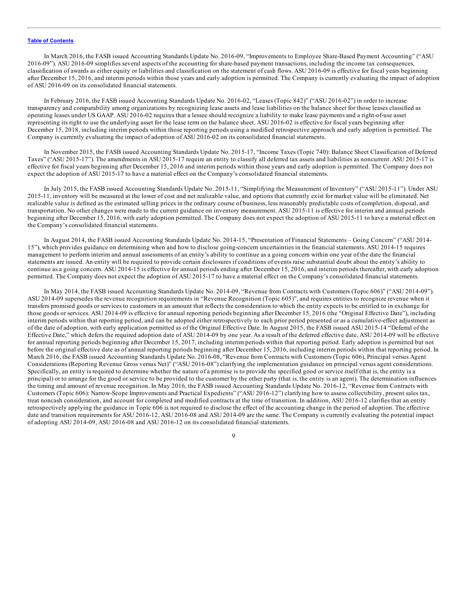In March 2016, the FASB issued Accounting Standards Update No. 2016-09, "Improvements to Employee Share-Based Payment Accounting" ("ASU 2016-09"). ASU 2016-09 simplifies several aspects of the accounting for share-based payment transactions, including the income tax consequences, classification of awards as either equity or liabilities and classification on the statement of cash flows. ASU 2016-09 is effective for fiscal years beginning after December 15, 2016, and interim periods within those years and early adoption is permitted. The Company is currently evaluating the impact of adoption of ASU 2016-09 on its consolidated financial statements.

In February 2016, the FASB issued Accounting Standards Update No. 2016-02, "Leases (Topic 842)" ("ASU 2016-02") in order to increase transparency and comparability among organizations by recognizing lease assets and lease liabilities on the balance sheet for those leases classified as operating leases under US GAAP. ASU 2016-02 requires that a lessee should recognize a liability to make lease payments and a right-of-use asset representing its right to use the underlying asset for the lease term on the balance sheet. ASU 2016-02 is effective for fiscal years beginning after December 15, 2018, including interim periods within those reporting periods using a modified retrospective approach and early adoption is permitted. The Company is currently evaluating the impact of adoption of ASU 2016-02 on its consolidated financial statements.

In November 2015, the FASB issued Accounting Standards Update No. 2015-17, "Income Taxes (Topic 740): Balance Sheet Classification of Deferred Taxes" ("ASU 2015-17"). The amendments in ASU 2015-17 require an entity to classify all deferred tax assets and liabilities as noncurrent. ASU 2015-17 is effective for fiscal years beginning after December 15, 2016 and interim periods within those years and early adoption is permitted. The Company does not expect the adoption of ASU 2015-17 to have a material effect on the Company's consolidated financial statements.

In July 2015, the FASB issued Accounting Standards Update No. 2015-11, "Simplifying the Measurement of Inventory" ("ASU 2015-11"). Under ASU 2015-11, inventory will be measured at the lower of cost and net realizable value, and options that currently exist for market value will be eliminated. Net realizable value is defined as the estimated selling prices in the ordinary course of business, less reasonably predictable costs of completion, disposal, and transportation. No other changes were made to the current guidance on inventory measurement. ASU 2015-11 is effective for interim and annual periods beginning after December 15, 2016, with early adoption permitted. The Company does not expect the adoption of ASU 2015-11 to have a material effect on the Company's consolidated financial statements.

In August 2014, the FASB issued Accounting Standards Update No. 2014-15, "Presentation of Financial Statements – Going Concern" ("ASU 2014- 15"), which provides guidance on determining when and how to disclose going-concern uncertainties in the financial statements. ASU 2014-15 requires management to perform interim and annual assessments of an entity's ability to continue as a going concern within one year of the date the financial statements are issued. An entity will be required to provide certain disclosures if conditions of events raise substantial doubt about the entity's ability to continue as a going concern. ASU 2014-15 is effective for annual periods ending after December 15, 2016, and interim periods thereafter, with early adoption permitted. The Company does not expect the adoption of ASU 2015-17 to have a material effect on the Company's consolidated financial statements.

In May 2014, the FASB issued Accounting Standards Update No. 2014-09, "Revenue from Contracts with Customers (Topic 606)" ("ASU 2014-09"). ASU 2014-09 supersedes the revenue recognition requirements in "Revenue Recognition (Topic 605)", and requires entities to recognize revenue when it transfers promised goods or services to customers in an amount that reflects the consideration to which the entity expects to be entitled to in exchange for those goods or services. ASU 2014-09 is effective for annual reporting periods beginning after December 15, 2016 (the "Original Effective Date"), including interim periods within that reporting period, and can be adopted either retrospectively to each prior period presented or as a cumulative-effect adjustment as of the date of adoption, with early application permitted as of the Original Effective Date. In August 2015, the FASB issued ASU 2015-14 "Deferral of the Effective Date," which defers the required adoption date of ASU 2014-09 by one year. As a result of the deferred effective date, ASU 2014-09 will be effective for annual reporting periods beginning after December 15, 2017, including interim periods within that reporting period. Early adoption is permitted but not before the original effective date as of annual reporting periods beginning after December 15, 2016, including interim periods within that reporting period. In March 2016, the FASB issued Accounting Standards Update No. 2016-08, "Revenue from Contracts with Customers (Topic 606), Principal versus Agent Considerations (Reporting Revenue Gross versus Net)" ("ASU 2016-08") clarifying the implementation guidance on principal versus agent considerations. Specifically, an entity is required to determine whether the nature of a promise is to provide the specified good or service itself (that is, the entity is a principal) or to arrange for the good or service to be provided to the customer by the other party (that is, the entity is an agent). The determination influences the timing and amount of revenue recognition. In May 2016, the FASB issued Accounting Standards Update No. 2016-12, "Revenue from Contracts with Customers (Topic 606): Narrow-Scope Improvements and Practical Expedients" ("ASU 2016-12") clarifying how to assess collectibility, present sales tax, treat noncash consideration, and account for completed and modified contracts at the time of transition. In addition, ASU 2016-12 clarifies that an entity retrospectively applying the guidance in Topic 606 is not required to disclose the effect of the accounting change in the period of adoption. The effective date and transition requirements for ASU 2016-12, ASU 2016-08 and ASU 2014-09 are the same. The Company is currently evaluating the potential impact of adopting ASU 2014-09, ASU 2016-08 and ASU 2016-12 on its consolidated financial statements.

 $\mathbf Q$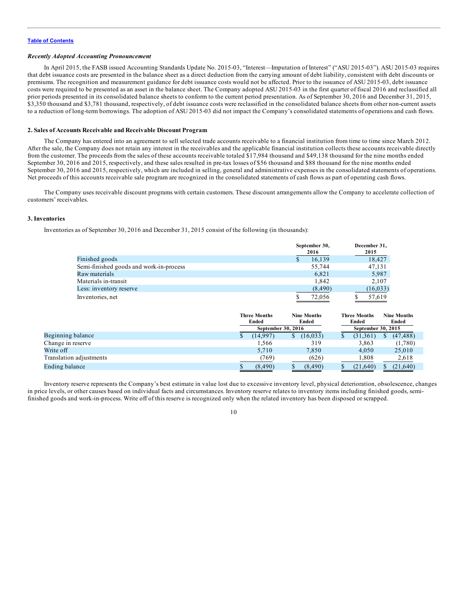#### *Recently Adopted Accounting Pronouncement*

In April 2015, the FASB issued Accounting Standards Update No. 2015-03, "Interest—Imputation of Interest" ("ASU 2015-03"). ASU 2015-03 requires that debt issuance costs are presented in the balance sheet as a direct deduction from the carrying amount of debt liability, consistent with debt discounts or premiums. The recognition and measurement guidance for debt issuance costs would not be affected. Prior to the issuance of ASU 2015-03, debt issuance costs were required to be presented as an asset in the balance sheet. The Company adopted ASU 2015-03 in the first quarter of fiscal 2016 and reclassified all prior periods presented in its consolidated balance sheets to conform to the current period presentation. As of September 30, 2016 and December 31, 2015, \$3,350 thousand and \$3,781 thousand, respectively, of debt issuance costs were reclassified in the consolidated balance sheets from other non-current assets to a reduction of long-term borrowings. The adoption of ASU 2015-03 did not impact the Company's consolidated statements of operations and cash flows.

#### **2. Sales of Accounts Receivable and Receivable Discount Program**

The Company has entered into an agreement to sell selected trade accounts receivable to a financial institution from time to time since March 2012. After the sale, the Company does not retain any interest in the receivables and the applicable financial institution collects these accounts receivable directly from the customer. The proceeds from the sales of these accounts receivable totaled \$17,984 thousand and \$49,138 thousand for the nine months ended September 30, 2016 and 2015, respectively, and these sales resulted in pre-tax losses of \$56 thousand and \$88 thousand for the nine months ended September 30, 2016 and 2015, respectively, which are included in selling, general and administrative expenses in the consolidated statements of operations. Net proceeds of this accounts receivable sale program are recognized in the consolidated statements of cash flows as part of operating cash flows.

The Company uses receivable discount programs with certain customers. These discount arrangements allow the Company to accelerate collection of customers' receivables.

#### **3. Inventories**

Inventories as of September 30, 2016 and December 31, 2015 consist of the following (in thousands):

|                                         |                              | September 30,<br>2016       | December 31,<br>2015                                        |           |
|-----------------------------------------|------------------------------|-----------------------------|-------------------------------------------------------------|-----------|
| Finished goods                          |                              | 16.139                      | 18,427                                                      |           |
| Semi-finished goods and work-in-process |                              | 55,744                      | 47,131                                                      |           |
| Raw materials                           |                              | 6,821                       | 5,987                                                       |           |
| Materials in-transit                    |                              | 1.842                       | 2,107                                                       |           |
| Less: inventory reserve                 |                              | (8,490)                     | (16, 033)                                                   |           |
| Inventories, net                        |                              | 72,056                      | 57,619                                                      |           |
|                                         | <b>Three Months</b><br>Ended | <b>Nine Months</b><br>Ended | <b>Three Months</b><br><b>Nine Months</b><br>Ended<br>Ended |           |
|                                         | September 30, 2016           |                             | September 30, 2015                                          |           |
| Beginning balance                       | $\mathbb{S}$<br>(14.997)     | (16, 033)<br>\$             | \$<br>(31,361)<br>\$                                        | (47, 488) |
| Change in reserve                       | 1,566                        | 319                         | 3,863                                                       | (1,780)   |
| Write off                               | 5,710                        | 7.850                       | 4.050                                                       | 25,010    |
| Translation adjustments                 | (769)                        | (626)                       | 1.808                                                       | 2.618     |

Inventory reserve represents the Company's best estimate in value lost due to excessive inventory level, physical deterioration, obsolescence, changes in price levels, or other causes based on individual facts and circumstances. Inventory reserve relates to inventory items including finished goods, semifinished goods and work-in-process. Write off of this reserve is recognized only when the related inventory has been disposed or scrapped.

Ending balance  $\begin{array}{cccc} \text{5} & (8,490) & \text{5} & (8,490) & \text{5} & (21,640) & \text{5} & (21,640) \end{array}$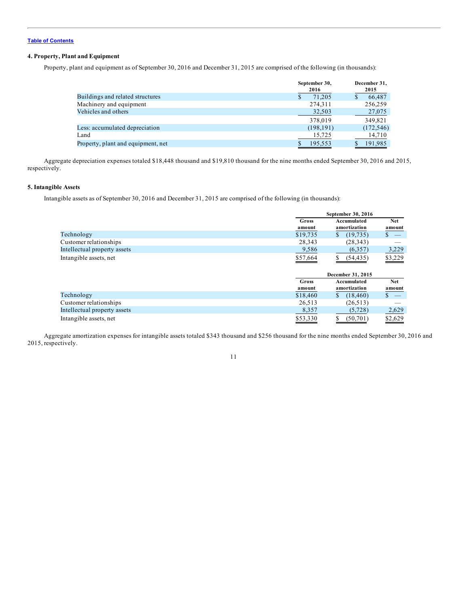## **4. Property, Plant and Equipment**

Property, plant and equipment as of September 30, 2016 and December 31, 2015 are comprised of the following (in thousands):

| 2015       |
|------------|
| 66,487     |
| 256,259    |
| 27,075     |
| 349.821    |
| (172, 546) |
| 14,710     |
| 191,985    |
|            |

Aggregate depreciation expenses totaled \$18,448 thousand and \$19,810 thousand for the nine months ended September 30, 2016 and 2015, respectively.

#### **5. Intangible Assets**

Intangible assets as of September 30, 2016 and December 31, 2015 are comprised of the following (in thousands):

|                              |                 | September 30, 2016          |                      |  |  |
|------------------------------|-----------------|-----------------------------|----------------------|--|--|
|                              | Gross<br>amount | Accumulated<br>amortization | <b>Net</b><br>amount |  |  |
| Technology                   | \$19,735        | (19, 735)<br>S.             |                      |  |  |
| Customer relationships       | 28,343          | (28, 343)                   |                      |  |  |
| Intellectual property assets | 9,586           | (6,357)                     | 3,229                |  |  |
| Intangible assets, net       | \$57,664        | (54, 435)                   | \$3,229              |  |  |
|                              |                 | December 31, 2015           |                      |  |  |
|                              | Gross<br>amount | Accumulated<br>amortization | <b>Net</b><br>amount |  |  |
| Technology                   | \$18,460        | (18, 460)<br>S.             |                      |  |  |
| Customer relationships       | 26,513          | (26, 513)                   |                      |  |  |
| Intellectual property assets | 8,357           | (5,728)                     | 2,629                |  |  |
| Intangible assets, net       | \$53,330        | (50,701)<br>S               | \$2,629              |  |  |

Aggregate amortization expenses for intangible assets totaled \$343 thousand and \$256 thousand for the nine months ended September 30, 2016 and 2015, respectively.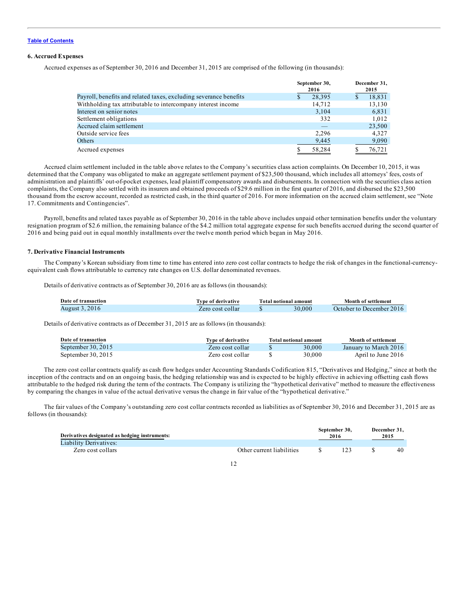#### **6. Accrued Expenses**

Accrued expenses as of September 30, 2016 and December 31, 2015 are comprised of the following (in thousands):

|                                                                   | September 30,<br>2016 | December 31,<br>2015 |
|-------------------------------------------------------------------|-----------------------|----------------------|
| Payroll, benefits and related taxes, excluding severance benefits | 28.395                | 18,831               |
| Withholding tax attributable to intercompany interest income      | 14,712                | 13,130               |
| Interest on senior notes                                          | 3.104                 | 6,831                |
| Settlement obligations                                            |                       | 1.012<br>332         |
| Accrued claim settlement                                          |                       | 23,500               |
| Outside service fees                                              | 2.296                 | 4.327                |
| Others                                                            | 9,445                 | 9,090                |
| Accrued expenses                                                  | 58,284                | 76.721               |

Accrued claim settlement included in the table above relates to the Company's securities class action complaints. On December 10, 2015, it was determined that the Company was obligated to make an aggregate settlement payment of \$23,500 thousand, which includes all attorneys' fees, costs of administration and plaintiffs' out-of-pocket expenses, lead plaintiff compensatory awards and disbursements. In connection with the securities class action complaints, the Company also settled with its insurers and obtained proceeds of \$29.6 million in the first quarter of 2016, and disbursed the \$23,500 thousand from the escrow account, recorded as restricted cash, in the third quarter of 2016. For more information on the accrued claim settlement, see "Note 17. Commitments and Contingencies".

Payroll, benefits and related taxes payable as of September 30, 2016 in the table above includes unpaid other termination benefits under the voluntary resignation program of \$2.6 million, the remaining balance of the \$4.2 million total aggregate expense for such benefits accrued during the second quarter of 2016 and being paid out in equal monthly installments over the twelve month period which began in May 2016.

#### **7. Derivative Financial Instruments**

The Company's Korean subsidiary from time to time has entered into zero cost collar contracts to hedge the risk of changes in the functional-currencyequivalent cash flows attributable to currency rate changes on U.S. dollar denominated revenues.

Details of derivative contracts as of September 30, 2016 are as follows (in thousands):

| Date of transaction | Tvpe of derivative | Total notional amount |        | Month of settlement      |
|---------------------|--------------------|-----------------------|--------|--------------------------|
| August 3, 2016      | Zero cost collar   |                       | 30.000 | October to December 2016 |

Details of derivative contracts as of December 31, 2015 are as follows (in thousands):

| Date of transaction  | Type of derivative | Total notional amount | Month of settlement   |
|----------------------|--------------------|-----------------------|-----------------------|
| September 30, 2015   | Zero cost collar   | 30,000                | January to March 2016 |
| September 30, $2015$ | Zero cost collar   | 30.000                | April to June 2016    |

The zero cost collar contracts qualify as cash flow hedges under Accounting Standards Codification 815, "Derivatives and Hedging," since at both the inception of the contracts and on an ongoing basis, the hedging relationship was and is expected to be highly effective in achieving offsetting cash flows attributable to the hedged risk during the term of the contracts. The Company is utilizing the "hypothetical derivative" method to measure the effectiveness by comparing the changes in value of the actual derivative versus the change in fair value of the "hypothetical derivative."

The fair values of the Company's outstanding zero cost collar contracts recorded as liabilities as of September 30, 2016 and December 31, 2015 are as follows (in thousands):

| Derivatives designated as hedging instruments: |                           | September 30,<br>2016 | December 31.<br>2015 |
|------------------------------------------------|---------------------------|-----------------------|----------------------|
| Liability Derivatives:                         |                           |                       |                      |
| Zero cost collars                              | Other current liabilities |                       | 40                   |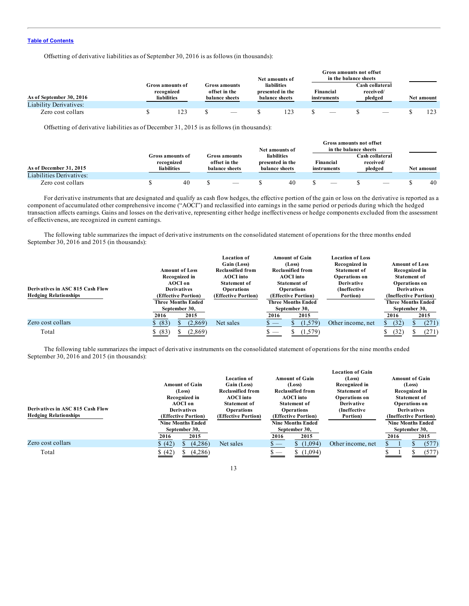Offsetting of derivative liabilities as of September 30, 2016 is as follows (in thousands):

|                          |                                                      |                                                  | Net amounts of                                    | Gross amounts not offset | in the balance sheets |                                         |            |
|--------------------------|------------------------------------------------------|--------------------------------------------------|---------------------------------------------------|--------------------------|-----------------------|-----------------------------------------|------------|
| As of September 30, 2016 | Gross amounts of<br>recognized<br><b>liabilities</b> | Gross amounts<br>offset in the<br>balance sheets | liabilities<br>presented in the<br>balance sheets | Financial<br>instruments |                       | Cash collateral<br>received/<br>pledged | Net amount |
| Liability Derivatives:   |                                                      |                                                  |                                                   |                          |                       |                                         |            |
| Zero cost collars        | 123                                                  | $\hspace{0.05cm}$                                | 123                                               | $\hspace{0.05cm}$        |                       |                                         | 123        |

Offsetting of derivative liabilities as of December 31, 2015 is as follows (in thousands):

|                          |                                               |    |                                                  | Net amounts of                                    |                          | Gross amounts not offset<br>in the balance sheets |                                         |            |
|--------------------------|-----------------------------------------------|----|--------------------------------------------------|---------------------------------------------------|--------------------------|---------------------------------------------------|-----------------------------------------|------------|
| As of December 31, 2015  | Gross amounts of<br>recognized<br>liabilities |    | Gross amounts<br>offset in the<br>balance sheets | liabilities<br>presented in the<br>balance sheets | Financial<br>instruments |                                                   | Cash collateral<br>received/<br>pledged | Net amount |
| Liabilities Derivatives: |                                               |    |                                                  |                                                   |                          |                                                   |                                         |            |
| Zero cost collars        |                                               | 40 | $\hspace{0.1mm}-\hspace{0.1mm}$                  | 40                                                | $\hspace{0.05cm}$        |                                                   |                                         | 40         |

For derivative instruments that are designated and qualify as cash flow hedges, the effective portion of the gain or loss on the derivative is reported as a component of accumulated other comprehensive income ("AOCI") and reclassified into earnings in the same period or periods during which the hedged transaction affects earnings. Gains and losses on the derivative, representing either hedge ineffectiveness or hedge components excluded from the assessment of effectiveness, are recognized in current earnings.

The following table summarizes the impact of derivative instruments on the consolidated statement of operations for the three months ended September 30, 2016 and 2015 (in thousands):

|                                  |         |                           | Location of<br>Gain (Loss)       |              | <b>Amount of Gain</b><br>(Loss)  | <b>Location of Loss</b><br>Recognized in  |                      | <b>Amount of Loss</b>                |
|----------------------------------|---------|---------------------------|----------------------------------|--------------|----------------------------------|-------------------------------------------|----------------------|--------------------------------------|
|                                  |         | <b>Amount of Loss</b>     | <b>Reclassified from</b>         |              | <b>Reclassified from</b>         | <b>Statement of</b>                       |                      | Recognized in                        |
|                                  |         | Recognized in<br>AOCI on  | AOCI into<br><b>Statement of</b> |              | AOCI into<br><b>Statement of</b> | <b>Operations on</b><br><b>Derivative</b> |                      | <b>Statement of</b><br>Operations on |
| Derivatives in ASC 815 Cash Flow |         | <b>Derivatives</b>        | <b>Operations</b>                |              | <b>Operations</b>                | (Ineffective                              |                      | <b>Derivatives</b>                   |
| <b>Hedging Relationships</b>     |         | (Effective Portion)       | (Effective Portion)              |              | (Effective Portion)              | Portion)                                  |                      | (Ineffective Portion)                |
|                                  |         | <b>Three Months Ended</b> |                                  |              | <b>Three Months Ended</b>        |                                           |                      | <b>Three Months Ended</b>            |
|                                  |         | September 30,             |                                  |              | September 30,                    |                                           |                      | September 30,                        |
|                                  | 2016    | 2015                      |                                  | 2016         | 2015                             |                                           | 2016                 | 2015                                 |
| Zero cost collars                | \$ (83) | (2,869)                   | Net sales                        | $\sqrt{s}$ — | (1, 579)                         | Other income, net                         | (32)<br>$\mathbb{S}$ | (271)                                |
| Total                            | \$ (83) | (2,869)                   |                                  | $\sqrt{s}$ — | (1,579)                          |                                           | (32)<br>J.           | (271)                                |

The following table summarizes the impact of derivative instruments on the consolidated statement of operations for the nine months ended September 30, 2016 and 2015 (in thousands):

|                                                                  |         | <b>Amount of Gain</b><br>(Loss)<br>Recognized in<br>AOCI on | Location of<br>Gain (Loss)<br><b>Reclassified from</b><br><b>AOCI</b> into<br><b>Statement of</b> |                 | <b>Amount of Gain</b><br>(Loss)<br>Reclassified from<br><b>AOCI</b> into<br><b>Statement of</b> | <b>Location of Gain</b><br>(Loss)<br>Recognized in<br><b>Statement of</b><br>Operations on<br><b>Derivative</b> |      | <b>Amount of Gain</b><br>(Loss)<br>Recognized in<br><b>Statement of</b><br>Operations on |
|------------------------------------------------------------------|---------|-------------------------------------------------------------|---------------------------------------------------------------------------------------------------|-----------------|-------------------------------------------------------------------------------------------------|-----------------------------------------------------------------------------------------------------------------|------|------------------------------------------------------------------------------------------|
| Derivatives in ASC 815 Cash Flow<br><b>Hedging Relationships</b> |         | <b>Derivatives</b><br>(Effective Portion)                   | <b>Operations</b><br>(Effective Portion)                                                          |                 | <b>Operations</b><br>(Effective Portion)                                                        | <i>(Ineffective)</i><br>Portion)                                                                                |      | <b>Derivatives</b><br>(Ineffective Portion)                                              |
|                                                                  | 2016    | <b>Nine Months Ended</b><br>September 30,<br>2015           |                                                                                                   | 2016            | <b>Nine Months Ended</b><br>September 30,<br>2015                                               |                                                                                                                 | 2016 | <b>Nine Months Ended</b><br>September 30,<br>2015                                        |
| Zero cost collars                                                | \$ (42) | (4,286)                                                     | Net sales                                                                                         | $\mathcal{S}$ — | \$(1,094)                                                                                       | Other income, net                                                                                               |      | (577)                                                                                    |
| Total                                                            | \$(42)  | (4,286)                                                     |                                                                                                   |                 | \$(1,094)                                                                                       |                                                                                                                 |      | (577)                                                                                    |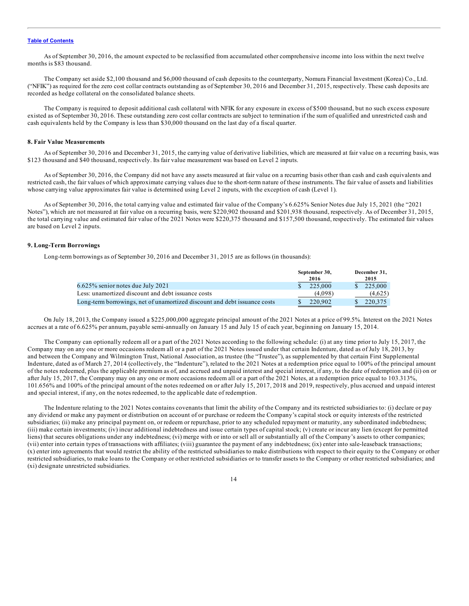As of September 30, 2016, the amount expected to be reclassified from accumulated other comprehensive income into loss within the next twelve months is \$83 thousand.

The Company set aside \$2,100 thousand and \$6,000 thousand of cash deposits to the counterparty, Nomura Financial Investment (Korea) Co., Ltd. ("NFIK") as required for the zero cost collar contracts outstanding as of September 30, 2016 and December 31, 2015, respectively. These cash deposits are recorded as hedge collateral on the consolidated balance sheets.

The Company is required to deposit additional cash collateral with NFIK for any exposure in excess of \$500 thousand, but no such excess exposure existed as of September 30, 2016. These outstanding zero cost collar contracts are subject to termination if the sum of qualified and unrestricted cash and cash equivalents held by the Company is less than \$30,000 thousand on the last day of a fiscal quarter.

#### **8. Fair Value Measurements**

As of September 30, 2016 and December 31, 2015, the carrying value of derivative liabilities, which are measured at fair value on a recurring basis, was \$123 thousand and \$40 thousand, respectively. Its fair value measurement was based on Level 2 inputs.

As of September 30, 2016, the Company did not have any assets measured at fair value on a recurring basis other than cash and cash equivalents and restricted cash, the fair values of which approximate carrying values due to the short-term nature of these instruments. The fair value of assets and liabilities whose carrying value approximates fair value is determined using Level 2 inputs, with the exception of cash (Level 1).

As of September 30, 2016, the total carrying value and estimated fair value of the Company's 6.625% Senior Notes due July 15, 2021 (the "2021 Notes"), which are not measured at fair value on a recurring basis, were \$220,902 thousand and \$201,938 thousand, respectively. As of December 31, 2015, the total carrying value and estimated fair value of the 2021 Notes were \$220,375 thousand and \$157,500 thousand, respectively. The estimated fair values are based on Level 2 inputs.

#### **9. Long-Term Borrowings**

Long-term borrowings as of September 30, 2016 and December 31, 2015 are as follows (in thousands):

|                                                                           | September 30.<br>2016 | December 31.<br>2015 |
|---------------------------------------------------------------------------|-----------------------|----------------------|
| $6.625\%$ senior notes due July 2021                                      | 225,000               | \$225.000            |
| Less: unamortized discount and debt issuance costs                        | (4.098)               | (4,625)              |
| Long-term borrowings, net of unamortized discount and debt issuance costs | 220.902               | 220.375              |

On July 18, 2013, the Company issued a \$225,000,000 aggregate principal amount of the 2021 Notes at a price of 99.5%. Interest on the 2021 Notes accrues at a rate of 6.625% per annum, payable semi-annually on January 15 and July 15 of each year, beginning on January 15, 2014.

The Company can optionally redeem all or a part of the 2021 Notes according to the following schedule: (i) at any time prior to July 15, 2017, the Company may on any one or more occasions redeem all or a part of the 2021 Notes issued under that certain Indenture, dated as of July 18, 2013, by and between the Company and Wilmington Trust, National Association, as trustee (the "Trustee"), as supplemented by that certain First Supplemental Indenture, dated as of March 27, 2014 (collectively, the "Indenture"), related to the 2021 Notes at a redemption price equal to 100% of the principal amount of the notes redeemed, plus the applicable premium as of, and accrued and unpaid interest and special interest, if any, to the date of redemption and (ii) on or after July 15, 2017, the Company may on any one or more occasions redeem all or a part of the 2021 Notes, at a redemption price equal to 103.313%, 101.656% and 100% of the principal amount of the notes redeemed on or after July 15, 2017, 2018 and 2019, respectively, plus accrued and unpaid interest and special interest, if any, on the notes redeemed, to the applicable date of redemption.

The Indenture relating to the 2021 Notes contains covenants that limit the ability of the Company and its restricted subsidiaries to: (i) declare or pay any dividend or make any payment or distribution on account of or purchase or redeem the Company's capital stock or equity interests of the restricted subsidiaries; (ii) make any principal payment on, or redeem or repurchase, prior to any scheduled repayment or maturity, any subordinated indebtedness; (iii) make certain investments; (iv) incur additional indebtedness and issue certain types of capital stock; (v) create or incur any lien (except for permitted liens) that secures obligations under any indebtedness; (vi) merge with or into or sell all or substantially all of the Company's assets to other companies; (vii) enter into certain types of transactions with affiliates; (viii) guarantee the payment of any indebtedness; (ix) enter into sale-leaseback transactions; (x) enter into agreements that would restrict the ability of the restricted subsidiaries to make distributions with respect to their equity to the Company or other restricted subsidiaries, to make loans to the Company or other restricted subsidiaries or to transfer assets to the Company or other restricted subsidiaries; and (xi) designate unrestricted subsidiaries.

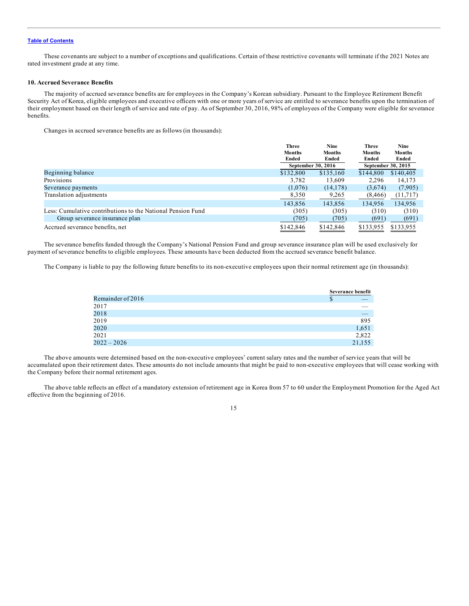These covenants are subject to a number of exceptions and qualifications. Certain of these restrictive covenants will terminate if the 2021 Notes are rated investment grade at any time.

#### **10. Accrued Severance Benefits**

The majority of accrued severance benefits are for employees in the Company's Korean subsidiary. Pursuant to the Employee Retirement Benefit Security Act of Korea, eligible employees and executive officers with one or more years of service are entitled to severance benefits upon the termination of their employment based on their length of service and rate of pay. As of September 30, 2016, 98% of employees of the Company were eligible for severance benefits.

Changes in accrued severance benefits are as follows (in thousands):

|                                                             | <b>Three</b><br><b>Months</b><br>Ended | Nine<br><b>Months</b><br>Ended | <b>Three</b><br><b>Months</b><br>Ended | <b>Nine</b><br><b>Months</b><br>Ended |
|-------------------------------------------------------------|----------------------------------------|--------------------------------|----------------------------------------|---------------------------------------|
|                                                             | September 30, 2016                     |                                | September 30, 2015                     |                                       |
| Beginning balance                                           | \$132,800                              | \$135,160                      | \$144,800                              | \$140,405                             |
| Provisions                                                  | 3,782                                  | 13,609                         | 2.296                                  | 14,173                                |
| Severance payments                                          | (1,076)                                | (14, 178)                      | (3,674)                                | (7,905)                               |
| Translation adjustments                                     | 8,350                                  | 9,265                          | (8, 466)                               | (11,717)                              |
|                                                             | 143,856                                | 143,856                        | 134.956                                | 134,956                               |
| Less: Cumulative contributions to the National Pension Fund | (305)                                  | (305)                          | (310)                                  | (310)                                 |
| Group severance insurance plan                              | (705)                                  | (705)                          | (691)                                  | (691)                                 |
| Accrued severance benefits, net                             | \$142,846                              | \$142,846                      | \$133,955                              | \$133,955                             |

The severance benefits funded through the Company's National Pension Fund and group severance insurance plan will be used exclusively for payment of severance benefits to eligible employees. These amounts have been deducted from the accrued severance benefit balance.

The Company is liable to pay the following future benefits to its non-executive employees upon their normal retirement age (in thousands):

|                   | Severance benefit |        |
|-------------------|-------------------|--------|
| Remainder of 2016 | S                 |        |
| 2017              |                   |        |
| 2018              |                   |        |
| 2019              |                   | 895    |
| 2020              |                   | 1,651  |
| 2021              |                   | 2,822  |
| $2022 - 2026$     |                   | 21,155 |

The above amounts were determined based on the non-executive employees' current salary rates and the number of service years that will be accumulated upon their retirement dates. These amounts do not include amounts that might be paid to non-executive employees that will cease working with the Company before their normal retirement ages.

The above table reflects an effect of a mandatory extension of retirement age in Korea from 57 to 60 under the Employment Promotion for the Aged Act effective from the beginning of 2016.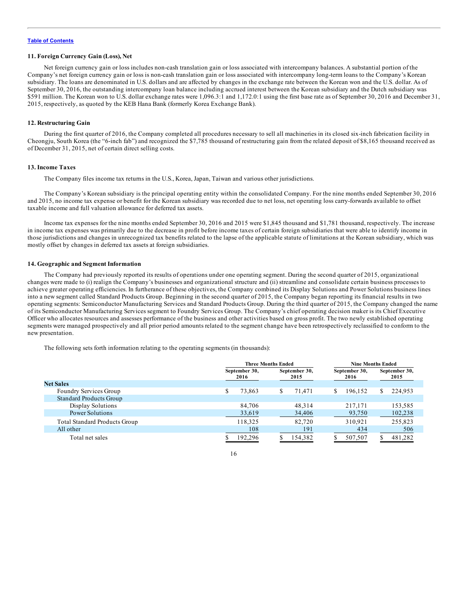#### **11. Foreign Currency Gain (Loss), Net**

Net foreign currency gain or loss includes non-cash translation gain or loss associated with intercompany balances. A substantial portion of the Company's net foreign currency gain or loss is non-cash translation gain or loss associated with intercompany long-term loans to the Company's Korean subsidiary. The loans are denominated in U.S. dollars and are affected by changes in the exchange rate between the Korean won and the U.S. dollar. As of September 30, 2016, the outstanding intercompany loan balance including accrued interest between the Korean subsidiary and the Dutch subsidiary was \$591 million. The Korean won to U.S. dollar exchange rates were 1,096.3:1 and 1,172.0:1 using the first base rate as of September 30, 2016 and December 31, 2015, respectively, as quoted by the KEB Hana Bank (formerly Korea Exchange Bank).

#### **12. Restructuring Gain**

During the first quarter of 2016, the Company completed all procedures necessary to sell all machineries in its closed six-inch fabrication facility in Cheongju, South Korea (the "6-inch fab") and recognized the \$7,785 thousand of restructuring gain from the related deposit of \$8,165 thousand received as of December 31, 2015, net of certain direct selling costs.

#### **13. Income Taxes**

The Company files income tax returns in the U.S., Korea, Japan, Taiwan and various other jurisdictions.

The Company's Korean subsidiary is the principal operating entity within the consolidated Company. For the nine months ended September 30, 2016 and 2015, no income tax expense or benefit for the Korean subsidiary was recorded due to net loss, net operating loss carry-forwards available to offset taxable income and full valuation allowance for deferred tax assets.

Income tax expenses for the nine months ended September 30, 2016 and 2015 were \$1,845 thousand and \$1,781 thousand, respectively. The increase in income tax expenses was primarily due to the decrease in profit before income taxes of certain foreign subsidiaries that were able to identify income in those jurisdictions and changes in unrecognized tax benefits related to the lapse of the applicable statute of limitations at the Korean subsidiary, which was mostly offset by changes in deferred tax assets at foreign subsidiaries.

#### **14. Geographic and Segment Information**

The Company had previously reported its results of operations under one operating segment. During the second quarter of 2015, organizational changes were made to (i) realign the Company's businesses and organizational structure and (ii) streamline and consolidate certain business processes to achieve greater operating efficiencies. In furtherance of these objectives, the Company combined its Display Solutions and Power Solutions business lines into a new segment called Standard Products Group. Beginning in the second quarter of 2015, the Company began reporting its financial results in two operating segments: Semiconductor Manufacturing Services and Standard Products Group. During the third quarter of 2015, the Company changed the name of its Semiconductor Manufacturing Services segment to Foundry Services Group. The Company's chief operating decision maker is its Chief Executive Officer who allocates resources and assesses performance of the business and other activities based on gross profit. The two newly established operating segments were managed prospectively and all prior period amounts related to the segment change have been retrospectively reclassified to conform to the new presentation.

The following sets forth information relating to the operating segments (in thousands):

|                                      | <b>Three Months Ended</b> |                       | <b>Nine Months Ended</b> |                       |  |  |
|--------------------------------------|---------------------------|-----------------------|--------------------------|-----------------------|--|--|
|                                      | September 30,<br>2016     | September 30,<br>2015 |                          | September 30,<br>2015 |  |  |
| <b>Net Sales</b>                     |                           |                       |                          |                       |  |  |
| Foundry Services Group               | \$<br>73,863              | 71.471<br>S           | \$<br>196,152            | 224,953               |  |  |
| <b>Standard Products Group</b>       |                           |                       |                          |                       |  |  |
| Display Solutions                    | 84,706                    | 48,314                | 217,171                  | 153,585               |  |  |
| Power Solutions                      | 33,619                    | 34,406                | 93,750                   | 102,238               |  |  |
| <b>Total Standard Products Group</b> | 118.325                   | 82,720                | 310.921                  | 255,823               |  |  |
| All other                            | 108                       | 191                   | 434                      | 506                   |  |  |
| Total net sales                      | 192,296                   | 154,382               | 507,507                  | 481,282               |  |  |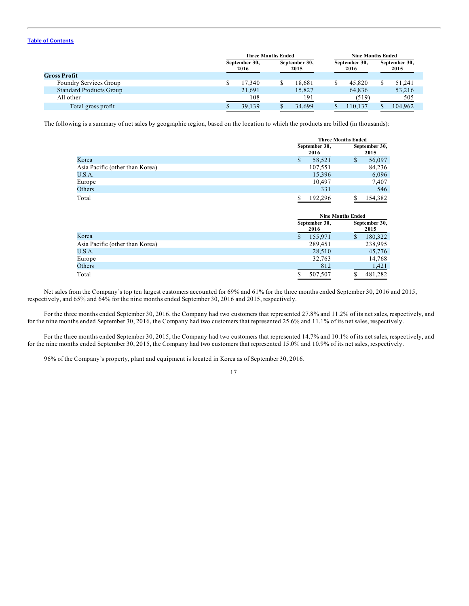|                                | <b>Three Months Ended</b> | <b>Nine Months Ended</b> |                       |                       |
|--------------------------------|---------------------------|--------------------------|-----------------------|-----------------------|
|                                | September 30,<br>2016     | September 30,<br>2015    | September 30,<br>2016 | September 30,<br>2015 |
| <b>Gross Profit</b>            |                           |                          |                       |                       |
| Foundry Services Group         | 17.340                    | 18.681                   | 45,820                | 51.241                |
| <b>Standard Products Group</b> | 21.691                    | 15.827                   | 64,836                | 53,216                |
| All other                      | 108                       | 191                      | (519)                 | 505                   |
| Total gross profit             | 39.139                    | 34.699                   | 110.137               | 104.962               |

The following is a summary of net sales by geographic region, based on the location to which the products are billed (in thousands):

|                                 |                         | <b>Three Months Ended</b>                 |
|---------------------------------|-------------------------|-------------------------------------------|
|                                 | September 30,<br>2016   | September 30,<br>2015                     |
| Korea                           | \$.<br>58,521           | $\mathbb{S}$<br>56,097                    |
| Asia Pacific (other than Korea) | 107,551                 | 84,236                                    |
| U.S.A.                          | 15,396                  | 6,096                                     |
| Europe                          | 10,497                  | 7,407                                     |
| Others                          | 331                     | 546                                       |
| Total                           | 192,296                 | 154,382<br>\$                             |
|                                 | September 30,           | <b>Nine Months Ended</b><br>September 30, |
|                                 | 2016                    | 2015                                      |
| Korea                           | $\mathbb{S}$<br>155,971 | \$<br>180,322                             |
| Asia Pacific (other than Korea) | 289,451                 | 238,995                                   |
| U.S.A.                          | 28,510                  | 45,776                                    |
| Europe                          | 32,763                  | 14,768                                    |
| Others                          | 812                     | 1,421                                     |
| Total                           | \$<br>507,507           | \$<br>481,282                             |

Net sales from the Company's top ten largest customers accounted for 69% and 61% for the three months ended September 30, 2016 and 2015, respectively, and 65% and 64% for the nine months ended September 30, 2016 and 2015, respectively.

For the three months ended September 30, 2016, the Company had two customers that represented 27.8% and 11.2% of its net sales, respectively, and for the nine months ended September 30, 2016, the Company had two customers that represented 25.6% and 11.1% of its net sales, respectively.

For the three months ended September 30, 2015, the Company had two customers that represented 14.7% and 10.1% of its net sales, respectively, and for the nine months ended September 30, 2015, the Company had two customers that represented 15.0% and 10.9% of its net sales, respectively.

96% of the Company's property, plant and equipment is located in Korea as of September 30, 2016.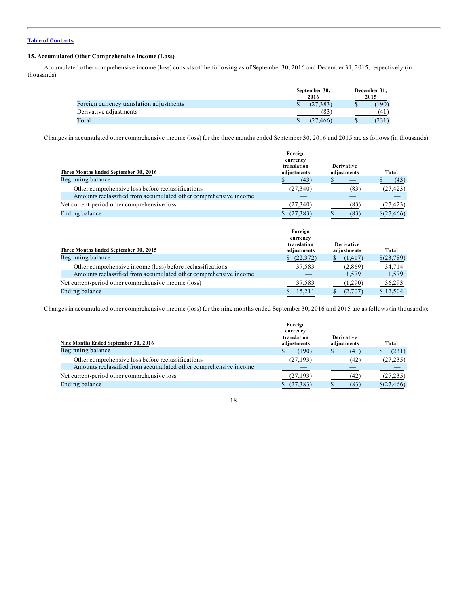## **15. Accumulated Other Comprehensive Income (Loss)**

Accumulated other comprehensive income (loss) consists of the following as of September 30, 2016 and December 31, 2015, respectively (in thousands):

|                                          | September 30,<br>2016 | December 31,<br>2015 |  |  |
|------------------------------------------|-----------------------|----------------------|--|--|
| Foreign currency translation adjustments | (27.383)              | (190)                |  |  |
| Derivative adjustments                   |                       | (41)                 |  |  |
| Total                                    | .466                  |                      |  |  |

Changes in accumulated other comprehensive income (loss) for the three months ended September 30, 2016 and 2015 are as follows (in thousands):

| Three Months Ended September 30, 2016                            | Foreign<br>currency<br>translation<br>adjustments | <b>Derivative</b><br>adjustments | Total      |
|------------------------------------------------------------------|---------------------------------------------------|----------------------------------|------------|
| Beginning balance                                                | (43)                                              |                                  | (43)       |
| Other comprehensive loss before reclassifications                | (27, 340)                                         | (83)                             | (27, 423)  |
| Amounts reclassified from accumulated other comprehensive income |                                                   |                                  |            |
| Net current-period other comprehensive loss                      | (27,340)                                          | (83)                             | (27, 423)  |
| <b>Ending balance</b>                                            | (27, 383)                                         | (83)                             | \$(27,466) |
|                                                                  | Foreign<br>currency<br>translation                | <b>Derivative</b>                |            |

| Three Months Ended September 30, 2015                            | и анмаион<br>adjustments | <b>Delivative</b><br>adjustments | Total      |
|------------------------------------------------------------------|--------------------------|----------------------------------|------------|
| Beginning balance                                                | \$ (22,372)              | (1.417)                          | \$(23,789) |
| Other comprehensive income (loss) before reclassifications       | 37.583                   | (2,869)                          | 34.714     |
| Amounts reclassified from accumulated other comprehensive income |                          | 1.579                            | 1,579      |
| Net current-period other comprehensive income (loss)             | 37,583                   | (1,290)                          | 36,293     |
| <b>Ending balance</b>                                            | 15,211                   | (2,707)                          | \$12,504   |

Changes in accumulated other comprehensive income (loss) for the nine months ended September 30, 2016 and 2015 are as follows (in thousands):

| Nine Months Ended September 30, 2016                             | Foreign<br>currency<br>translation<br>adjustments | <b>Derivative</b><br>adjustments | Total      |
|------------------------------------------------------------------|---------------------------------------------------|----------------------------------|------------|
| Beginning balance                                                | (190)                                             | (41)                             | (231)      |
| Other comprehensive loss before reclassifications                | (27, 193)                                         | (42)                             | (27, 235)  |
| Amounts reclassified from accumulated other comprehensive income |                                                   |                                  |            |
| Net current-period other comprehensive loss                      | (27, 193)                                         | (42)                             | (27, 235)  |
| Ending balance                                                   | (27, 383)                                         | (83)                             | \$(27,466) |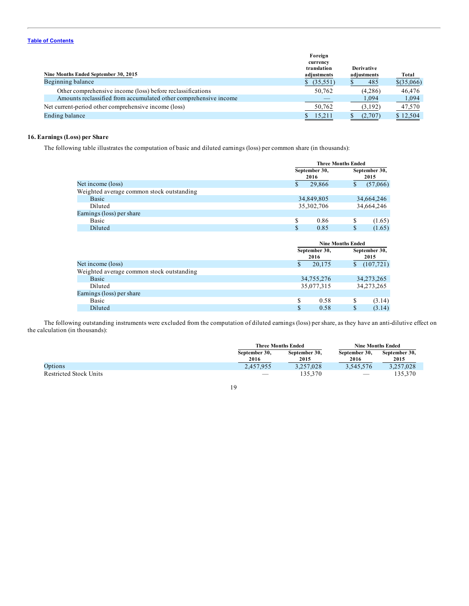| Nine Months Ended September 30, 2015                             | Foreign<br>currency<br>translation<br>adjustments | <b>Derivative</b><br>adjustments | Total        |
|------------------------------------------------------------------|---------------------------------------------------|----------------------------------|--------------|
| Beginning balance                                                | \$ (35,551)                                       | 485                              | $$$ (35,066) |
| Other comprehensive income (loss) before reclassifications       | 50.762                                            | (4,286)                          | 46,476       |
| Amounts reclassified from accumulated other comprehensive income |                                                   | 1,094                            | 1,094        |
| Net current-period other comprehensive income (loss)             | 50,762                                            | (3,192)                          | 47,570       |
| Ending balance                                                   | 15,211                                            | (2,707)                          | \$12,504     |

## **16. Earnings (Loss) per Share**

The following table illustrates the computation of basic and diluted earnings (loss) per common share (in thousands):

|                                           | <b>Three Months Ended</b> |                       |  |  |  |
|-------------------------------------------|---------------------------|-----------------------|--|--|--|
|                                           | September 30,<br>2016     | September 30,<br>2015 |  |  |  |
| Net income (loss)                         | 29,866<br>S               | (57,066)<br>\$        |  |  |  |
| Weighted average common stock outstanding |                           |                       |  |  |  |
| Basic                                     | 34,849,805                | 34,664,246            |  |  |  |
| Diluted                                   | 35, 302, 706              | 34,664,246            |  |  |  |
| Earnings (loss) per share                 |                           |                       |  |  |  |
| Basic                                     | S<br>0.86                 | S<br>(1.65)           |  |  |  |
| Diluted                                   | \$<br>0.85                | S<br>(1.65)           |  |  |  |
|                                           |                           |                       |  |  |  |

|                                           |                       | <b>Nine Months Ended</b> |
|-------------------------------------------|-----------------------|--------------------------|
|                                           | September 30,<br>2016 | September 30,<br>2015    |
| Net income (loss)                         | 20,175                | (107, 721)<br>S.         |
| Weighted average common stock outstanding |                       |                          |
| Basic                                     | 34,755,276            | 34,273,265               |
| Diluted                                   | 35,077,315            | 34,273,265               |
| Earnings (loss) per share                 |                       |                          |
| Basic                                     | \$                    | S<br>0.58<br>(3.14)      |
| Diluted                                   | S                     | \$<br>0.58<br>(3.14)     |
|                                           |                       |                          |

The following outstanding instruments were excluded from the computation of diluted earnings (loss) per share, as they have an anti-dilutive effect on the calculation (in thousands):

|                        |                                 | <b>Three Months Ended</b> | <b>Nine Months Ended</b> |                       |  |
|------------------------|---------------------------------|---------------------------|--------------------------|-----------------------|--|
|                        | September 30.<br>2016           | September 30.<br>2015     | September 30.<br>2016    | September 30,<br>2015 |  |
| Options                | 2.457.955                       | 3.257.028                 | 3.545.576                | 3,257,028             |  |
| Restricted Stock Units | $\hspace{0.1mm}-\hspace{0.1mm}$ | 135.370                   | $\hspace{0.05cm}$        | 135.370               |  |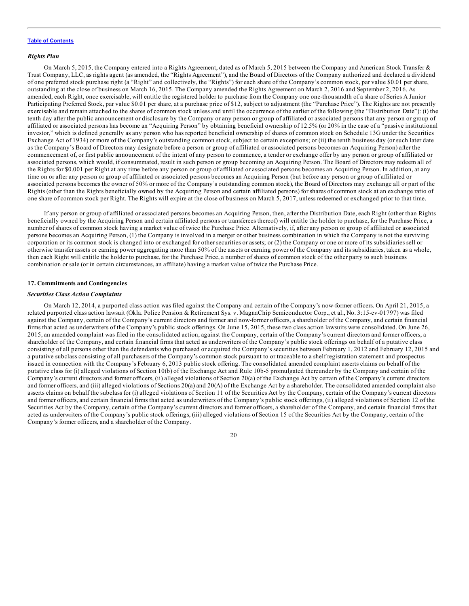#### *Rights Plan*

On March 5, 2015, the Company entered into a Rights Agreement, dated as of March 5, 2015 between the Company and American Stock Transfer & Trust Company, LLC, as rights agent (as amended, the "Rights Agreement"), and the Board of Directors of the Company authorized and declared a dividend of one preferred stock purchase right (a "Right" and collectively, the "Rights") for each share of the Company's common stock, par value \$0.01 per share, outstanding at the close of business on March 16, 2015. The Company amended the Rights Agreement on March 2, 2016 and September 2, 2016. As amended, each Right, once exercisable, will entitle the registered holder to purchase from the Company one one-thousandth of a share of Series A Junior Participating Preferred Stock, par value \$0.01 per share, at a purchase price of \$12, subject to adjustment (the "Purchase Price"). The Rights are not presently exercisable and remain attached to the shares of common stock unless and until the occurrence of the earlier of the following (the "Distribution Date"): (i) the tenth day after the public announcement or disclosure by the Company or any person or group of affiliated or associated persons that any person or group of affiliated or associated persons has become an "Acquiring Person" by obtaining beneficial ownership of 12.5% (or 20% in the case of a "passive institutional investor," which is defined generally as any person who has reported beneficial ownership of shares of common stock on Schedule 13G under the Securities Exchange Act of 1934) or more of the Company's outstanding common stock, subject to certain exceptions; or (ii) the tenth business day (or such later date as the Company's Board of Directors may designate before a person or group of affiliated or associated persons becomes an Acquiring Person) after the commencement of, or first public announcement of the intent of any person to commence, a tender or exchange offer by any person or group of affiliated or associated persons, which would, if consummated, result in such person or group becoming an Acquiring Person. The Board of Directors may redeem all of the Rights for \$0.001 per Right at any time before any person or group of affiliated or associated persons becomes an Acquiring Person. In addition, at any time on or after any person or group of affiliated or associated persons becomes an Acquiring Person (but before any person or group of affiliated or associated persons becomes the owner of 50% or more of the Company's outstanding common stock), the Board of Directors may exchange all or part of the Rights (other than the Rights beneficially owned by the Acquiring Person and certain affiliated persons) for shares of common stock at an exchange ratio of one share of common stock per Right. The Rights will expire at the close of business on March  $\frac{2017}{100}$ , unless redeemed or exchanged prior to that time.

If any person or group of affiliated or associated persons becomes an Acquiring Person, then, after the Distribution Date, each Right (other than Rights beneficially owned by the Acquiring Person and certain affiliated persons or transferees thereof) will entitle the holder to purchase, for the Purchase Price, a number of shares of common stock having a market value of twice the Purchase Price. Alternatively, if, after any person or group of affiliated or associated persons becomes an Acquiring Person, (1) the Company is involved in a merger or other business combination in which the Company is not the surviving corporation or its common stock is changed into or exchanged for other securities or assets; or  $(2)$  the Company or one or more of its subsidiaries sell or otherwise transfer assets or earning power aggregating more than 50% of the assets or earning power of the Company and its subsidiaries, taken as a whole, then each Right will entitle the holder to purchase, for the Purchase Price, a number of shares of common stock of the other party to such business combination or sale (or in certain circumstances, an affiliate) having a market value of twice the Purchase Price.

#### **17. Commitments and Contingencies**

#### *Securities Class Action Complaints*

On March 12, 2014, a purported class action was filed against the Company and certain of the Company's now-former officers. On April 21, 2015, a related purported class action lawsuit (Okla. Police Pension & Retirement Sys. v. MagnaChip Semiconductor Corp., et al., No. 3:15-cv-01797) was filed against the Company, certain of the Company's current directors and former and now-former officers, a shareholder of the Company, and certain financial firms that acted as underwriters of the Company's public stock offerings. On June 15, 2015, these two class action lawsuits were consolidated. On June 26, 2015, an amended complaint was filed in the consolidated action, against the Company, certain of the Company's current directors and former officers, a shareholder of the Company, and certain financial firms that acted as underwriters of the Company's public stock offerings on behalf of a putative class consisting of all persons other than the defendants who purchased or acquired the Company's securities between February 1, 2012 and February 12, 2015 and a putative subclass consisting of all purchasers of the Company's common stock pursuant to or traceable to a shelf registration statement and prospectus issued in connection with the Company's February 6, 2013 public stock offering. The consolidated amended complaint asserts claims on behalf of the putative class for (i) alleged violations of Section 10(b) of the Exchange Act and Rule 10b-5 promulgated thereunder by the Company and certain of the Company's current directors and former officers, (ii) alleged violations of Section 20(a) of the Exchange Act by certain of the Company's current directors and former officers, and (iii) alleged violations of Sections 20(a) and 20(A) of the Exchange Act by a shareholder. The consolidated amended complaint also asserts claims on behalf the subclass for (i) alleged violations of Section 11 of the Securities Act by the Company, certain of the Company's current directors and former officers, and certain financial firms that acted as underwriters of the Company's public stock offerings, (ii) alleged violations of Section 12 of the Securities Act by the Company, certain of the Company's current directors and former officers, a shareholder of the Company, and certain financial firms that acted as underwriters of the Company's public stock offerings, (iii) alleged violations of Section 15 of the Securities Act by the Company, certain of the Company's former officers, and a shareholder of the Company.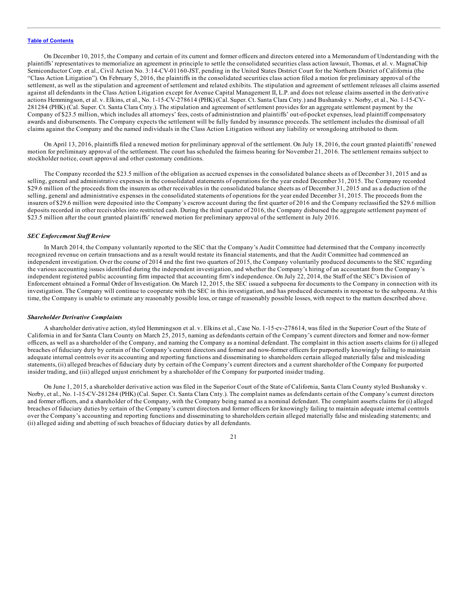On December 10, 2015, the Company and certain of its current and former officers and directors entered into a Memorandum of Understanding with the plaintiffs' representatives to memorialize an agreement in principle to settle the consolidated securities class action lawsuit, Thomas, et al. v. MagnaChip Semiconductor Corp. et al., Civil Action No. 3:14-CV-01160-JST, pending in the United States District Court for the Northern District of California (the "Class Action Litigation"). On February 5, 2016, the plaintiffs in the consolidated securities class action filed a motion for preliminary approval of the settlement, as well as the stipulation and agreement of settlement and related exhibits. The stipulation and agreement of settlement releases all claims asserted against all defendants in the Class Action Litigation except for Avenue Capital Management II, L.P. and does not release claims asserted in the derivative actions Hemmingson, et al. v. Elkins, et al., No. 1-15-CV-278614 (PHK) (Cal. Super. Ct. Santa Clara Cnty.) and Bushansky v. Norby, et al., No. 1-15-CV-281284 (PHK) (Cal. Super. Ct. Santa Clara Cnty.). The stipulation and agreement of settlement provides for an aggregate settlement payment by the Company of \$23.5 million, which includes all attorneys' fees, costs of administration and plaintiffs' out-of-pocket expenses, lead plaintiff compensatory awards and disbursements. The Company expects the settlement will be fully funded by insurance proceeds. The settlement includes the dismissal of all claims against the Company and the named individuals in the Class Action Litigation without any liability or wrongdoing attributed to them.

On April 13, 2016, plaintiffs filed a renewed motion for preliminary approval of the settlement. On July 18, 2016, the court granted plaintiffs' renewed motion for preliminary approval of the settlement. The court has scheduled the fairness hearing for November 21, 2016. The settlement remains subject to stockholder notice, court approval and other customary conditions.

The Company recorded the \$23.5 million of the obligation as accrued expenses in the consolidated balance sheets as of December 31, 2015 and as selling, general and administrative expenses in the consolidated statements of operations for the year ended December 31, 2015. The Company recorded \$29.6 million of the proceeds from the insurers as other receivables in the consolidated balance sheets as of December 31, 2015 and as a deduction of the selling, general and administrative expenses in the consolidated statements of operations for the year ended December 31, 2015. The proceeds from the insurers of \$29.6 million were deposited into the Company's escrow account during the first quarter of 2016 and the Company reclassified the \$29.6 million deposits recorded in other receivables into restricted cash. During the third quarter of 2016, the Company disbursed the aggregate settlement payment of \$23.5 million after the court granted plaintiffs' renewed motion for preliminary approval of the settlement in July 2016.

#### *SEC Enforcement Staf Review*

In March 2014, the Company voluntarily reported to the SEC that the Company's Audit Committee had determined that the Company incorrectly recognized revenue on certain transactions and as a result would restate its financial statements, and that the Audit Committee had commenced an independent investigation. Over the course of 2014 and the first two quarters of 2015, the Company voluntarily produced documents to the SEC regarding the various accounting issues identified during the independent investigation, and whether the Company's hiring of an accountant from the Company's independent registered public accounting firm impacted that accounting firm's independence. On July 22, 2014, the Staff of the SEC's Division of Enforcement obtained a Formal Order of Investigation. On March 12, 2015, the SEC issued a subpoena for documents to the Company in connection with its investigation. The Company will continue to cooperate with the SEC in this investigation, and has produced documents in response to the subpoena. At this time, the Company is unable to estimate any reasonably possible loss, or range of reasonably possible losses, with respect to the matters described above.

#### *Shareholder Derivative Complaints*

A shareholder derivative action, styled Hemmingson et al. v. Elkins et al., Case No. 1-15-cv-278614, was filed in the Superior Court of the State of California in and for Santa Clara County on March 25, 2015, naming as defendants certain of the Company's current directors and former and now-former officers, as well as a shareholder of the Company, and naming the Company as a nominal defendant. The complaint in this action asserts claims for (i) alleged breaches of fiduciary duty by certain of the Company's current directors and former and now-former officers for purportedly knowingly failing to maintain adequate internal controls over its accounting and reporting functions and disseminating to shareholders certain alleged materially false and misleading statements, (ii) alleged breaches of fiduciary duty by certain of the Company's current directors and a current shareholder of the Company for purported insider trading, and (iii) alleged unjust enrichment by a shareholder of the Company for purported insider trading.

On June 1, 2015, a shareholder derivative action was filed in the Superior Court of the State of California, Santa Clara County styled Bushansky v. Norby, et al., No. 1-15-CV-281284 (PHK) (Cal. Super. Ct. Santa Clara Cnty.). The complaint names as defendants certain of the Company's current directors and former officers, and a shareholder of the Company, with the Company being named as a nominal defendant. The complaint asserts claims for (i) alleged breaches of fiduciary duties by certain of the Company's current directors and former officers for knowingly failing to maintain adequate internal controls over the Company's accounting and reporting functions and disseminating to shareholders certain alleged materially false and misleading statements; and (ii) alleged aiding and abetting of such breaches of fiduciary duties by all defendants.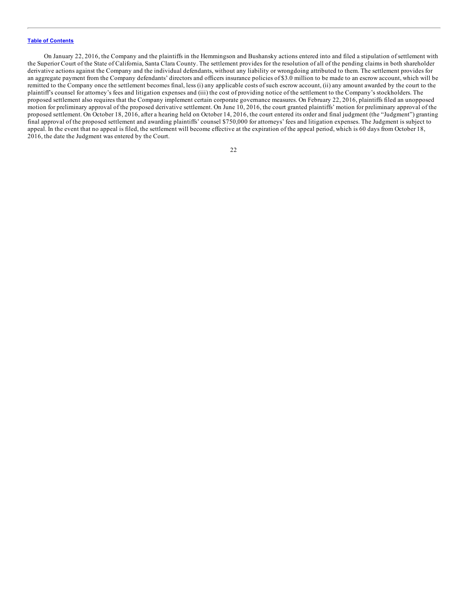On January 22, 2016, the Company and the plaintiffs in the Hemmingson and Bushansky actions entered into and filed a stipulation of settlement with the Superior Court of the State of California, Santa Clara County. The settlement provides for the resolution of all of the pending claims in both shareholder derivative actions against the Company and the individual defendants, without any liability or wrongdoing attributed to them. The settlement provides for an aggregate payment from the Company defendants' directors and officers insurance policies of \$3.0 million to be made to an escrow account, which will be remitted to the Company once the settlement becomes final, less (i) any applicable costs of such escrow account, (ii) any amount awarded by the court to the plaintiff's counsel for attorney's fees and litigation expenses and (iii) the cost of providing notice of the settlement to the Company's stockholders. The proposed settlement also requires that the Company implement certain corporate governance measures. On February 22, 2016, plaintiffs filed an unopposed motion for preliminary approval of the proposed derivative settlement. On June 10, 2016, the court granted plaintiffs' motion for preliminary approval of the proposed settlement. On October 18, 2016, after a hearing held on October 14, 2016, the court entered its order and final judgment (the "Judgment") granting final approval of the proposed settlement and awarding plaintiffs' counsel \$750,000 for attorneys' fees and litigation expenses. The Judgment is subject to appeal. In the event that no appeal is filed, the settlement will become effective at the expiration of the appeal period, which is 60 days from October 18, 2016, the date the Judgment was entered by the Court.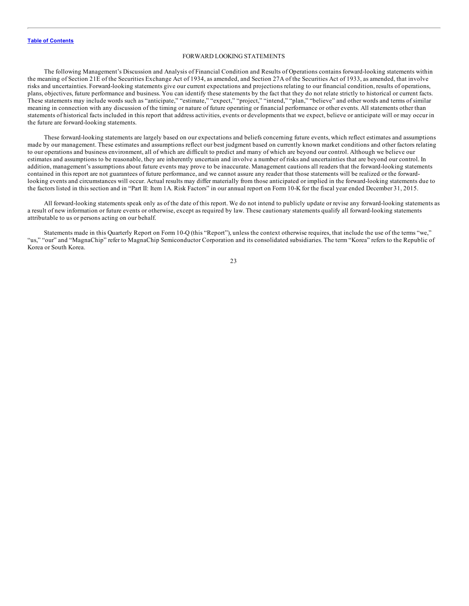#### FORWARD LOOKING STATEMENTS

The following Management's Discussion and Analysis of Financial Condition and Results of Operations contains forward-looking statements within the meaning of Section 21E of the Securities Exchange Act of 1934, as amended, and Section 27A of the Securities Act of 1933, as amended, that involve risks and uncertainties. Forward-looking statements give our current expectations and projections relating to our financial condition, results of operations, plans, objectives, future performance and business. You can identify these statements by the fact that they do not relate strictly to historical or current facts. These statements may include words such as "anticipate," "estimate," "expect," "project," "intend," "plan," "believe" and other words and terms of similar meaning in connection with any discussion of the timing or nature of future operating or financial performance or other events. All statements other than statements of historical facts included in this report that address activities, events or developments that we expect, believe or anticipate will or may occur in the future are forward-looking statements.

These forward-looking statements are largely based on our expectations and beliefs concerning future events, which reflect estimates and assumptions made by our management. These estimates and assumptions reflect our best judgment based on currently known market conditions and other factors relating to our operations and business environment, all of which are difficult to predict and many of which are beyond our control. Although we believe our estimates and assumptions to be reasonable, they are inherently uncertain and involve a number of risks and uncertainties that are beyond our control. In addition, management's assumptions about future events may prove to be inaccurate. Management cautions all readers that the forward-looking statements contained in this report are not guarantees of future performance, and we cannot assure any reader that those statements will be realized or the forwardlooking events and circumstances will occur. Actual results may differ materially from those anticipated or implied in the forward-looking statements due to the factors listed in this section and in "Part II: Item 1A. Risk Factors" in our annual report on Form 10-K for the fiscal year ended December 31, 2015.

All forward-looking statements speak only as of the date of this report. We do not intend to publicly update or revise any forward-looking statements as a result of new information or future events or otherwise, except as required by law. These cautionary statements qualify all forward-looking statements attributable to us or persons acting on our behalf.

Statements made in this Quarterly Report on Form 10-Q (this "Report"), unless the context otherwise requires, that include the use of the terms "we," "us," "our" and "MagnaChip" refer to MagnaChip Semiconductor Corporation and its consolidated subsidiaries. The term "Korea" refers to the Republic of Korea or South Korea.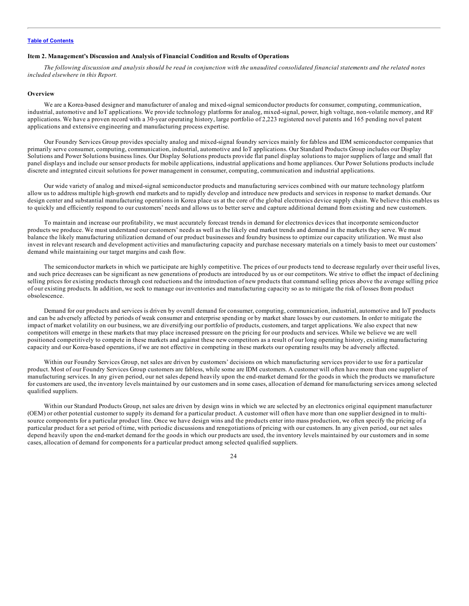#### <span id="page-23-0"></span>**Item 2. Management's Discussion and Analysis of Financial Condition and Results of Operations**

The following discussion and analysis should be read in conjunction with the unaudited consolidated financial statements and the related notes *included elsewhere in this Report.*

#### **Overview**

We are a Korea-based designer and manufacturer of analog and mixed-signal semiconductor products for consumer, computing, communication, industrial, automotive and IoT applications. We provide technology platforms for analog, mixed-signal, power, high voltage, non-volatile memory, and RF applications. We have a proven record with a 30-year operating history, large portfolio of 2,223 registered novel patents and 165 pending novel patent applications and extensive engineering and manufacturing process expertise.

Our Foundry Services Group provides specialty analog and mixed-signal foundry services mainly for fabless and IDM semiconductor companies that primarily serve consumer, computing, communication, industrial, automotive and IoT applications. Our Standard Products Group includes our Display Solutions and Power Solutions business lines. Our Display Solutions products provide flat panel display solutions to major suppliers of large and small flat panel displays and include our sensor products for mobile applications, industrial applications and home appliances. Our Power Solutions products include discrete and integrated circuit solutions for power management in consumer, computing, communication and industrial applications.

Our wide variety of analog and mixed-signal semiconductor products and manufacturing services combined with our mature technology platform allow us to address multiple high-growth end markets and to rapidly develop and introduce new products and services in response to market demands. Our design center and substantial manufacturing operations in Korea place us at the core of the global electronics device supply chain. We believe this enables us to quickly and efficiently respond to our customers' needs and allows us to better serve and capture additional demand from existing and new customers.

To maintain and increase our profitability, we must accurately forecast trends in demand for electronics devices that incorporate semiconductor products we produce. We must understand our customers' needs as well as the likely end market trends and demand in the markets they serve. We must balance the likely manufacturing utilization demand of our product businesses and foundry business to optimize our capacity utilization. We must also invest in relevant research and development activities and manufacturing capacity and purchase necessary materials on a timely basis to meet our customers' demand while maintaining our target margins and cash flow.

The semiconductor markets in which we participate are highly competitive. The prices of our products tend to decrease regularly over their useful lives, and such price decreases can be significant as new generations of products are introduced by us or our competitors. We strive to offset the impact of declining selling prices for existing products through cost reductions and the introduction of new products that command selling prices above the average selling price of our existing products. In addition, we seek to manage our inventories and manufacturing capacity so as to mitigate the risk of losses from product obsolescence.

Demand for our products and services is driven by overall demand for consumer, computing, communication, industrial, automotive and IoT products and can be adversely affected by periods of weak consumer and enterprise spending or by market share losses by our customers. In order to mitigate the impact of market volatility on our business, we are diversifying our portfolio of products, customers, and target applications. We also expect that new competitors will emerge in these markets that may place increased pressure on the pricing for our products and services. While we believe we are well positioned competitively to compete in these markets and against these new competitors as a result of our long operating history, existing manufacturing capacity and our Korea-based operations, if we are not effective in competing in these markets our operating results may be adversely affected.

Within our Foundry Services Group, net sales are driven by customers' decisions on which manufacturing services provider to use for a particular product. Most of our Foundry Services Group customers are fabless, while some are IDM customers. A customer will often have more than one supplier of manufacturing services. In any given period, our net sales depend heavily upon the end-market demand for the goods in which the products we manufacture for customers are used, the inventory levels maintained by our customers and in some cases, allocation of demand for manufacturing services among selected qualified suppliers.

Within our Standard Products Group, net sales are driven by design wins in which we are selected by an electronics original equipment manufacturer (OEM) or other potential customer to supply its demand for a particular product. A customer will often have more than one supplier designed in to multisource components for a particular product line. Once we have design wins and the products enter into mass production, we often specify the pricing of a particular product for a set period of time, with periodic discussions and renegotiations of pricing with our customers. In any given period, our net sales depend heavily upon the end-market demand for the goods in which our products are used, the inventory levels maintained by our customers and in some cases, allocation of demand for components for a particular product among selected qualified suppliers.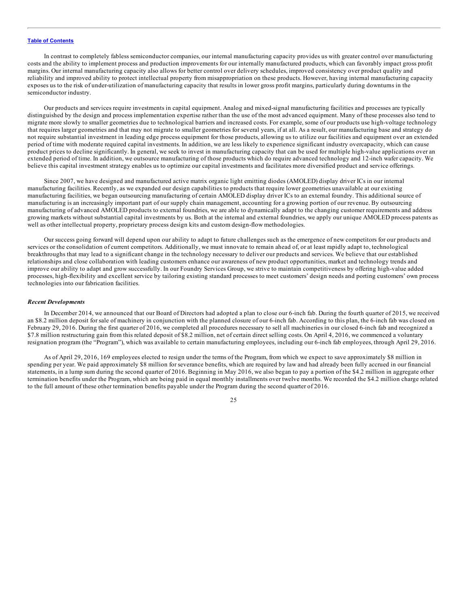In contrast to completely fabless semiconductor companies, our internal manufacturing capacity provides us with greater control over manufacturing costs and the ability to implement process and production improvements for our internally manufactured products, which can favorably impact gross profit margins. Our internal manufacturing capacity also allows for better control over delivery schedules, improved consistency over product quality and reliability and improved ability to protect intellectual property from misappropriation on these products. However, having internal manufacturing capacity exposes us to the risk of under-utilization of manufacturing capacity that results in lower gross profit margins, particularly during downturns in the semiconductor industry.

Our products and services require investments in capital equipment. Analog and mixed-signal manufacturing facilities and processes are typically distinguished by the design and process implementation expertise rather than the use of the most advanced equipment. Many of these processes also tend to migrate more slowly to smaller geometries due to technological barriers and increased costs. For example, some of our products use high-voltage technology that requires larger geometries and that may not migrate to smaller geometries for several years, if at all. As a result, our manufacturing base and strategy do not require substantial investment in leading edge process equipment for those products, allowing us to utilize our facilities and equipment over an extended period of time with moderate required capital investments. In addition, we are less likely to experience significant industry overcapacity, which can cause product prices to decline significantly. In general, we seek to invest in manufacturing capacity that can be used for multiple high-value applications over an extended period of time. In addition, we outsource manufacturing of those products which do require advanced technology and 12-inch wafer capacity. We believe this capital investment strategy enables us to optimize our capital investments and facilitates more diversified product and service offerings.

Since 2007, we have designed and manufactured active matrix organic light emitting diodes (AMOLED) display driver ICs in our internal manufacturing facilities. Recently, as we expanded our design capabilities to products that require lower geometries unavailable at our existing manufacturing facilities, we began outsourcing manufacturing of certain AMOLED display driver ICs to an external foundry. This additional source of manufacturing is an increasingly important part of our supply chain management, accounting for a growing portion of our revenue. By outsourcing manufacturing of advanced AMOLED products to external foundries, we are able to dynamically adapt to the changing customer requirements and address growing markets without substantial capital investments by us. Both at the internal and external foundries, we apply our unique AMOLED process patents as well as other intellectual property, proprietary process design kits and custom design-flow methodologies.

Our success going forward will depend upon our ability to adapt to future challenges such as the emergence of new competitors for our products and services or the consolidation of current competitors. Additionally, we must innovate to remain ahead of, or at least rapidly adapt to, technological breakthroughs that may lead to a significant change in the technology necessary to deliver our products and services. We believe that our established relationships and close collaboration with leading customers enhance our awareness of new product opportunities, market and technology trends and improve our ability to adapt and grow successfully. In our Foundry Services Group, we strive to maintain competitiveness by offering high-value added processes, high-flexibility and excellent service by tailoring existing standard processes to meet customers' design needs and porting customers' own process technologies into our fabrication facilities.

#### *Recent Developments*

In December 2014, we announced that our Board of Directors had adopted a plan to close our 6-inch fab. During the fourth quarter of 2015, we received an \$8.2 million deposit for sale of machinery in conjunction with the planned closure of our 6-inch fab. According to this plan, the 6-inch fab was closed on February 29, 2016. During the first quarter of 2016, we completed all procedures necessary to sell all machineries in our closed 6-inch fab and recognized a \$7.8 million restructuring gain from this related deposit of \$8.2 million, net of certain direct selling costs. On April 4, 2016, we commenced a voluntary resignation program (the "Program"), which was available to certain manufacturing employees, including our 6-inch fab employees, through April 29, 2016.

As of April 29, 2016, 169 employees elected to resign under the terms of the Program, from which we expect to save approximately \$8 million in spending per year. We paid approximately \$8 million for severance benefits, which are required by law and had already been fully accrued in our financial statements, in a lump sum during the second quarter of 2016. Beginning in May 2016, we also began to pay a portion of the \$4.2 million in aggregate other termination benefits under the Program, which are being paid in equal monthly installments over twelve months. We recorded the \$4.2 million charge related to the full amount of these other termination benefits payable under the Program during the second quarter of 2016.

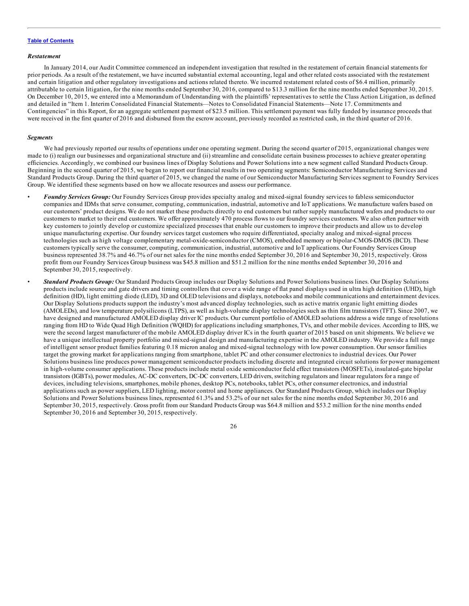#### *Restatement*

In January 2014, our Audit Committee commenced an independent investigation that resulted in the restatement of certain financial statements for prior periods. As a result of the restatement, we have incurred substantial external accounting, legal and other related costs associated with the restatement and certain litigation and other regulatory investigations and actions related thereto. We incurred restatement related costs of \$6.4 million, primarily attributable to certain litigation, for the nine months ended September 30, 2016, compared to \$13.3 million for the nine months ended September 30, 2015. On December 10, 2015, we entered into a Memorandum of Understanding with the plaintiffs' representatives to settle the Class Action Litigation, as defined and detailed in "Item 1. Interim Consolidated Financial Statements—Notes to Consolidated Financial Statements—Note 17. Commitments and Contingencies" in this Report, for an aggregate settlement payment of \$23.5 million. This settlement payment was fully funded by insurance proceeds that were received in the first quarter of 2016 and disbursed from the escrow account, previously recorded as restricted cash, in the third quarter of 2016.

#### *Segments*

We had previously reported our results of operations under one operating segment. During the second quarter of 2015, organizational changes were made to (i) realign our businesses and organizational structure and (ii) streamline and consolidate certain business processes to achieve greater operating efficiencies. Accordingly, we combined our business lines of Display Solutions and Power Solutions into a new segment called Standard Products Group. Beginning in the second quarter of 2015, we began to report our financial results in two operating segments: Semiconductor Manufacturing Services and Standard Products Group. During the third quarter of 2015, we changed the name of our Semiconductor Manufacturing Services segment to Foundry Services Group. We identified these segments based on how we allocate resources and assess our performance.

- *Foundry Services Group:* Our Foundry Services Group provides specialty analog and mixed-signal foundry services to fabless semiconductor companies and IDMs that serve consumer, computing, communication, industrial, automotive and IoT applications. We manufacture wafers based on our customers' product designs. We do not market these products directly to end customers but rather supply manufactured wafers and products to our customers to market to their end customers. We offer approximately 470 process flows to our foundry services customers. We also often partner with key customers to jointly develop or customize specialized processes that enable our customers to improve their products and allow us to develop unique manufacturing expertise. Our foundry services target customers who require differentiated, specialty analog and mixed-signal process technologies such as high voltage complementary metal-oxide-semiconductor (CMOS), embedded memory or bipolar-CMOS-DMOS (BCD). These customers typically serve the consumer, computing, communication, industrial, automotive and IoT applications. Our Foundry Services Group business represented 38.7% and 46.7% of our net sales for the nine months ended September 30, 2016 and September 30, 2015, respectively. Gross profit from our Foundry Services Group business was \$45.8 million and \$51.2 million for the nine months ended September 30, 2016 and September 30, 2015, respectively.
- *Standard Products Group:* Our Standard Products Group includes our Display Solutions and Power Solutions business lines. Our Display Solutions products include source and gate drivers and timing controllers that cover a wide range of flat panel displays used in ultra high definition (UHD), high definition (HD), light emitting diode (LED), 3D and OLED televisions and displays, notebooks and mobile communications and entertainment devices. Our Display Solutions products support the industry's most advanced display technologies, such as active matrix organic light emitting diodes (AMOLEDs), and low temperature polysilicons (LTPS), as well as high-volume display technologies such as thin film transistors (TFT). Since 2007, we have designed and manufactured AMOLED display driver IC products. Our current portfolio of AMOLED solutions address a wide range of resolutions ranging from HD to Wide Quad High Definition (WQHD) for applications including smartphones, TVs, and other mobile devices. According to IHS, we were the second largest manufacturer of the mobile AMOLED display driver ICs in the fourth quarter of 2015 based on unit shipments. We believe we have a unique intellectual property portfolio and mixed-signal design and manufacturing expertise in the AMOLED industry. We provide a full range of intelligent sensor product families featuring 0.18 micron analog and mixed-signal technology with low power consumption. Our sensor families target the growing market for applications ranging from smartphone, tablet PC and other consumer electronics to industrial devices. Our Power Solutions business line produces power management semiconductor products including discrete and integrated circuit solutions for power management in high-volume consumer applications. These products include metal oxide semiconductor field effect transistors (MOSFETs), insulated-gate bipolar transistors (IGBTs), power modules, AC-DC converters, DC-DC converters, LED drivers, switching regulators and linear regulators for a range of devices, including televisions, smartphones, mobile phones, desktop PCs, notebooks, tablet PCs, other consumer electronics, and industrial applications such as power suppliers, LED lighting, motor control and home appliances. Our Standard Products Group, which includes our Display Solutions and Power Solutions business lines, represented 61.3% and 53.2% of our net sales for the nine months ended September 30, 2016 and September 30, 2015, respectively. Gross profit from our Standard Products Group was \$64.8 million and \$53.2 million for the nine months ended September 30, 2016 and September 30, 2015, respectively.

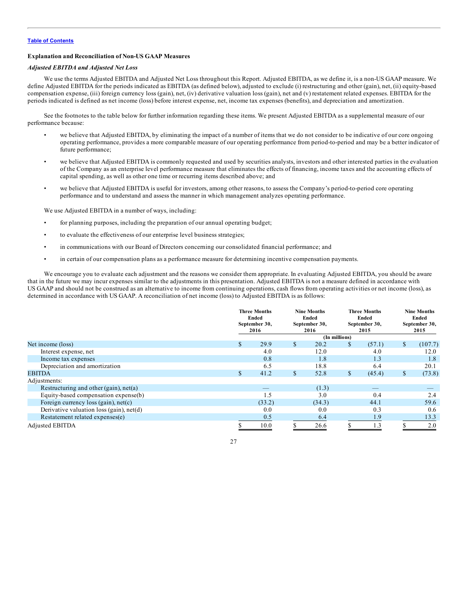#### **Explanation and Reconciliation of Non-US GAAP Measures**

## *Adjusted EBITDA and Adjusted Net Loss*

We use the terms Adjusted EBITDA and Adjusted Net Loss throughout this Report. Adjusted EBITDA, as we define it, is a non-US GAAP measure. We define Adjusted EBITDA for the periods indicated as EBITDA (as defined below), adjusted to exclude (i) restructuring and other (gain), net, (ii) equity-based compensation expense, (iii) foreign currency loss (gain), net, (iv) derivative valuation loss (gain), net and (v) restatement related expenses. EBITDA for the periods indicated is defined as net income (loss) before interest expense, net, income tax expenses (benefits), and depreciation and amortization.

See the footnotes to the table below for further information regarding these items. We present Adjusted EBITDA as a supplemental measure of our performance because:

- we believe that Adjusted EBITDA, by eliminating the impact of a number of items that we do not consider to be indicative of our core ongoing operating performance, provides a more comparable measure of our operating performance from period-to-period and may be a better indicator of future performance;
- we believe that Adjusted EBITDA is commonly requested and used by securities analysts, investors and other interested parties in the evaluation of the Company as an enterprise level performance measure that eliminates the effects of financing, income taxes and the accounting effects of capital spending, as well as other one time or recurring items described above; and
- we believe that Adjusted EBITDA is useful for investors, among other reasons, to assess the Company's period-to-period core operating performance and to understand and assess the manner in which management analyzes operating performance.

We use Adjusted EBITDA in a number of ways, including:

- for planning purposes, including the preparation of our annual operating budget;
- to evaluate the effectiveness of our enterprise level business strategies;
- in communications with our Board of Directors concerning our consolidated financial performance; and
- in certain of our compensation plans as a performance measure for determining incentive compensation payments.

We encourage you to evaluate each adjustment and the reasons we consider them appropriate. In evaluating Adjusted EBITDA, you should be aware that in the future we may incur expenses similar to the adjustments in this presentation. Adjusted EBITDA is not a measure defined in accordance with US GAAP and should not be construed as an alternative to income from continuing operations, cash flows from operating activities or net income (loss), as determined in accordance with US GAAP. A reconciliation of net income (loss) to Adjusted EBITDA is as follows:

|                                              |     | <b>Three Months</b><br>Ended<br>September 30,<br>2016 |               | <b>Nine Months</b><br>Ended<br>September 30,<br>2016 | <b>Three Months</b><br><b>Ended</b><br>September 30,<br>2015 |        | <b>Nine Months</b><br>Ended<br>September 30,<br>2015 |         |
|----------------------------------------------|-----|-------------------------------------------------------|---------------|------------------------------------------------------|--------------------------------------------------------------|--------|------------------------------------------------------|---------|
|                                              |     |                                                       |               |                                                      | (In millions)                                                |        |                                                      |         |
| Net income (loss)                            | \$. | 29.9                                                  | <sup>\$</sup> | 20.2                                                 | \$                                                           | (57.1) | \$                                                   | (107.7) |
| Interest expense, net                        |     | 4.0                                                   |               | 12.0                                                 |                                                              | 4.0    |                                                      | 12.0    |
| Income tax expenses                          |     | 0.8                                                   |               | 1.8                                                  |                                                              | 1.3    |                                                      | 1.8     |
| Depreciation and amortization                |     | 6.5                                                   |               | 18.8                                                 |                                                              | 6.4    |                                                      | 20.1    |
| <b>EBITDA</b>                                | \$  | 41.2                                                  | \$            | 52.8                                                 | <sup>\$</sup>                                                | (45.4) | \$                                                   | (73.8)  |
| Adjustments:                                 |     |                                                       |               |                                                      |                                                              |        |                                                      |         |
| Restructuring and other $(gain)$ , net $(a)$ |     |                                                       |               | (1.3)                                                |                                                              |        |                                                      |         |
| Equity-based compensation expense(b)         |     | 1.5                                                   |               | 3.0                                                  |                                                              | 0.4    |                                                      | 2.4     |
| Foreign currency loss $(gain)$ , net $(c)$   |     | (33.2)                                                |               | (34.3)                                               |                                                              | 44.1   |                                                      | 59.6    |
| Derivative valuation loss (gain), net(d)     |     | 0.0                                                   |               | 0.0                                                  |                                                              | 0.3    |                                                      | 0.6     |
| Restatement related expenses(e)              |     | 0.5                                                   |               | 6.4                                                  |                                                              | 1.9    |                                                      | 13.3    |
| <b>Adjusted EBITDA</b>                       |     | 10.0                                                  |               | 26.6                                                 |                                                              | 1.3    |                                                      | 2.0     |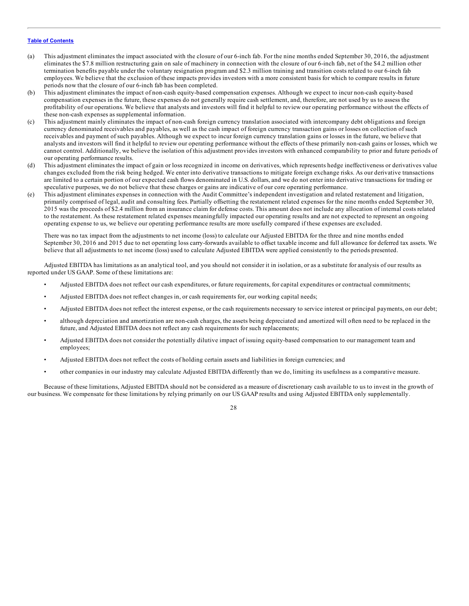- (a) This adjustment eliminates the impact associated with the closure of our 6-inch fab. For the nine months ended September 30, 2016, the adjustment eliminates the \$7.8 million restructuring gain on sale of machinery in connection with the closure of our 6-inch fab, net of the \$4.2 million other termination benefits payable under the voluntary resignation program and \$2.3 million training and transition costs related to our 6-inch fab employees. We believe that the exclusion of these impacts provides investors with a more consistent basis for which to compare results in future periods now that the closure of our 6-inch fab has been completed.
- (b) This adjustment eliminates the impact of non-cash equity-based compensation expenses. Although we expect to incur non-cash equity-based compensation expenses in the future, these expenses do not generally require cash settlement, and, therefore, are not used by us to assess the profitability of our operations. We believe that analysts and investors will find it helpful to review our operating performance without the effects of these non-cash expenses as supplemental information.
- (c) This adjustment mainly eliminates the impact of non-cash foreign currency translation associated with intercompany debt obligations and foreign currency denominated receivables and payables, as well as the cash impact of foreign currency transaction gains or losses on collection of such receivables and payment of such payables. Although we expect to incur foreign currency translation gains or losses in the future, we believe that analysts and investors will find it helpful to review our operating performance without the effects of these primarily non-cash gains or losses, which we cannot control. Additionally, we believe the isolation of this adjustment provides investors with enhanced comparability to prior and future periods of our operating performance results.
- (d) This adjustment eliminates the impact of gain or loss recognized in income on derivatives, which represents hedge ineffectiveness or derivatives value changes excluded from the risk being hedged. We enter into derivative transactions to mitigate foreign exchange risks. As our derivative transactions are limited to a certain portion of our expected cash flows denominated in U.S. dollars, and we do not enter into derivative transactions for trading or speculative purposes, we do not believe that these charges or gains are indicative of our core operating performance.
- (e) This adjustment eliminates expenses in connection with the Audit Committee's independent investigation and related restatement and litigation, primarily comprised of legal, audit and consulting fees. Partially offsetting the restatement related expenses for the nine months ended September 30, 2015 was the proceeds of \$2.4 million from an insurance claim for defense costs. This amount does not include any allocation of internal costs related to the restatement. As these restatement related expenses meaningfully impacted our operating results and are not expected to represent an ongoing operating expense to us, we believe our operating performance results are more usefully compared if these expenses are excluded.

There was no tax impact from the adjustments to net income (loss) to calculate our Adjusted EBITDA for the three and nine months ended September 30, 2016 and 2015 due to net operating loss carry-forwards available to offset taxable income and full allowance for deferred tax assets. We believe that all adjustments to net income (loss) used to calculate Adjusted EBITDA were applied consistently to the periods presented.

Adjusted EBITDA has limitations as an analytical tool, and you should not consider it in isolation, or as a substitute for analysis of our results as reported under US GAAP. Some of these limitations are:

- Adjusted EBITDA does not reflect our cash expenditures, or future requirements, for capital expenditures or contractual commitments;
- Adjusted EBITDA does not reflect changes in, or cash requirements for, our working capital needs;
- Adjusted EBITDA does not reflect the interest expense, or the cash requirements necessary to service interest or principal payments, on our debt;
- although depreciation and amortization are non-cash charges, the assets being depreciated and amortized will often need to be replaced in the future, and Adjusted EBITDA does not reflect any cash requirements for such replacements;
- Adjusted EBITDA does not consider the potentially dilutive impact of issuing equity-based compensation to our management team and employees;
- Adjusted EBITDA does not reflect the costs of holding certain assets and liabilities in foreign currencies; and
- other companies in our industry may calculate Adjusted EBITDA differently than we do, limiting its usefulness as a comparative measure.

Because of these limitations, Adjusted EBITDA should not be considered as a measure of discretionary cash available to us to invest in the growth of our business. We compensate for these limitations by relying primarily on our US GAAP results and using Adjusted EBITDA only supplementally.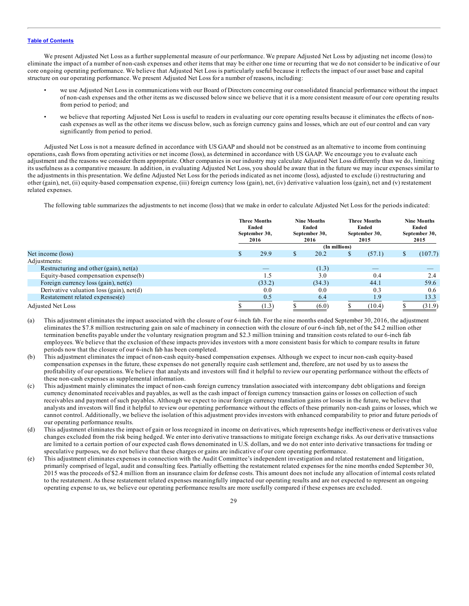We present Adjusted Net Loss as a further supplemental measure of our performance. We prepare Adjusted Net Loss by adjusting net income (loss) to eliminate the impact of a number of non-cash expenses and other items that may be either one time or recurring that we do not consider to be indicative of our core ongoing operating performance. We believe that Adjusted Net Loss is particularly useful because it reflects the impact of our asset base and capital structure on our operating performance. We present Adjusted Net Loss for a number of reasons, including:

- we use Adjusted Net Loss in communications with our Board of Directors concerning our consolidated financial performance without the impact of non-cash expenses and the other items as we discussed below since we believe that it is a more consistent measure of our core operating results from period to period; and
- we believe that reporting Adjusted Net Loss is useful to readers in evaluating our core operating results because it eliminates the effects of noncash expenses as well as the other items we discuss below, such as foreign currency gains and losses, which are out of our control and can vary significantly from period to period.

Adjusted Net Loss is not a measure defined in accordance with US GAAP and should not be construed as an alternative to income from continuing operations, cash flows from operating activities or net income (loss), as determined in accordance with US GAAP. We encourage you to evaluate each adjustment and the reasons we consider them appropriate. Other companies in our industry may calculate Adjusted Net Loss differently than we do, limiting its usefulness as a comparative measure. In addition, in evaluating Adjusted Net Loss, you should be aware that in the future we may incur expenses similar to the adjustments in this presentation. We define Adjusted Net Loss for the periods indicated as net income (loss), adjusted to exclude (i) restructuring and other (gain), net, (ii) equity-based compensation expense, (iii) foreign currency loss (gain), net, (iv) derivative valuation loss (gain), net and (v) restatement related expenses.

The following table summarizes the adjustments to net income (loss) that we make in order to calculate Adjusted Net Loss for the periods indicated:

|                                              | <b>Three Months</b><br>Ended<br>September 30,<br>2016 |   | <b>Nine Months</b><br>Ended<br>September 30,<br>2016 |   | <b>Three Months</b><br>Ended<br>September 30,<br>2015 |   | <b>Nine Months</b><br>Ended<br>September 30,<br>2015 |
|----------------------------------------------|-------------------------------------------------------|---|------------------------------------------------------|---|-------------------------------------------------------|---|------------------------------------------------------|
|                                              |                                                       |   | (In millions)                                        |   |                                                       |   |                                                      |
| Net income (loss)                            | 29.9                                                  | S | 20.2                                                 | P | (57.1)                                                | S | (107.7)                                              |
| Adjustments:                                 |                                                       |   |                                                      |   |                                                       |   |                                                      |
| Restructuring and other $(gain)$ , net $(a)$ |                                                       |   | (1.3)                                                |   |                                                       |   |                                                      |
| Equity-based compensation expense(b)         | 1.5                                                   |   | 3.0                                                  |   | 0.4                                                   |   | 2.4                                                  |
| Foreign currency loss $(gain)$ , net $(c)$   | (33.2)                                                |   | (34.3)                                               |   | 44.1                                                  |   | 59.6                                                 |
| Derivative valuation loss (gain), $net(d)$   | 0.0                                                   |   | 0.0                                                  |   | 0.3                                                   |   | 0.6                                                  |
| Restatement related expenses(e)              | 0.5                                                   |   | 6.4                                                  |   | 1.9                                                   |   | 13.3                                                 |
| <b>Adjusted Net Loss</b>                     | (1.3)                                                 |   | (6.0)                                                |   | (10.4)                                                |   | (31.9)                                               |

- (a) This adjustment eliminates the impact associated with the closure of our 6-inch fab. For the nine months ended September 30, 2016, the adjustment eliminates the \$7.8 million restructuring gain on sale of machinery in connection with the closure of our 6-inch fab, net of the \$4.2 million other termination benefits payable under the voluntary resignation program and \$2.3 million training and transition costs related to our 6-inch fab employees. We believe that the exclusion of these impacts provides investors with a more consistent basis for which to compare results in future periods now that the closure of our 6-inch fab has been completed.
- (b) This adjustment eliminates the impact of non-cash equity-based compensation expenses. Although we expect to incur non-cash equity-based compensation expenses in the future, these expenses do not generally require cash settlement and, therefore, are not used by us to assess the profitability of our operations. We believe that analysts and investors will find it helpful to review our operating performance without the effects of these non-cash expenses as supplemental information.
- (c) This adjustment mainly eliminates the impact of non-cash foreign currency translation associated with intercompany debt obligations and foreign currency denominated receivables and payables, as well as the cash impact of foreign currency transaction gains or losses on collection of such receivables and payment of such payables. Although we expect to incur foreign currency translation gains or losses in the future, we believe that analysts and investors will find it helpful to review our operating performance without the effects of these primarily non-cash gains or losses, which we cannot control. Additionally, we believe the isolation of this adjustment provides investors with enhanced comparability to prior and future periods of our operating performance results.
- (d) This adjustment eliminates the impact of gain or loss recognized in income on derivatives, which represents hedge ineffectiveness or derivatives value changes excluded from the risk being hedged. We enter into derivative transactions to mitigate foreign exchange risks. As our derivative transactions are limited to a certain portion of our expected cash flows denominated in U.S. dollars, and we do not enter into derivative transactions for trading or speculative purposes, we do not believe that these charges or gains are indicative of our core operating performance.
- (e) This adjustment eliminates expenses in connection with the Audit Committee's independent investigation and related restatement and litigation, primarily comprised of legal, audit and consulting fees. Partially offsetting the restatement related expenses for the nine months ended September 30, 2015 was the proceeds of \$2.4 million from an insurance claim for defense costs. This amount does not include any allocation of internal costs related to the restatement. As these restatement related expenses meaningfully impacted our operating results and are not expected to represent an ongoing operating expense to us, we believe our operating performance results are more usefully compared if these expenses are excluded.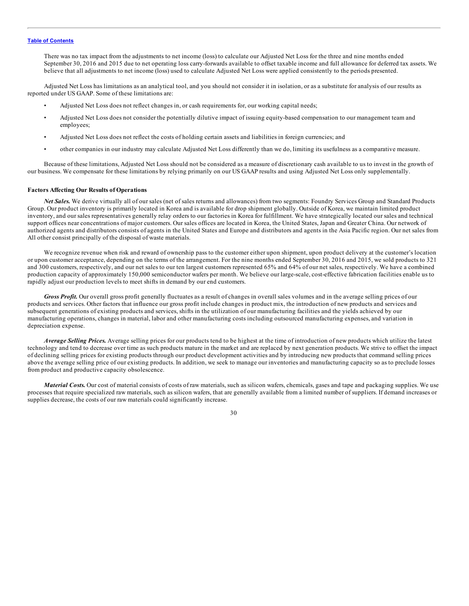There was no tax impact from the adjustments to net income (loss) to calculate our Adjusted Net Loss for the three and nine months ended September 30, 2016 and 2015 due to net operating loss carry-forwards available to offset taxable income and full allowance for deferred tax assets. We believe that all adjustments to net income (loss) used to calculate Adjusted Net Loss were applied consistently to the periods presented.

Adjusted Net Loss has limitations as an analytical tool, and you should not consider it in isolation, or as a substitute for analysis of our results as reported under US GAAP. Some of these limitations are:

- Adjusted Net Loss does not reflect changes in, or cash requirements for, our working capital needs;
- Adjusted Net Loss does not consider the potentially dilutive impact of issuing equity-based compensation to our management team and employees;
- Adjusted Net Loss does not reflect the costs of holding certain assets and liabilities in foreign currencies; and
- other companies in our industry may calculate Adjusted Net Loss differently than we do, limiting its usefulness as a comparative measure.

Because of these limitations, Adjusted Net Loss should not be considered as a measure of discretionary cash available to us to invest in the growth of our business. We compensate for these limitations by relying primarily on our US GAAP results and using Adjusted Net Loss only supplementally.

#### **Factors Affecting Our Results of Operations**

*Net Sales.* We derive virtually all of our sales (net of sales returns and allowances) from two segments: Foundry Services Group and Standard Products Group. Our product inventory is primarily located in Korea and is available for drop shipment globally. Outside of Korea, we maintain limited product inventory, and our sales representatives generally relay orders to our factories in Korea for fulfillment. We have strategically located our sales and technical support offices near concentrations of major customers. Our sales offices are located in Korea, the United States, Japan and Greater China. Our network of authorized agents and distributors consists of agents in the United States and Europe and distributors and agents in the Asia Pacific region. Our net sales from All other consist principally of the disposal of waste materials.

We recognize revenue when risk and reward of ownership pass to the customer either upon shipment, upon product delivery at the customer's location or upon customer acceptance, depending on the terms of the arrangement. For the nine months ended September 30, 2016 and 2015, we sold products to 321 and 300 customers, respectively, and our net sales to our ten largest customers represented 65% and 64% of our net sales, respectively. We have a combined production capacity of approximately 150,000 semiconductor wafers per month. We believe our large-scale, cost-effective fabrication facilities enable us to rapidly adjust our production levels to meet shifts in demand by our end customers.

*Gross Profit.* Our overall gross profit generally fluctuates as a result of changes in overall sales volumes and in the average selling prices of our products and services. Other factors that influence our gross profit include changes in product mix, the introduction of new products and services and subsequent generations of existing products and services, shifts in the utilization of our manufacturing facilities and the yields achieved by our manufacturing operations, changes in material, labor and other manufacturing costs including outsourced manufacturing expenses, and variation in depreciation expense.

*Average Selling Prices.* Average selling prices for our products tend to be highest at the time of introduction of new products which utilize the latest technology and tend to decrease over time as such products mature in the market and are replaced by next generation products. We strive to offset the impact of declining selling prices for existing products through our product development activities and by introducing new products that command selling prices above the average selling price of our existing products. In addition, we seek to manage our inventories and manufacturing capacity so as to preclude losses from product and productive capacity obsolescence.

*Material Costs.* Our cost of material consists of costs of raw materials, such as silicon wafers, chemicals, gases and tape and packaging supplies. We use processes that require specialized raw materials, such as silicon wafers, that are generally available from a limited number of suppliers. If demand increases or supplies decrease, the costs of our raw materials could significantly increase.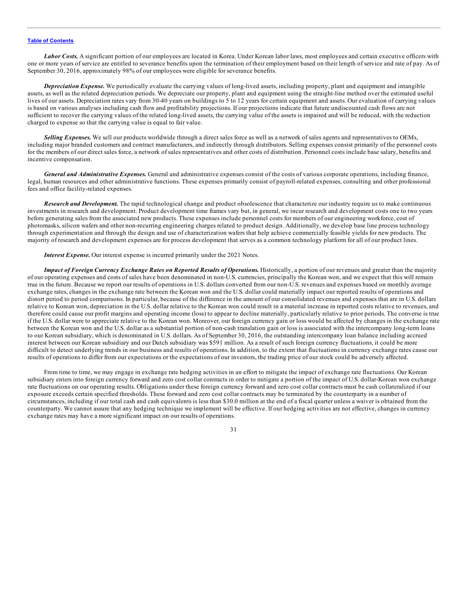Labor Costs. A significant portion of our employees are located in Korea. Under Korean labor laws, most employees and certain executive officers with one or more years of service are entitled to severance benefits upon the termination of their employment based on their length of service and rate of pay. As of September 30, 2016, approximately 98% of our employees were eligible for severance benefits.

*Depreciation Expense.* We periodically evaluate the carrying values of long-lived assets, including property, plant and equipment and intangible assets, as well as the related depreciation periods. We depreciate our property, plant and equipment using the straight-line method over the estimated useful lives of our assets. Depreciation rates vary from 30-40 years on buildings to 5 to 12 years for certain equipment and assets. Our evaluation of carrying values is based on various analyses including cash flow and profitability projections. If our projections indicate that future undiscounted cash flows are not sufficient to recover the carrying values of the related long-lived assets, the carrying value of the assets is impaired and will be reduced, with the reduction charged to expense so that the carrying value is equal to fair value.

*Selling Expenses.* We sell our products worldwide through a direct sales force as well as a network of sales agents and representatives to OEMs, including major branded customers and contract manufacturers, and indirectly through distributors. Selling expenses consist primarily of the personnel costs for the members of our direct sales force, a network of sales representatives and other costs of distribution. Personnel costs include base salary, benefits and incentive compensation.

*General and Administrative Expenses.* General and administrative expenses consist of the costs of various corporate operations, including finance, legal, human resources and other administrative functions. These expenses primarily consist of payroll-related expenses, consulting and other professional fees and office facility-related expenses.

*Research and Development.* The rapid technological change and product obsolescence that characterize our industry require us to make continuous investments in research and development. Product development time frames vary but, in general, we incur research and development costs one to two years before generating sales from the associated new products. These expenses include personnel costs for members of our engineering workforce, cost of photomasks, silicon wafers and other non-recurring engineering charges related to product design. Additionally, we develop base line process technology through experimentation and through the design and use of characterization wafers that help achieve commercially feasible yields for new products. The majority of research and development expenses are for process development that serves as a common technology platform for all of our product lines.

#### *Interest Expense.* Our interest expense is incurred primarily under the 2021 Notes.

*Impact of Foreign Currency Exchange Rates on Reported Results of Operations.* Historically, a portion of our revenues and greater than the majority of our operating expenses and costs of sales have been denominated in non-U.S. currencies, principally the Korean won, and we expect that this will remain true in the future. Because we report our results of operations in U.S. dollars converted from our non-U.S. revenues and expenses based on monthly average exchange rates, changes in the exchange rate between the Korean won and the U.S. dollar could materially impact our reported results of operations and distort period to period comparisons. In particular, because of the difference in the amount of our consolidated revenues and expenses that are in U.S. dollars relative to Korean won, depreciation in the U.S. dollar relative to the Korean won could result in a material increase in reported costs relative to revenues, and therefore could cause our profit margins and operating income (loss) to appear to decline materially, particularly relative to prior periods. The converse is true if the U.S. dollar were to appreciate relative to the Korean won. Moreover, our foreign currency gain or loss would be affected by changes in the exchange rate between the Korean won and the U.S. dollar as a substantial portion of non-cash translation gain or loss is associated with the intercompany long-term loans to our Korean subsidiary, which is denominated in U.S. dollars. As of September 30, 2016, the outstanding intercompany loan balance including accrued interest between our Korean subsidiary and our Dutch subsidiary was \$591 million. As a result of such foreign currency fluctuations, it could be more difficult to detect underlying trends in our business and results of operations. In addition, to the extent that fluctuations in currency exchange rates cause our results of operations to differ from our expectations or the expectations of our investors, the trading price of our stock could be adversely affected.

From time to time, we may engage in exchange rate hedging activities in an effort to mitigate the impact of exchange rate fluctuations. Our Korean subsidiary enters into foreign currency forward and zero cost collar contracts in order to mitigate a portion of the impact of U.S. dollar-Korean won exchange rate fluctuations on our operating results. Obligations under these foreign currency forward and zero cost collar contracts must be cash collateralized if our exposure exceeds certain specified thresholds. These forward and zero cost collar contracts may be terminated by the counterparty in a number of circumstances, including if our total cash and cash equivalents is less than \$30.0 million at the end of a fiscal quarter unless a waiver is obtained from the counterparty. We cannot assure that any hedging technique we implement will be effective. If our hedging activities are not effective, changes in currency exchange rates may have a more significant impact on our results of operations.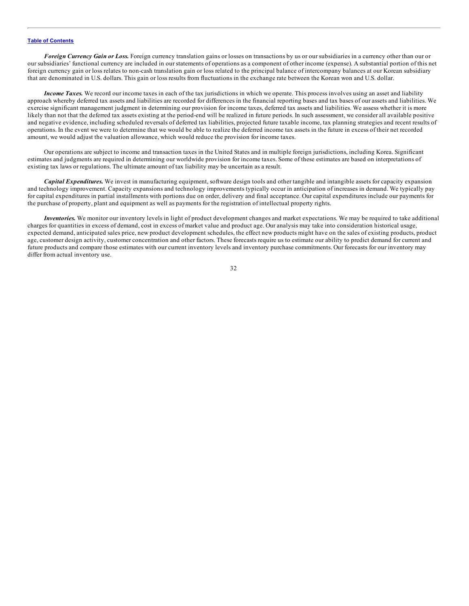*Foreign Currency Gain or Loss.* Foreign currency translation gains or losses on transactions by us or our subsidiaries in a currency other than our or our subsidiaries' functional currency are included in our statements of operations as a component of other income (expense). A substantial portion of this net foreign currency gain or loss relates to non-cash translation gain or loss related to the principal balance of intercompany balances at our Korean subsidiary that are denominated in U.S. dollars. This gain or loss results from fluctuations in the exchange rate between the Korean won and U.S. dollar.

*Income Taxes*. We record our income taxes in each of the tax jurisdictions in which we operate. This process involves using an asset and liability approach whereby deferred tax assets and liabilities are recorded for differences in the financial reporting bases and tax bases of our assets and liabilities. We exercise significant management judgment in determining our provision for income taxes, deferred tax assets and liabilities. We assess whether it is more likely than not that the deferred tax assets existing at the period-end will be realized in future periods. In such assessment, we consider all available positive and negative evidence, including scheduled reversals of deferred tax liabilities, projected future taxable income, tax planning strategies and recent results of operations. In the event we were to determine that we would be able to realize the deferred income tax assets in the future in excess of their net recorded amount, we would adjust the valuation allowance, which would reduce the provision for income taxes.

Our operations are subject to income and transaction taxes in the United States and in multiple foreign jurisdictions, including Korea. Significant estimates and judgments are required in determining our worldwide provision for income taxes. Some of these estimates are based on interpretations of existing tax laws or regulations. The ultimate amount of tax liability may be uncertain as a result.

*Capital Expenditures.* We invest in manufacturing equipment, software design tools and other tangible and intangible assets for capacity expansion and technology improvement. Capacity expansions and technology improvements typically occur in anticipation of increases in demand. We typically pay for capital expenditures in partial installments with portions due on order, delivery and final acceptance. Our capital expenditures include our payments for the purchase of property, plant and equipment as well as payments for the registration of intellectual property rights.

*Inventories.* We monitor our inventory levels in light of product development changes and market expectations. We may be required to take additional charges for quantities in excess of demand, cost in excess of market value and product age. Our analysis may take into consideration historical usage, expected demand, anticipated sales price, new product development schedules, the effect new products might have on the sales of existing products, product age, customer design activity, customer concentration and other factors. These forecasts require us to estimate our ability to predict demand for current and future products and compare those estimates with our current inventory levels and inventory purchase commitments. Our forecasts for our inventory may differ from actual inventory use.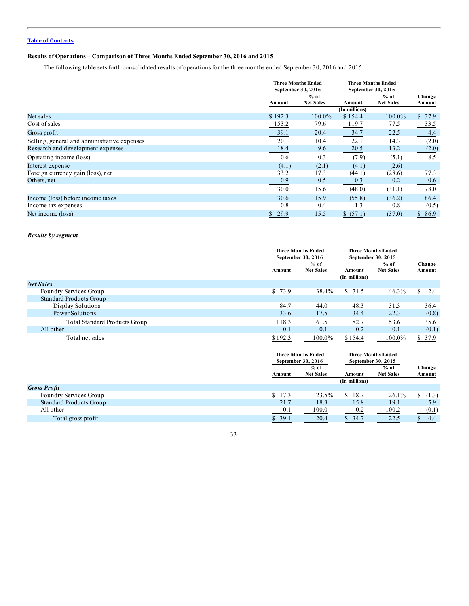## **Results of Operations – Comparison of Three Months Ended September 30, 2016 and 2015**

The following table sets forth consolidated results of operations for the three months ended September 30, 2016 and 2015:

|                                              |            | <b>Three Months Ended</b><br>September 30, 2016 |               | <b>Three Months Ended</b><br>September 30, 2015 |                  |  |
|----------------------------------------------|------------|-------------------------------------------------|---------------|-------------------------------------------------|------------------|--|
|                                              | Amount     | $%$ of<br><b>Net Sales</b>                      | Amount        | $%$ of<br><b>Net Sales</b>                      | Change<br>Amount |  |
|                                              |            |                                                 | (In millions) |                                                 |                  |  |
| Net sales                                    | \$192.3    | $100.0\%$                                       | \$154.4       | 100.0%                                          | \$37.9           |  |
| Cost of sales                                | 153.2      | 79.6                                            | 119.7         | 77.5                                            | 33.5             |  |
| Gross profit                                 | 39.1       | 20.4                                            | 34.7          | 22.5                                            | 4.4              |  |
| Selling, general and administrative expenses | 20.1       | 10.4                                            | 22.1          | 14.3                                            | (2.0)            |  |
| Research and development expenses            | 18.4       | 9.6                                             | 20.5          | 13.2                                            | (2.0)            |  |
| Operating income (loss)                      | 0.6        | 0.3                                             | (7.9)         | (5.1)                                           | 8.5              |  |
| Interest expense                             | (4.1)      | (2.1)                                           | (4.1)         | (2.6)                                           |                  |  |
| Foreign currency gain (loss), net            | 33.2       | 17.3                                            | (44.1)        | (28.6)                                          | 77.3             |  |
| Others, net                                  | 0.9        | 0.5                                             | 0.3           | 0.2                                             | 0.6              |  |
|                                              | 30.0       | 15.6                                            | (48.0)        | (31.1)                                          | 78.0             |  |
| Income (loss) before income taxes            | 30.6       | 15.9                                            | (55.8)        | (36.2)                                          | 86.4             |  |
| Income tax expenses                          | 0.8        | 0.4                                             | 1.3           | 0.8                                             | (0.5)            |  |
| Net income (loss)                            | 29.9<br>\$ | 15.5                                            | \$(57.1)      | (37.0)                                          | \$86.9           |  |

## *Results by segment*

|                                      |         | <b>Three Months Ended</b><br>September 30, 2016 |               | <b>Three Months Ended</b><br>September 30, 2015 |           |  |
|--------------------------------------|---------|-------------------------------------------------|---------------|-------------------------------------------------|-----------|--|
|                                      |         | $%$ of                                          |               | $%$ of                                          | Change    |  |
|                                      | Amount  | <b>Net Sales</b>                                | Amount        | <b>Net Sales</b>                                | Amount    |  |
|                                      |         |                                                 | (In millions) |                                                 |           |  |
| <b>Net Sales</b>                     |         |                                                 |               |                                                 |           |  |
| Foundry Services Group               | \$73.9  | 38.4%                                           | \$71.5        | 46.3%                                           | 2.4<br>S. |  |
| <b>Standard Products Group</b>       |         |                                                 |               |                                                 |           |  |
| Display Solutions                    | 84.7    | 44.0                                            | 48.3          | 31.3                                            | 36.4      |  |
| Power Solutions                      | 33.6    | 17.5                                            | 34.4          | 22.3                                            | (0.8)     |  |
| <b>Total Standard Products Group</b> | 118.3   | 61.5                                            | 82.7          | 53.6                                            | 35.6      |  |
| All other                            | 0.1     | 0.1                                             | 0.2           | 0.1                                             | (0.1)     |  |
| Total net sales                      | \$192.3 | 100.0%                                          | \$154.4       | 100.0%                                          | \$37.9    |  |

|                                |        | <b>Three Months Ended</b><br>September 30, 2016 |                         | <b>Three Months Ended</b><br>September 30, 2015 |        |  |
|--------------------------------|--------|-------------------------------------------------|-------------------------|-------------------------------------------------|--------|--|
|                                |        | $%$ of                                          |                         | $%$ of                                          | Change |  |
|                                | Amount | <b>Net Sales</b>                                | Amount<br>(In millions) | <b>Net Sales</b>                                | Amount |  |
| <b>Gross Profit</b>            |        |                                                 |                         |                                                 |        |  |
| Foundry Services Group         | \$17.3 | 23.5%                                           | \$18.7                  | $26.1\%$                                        | (1.3)  |  |
| <b>Standard Products Group</b> | 21.7   | 18.3                                            | 15.8                    | 19.1                                            | 5.9    |  |
| All other                      | 0.1    | 100.0                                           | 0.2                     | 100.2                                           | (0.1)  |  |
| Total gross profit             | \$39.1 | 20.4                                            | \$34.7                  | 22.5                                            | 4.4    |  |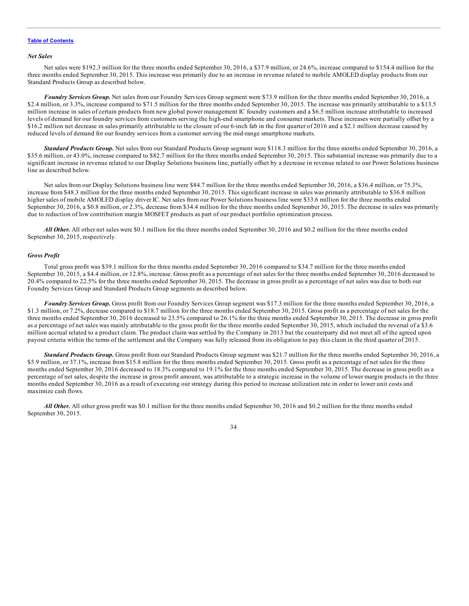#### *Net Sales*

Net sales were \$192.3 million for the three months ended September 30, 2016, a \$37.9 million, or 24.6%, increase compared to \$154.4 million for the three months ended September 30, 2015. This increase was primarily due to an increase in revenue related to mobile AMOLED display products from our Standard Products Group as described below.

*Foundry Services Group.* Net sales from our Foundry Services Group segment were \$73.9 million for the three months ended September 30, 2016, a \$2.4 million, or 3.3%, increase compared to \$71.5 million for the three months ended September 30, 2015. The increase was primarily attributable to a \$13.5 million increase in sales of certain products from new global power management IC foundry customers and a \$6.5 million increase attributable to increased levels of demand for our foundry services from customers serving the high-end smartphone and consumer markets. These increases were partially offset by a \$16.2 million net decrease in sales primarily attributable to the closure of our 6-inch fab in the first quarter of 2016 and a \$2.1 million decrease caused by reduced levels of demand for our foundry services from a customer serving the mid-range smartphone markets.

*Standard Products Group.* Net sales from our Standard Products Group segment were \$118.3 million for the three months ended September 30, 2016, a \$35.6 million, or 43.0%, increase compared to \$82.7 million for the three months ended September 30, 2015. This substantial increase was primarily due to a significant increase in revenue related to our Display Solutions business line, partially offset by a decrease in revenue related to our Power Solutions business line as described below.

Net sales from our Display Solutions business line were \$84.7 million for the three months ended September 30, 2016, a \$36.4 million, or 75.3%, increase from \$48.3 million for the three months ended September 30, 2015. This significant increase in sales was primarily attributable to \$36.8 million higher sales of mobile AMOLED display driver IC. Net sales from our Power Solutions business line were \$33.6 million for the three months ended September 30, 2016, a \$0.8 million, or 2.3%, decrease from \$34.4 million for the three months ended September 30, 2015. The decrease in sales was primarily due to reduction of low contribution margin MOSFET products as part of our product portfolio optimization process.

*All Other.* All other net sales were \$0.1 million for the three months ended September 30, 2016 and \$0.2 million for the three months ended September 30, 2015, respectively.

#### *Gross Profit*

Total gross profit was \$39.1 million for the three months ended September 30, 2016 compared to \$34.7 million for the three months ended September 30, 2015, a \$4.4 million, or 12.8%, increase. Gross profit as a percentage of net sales for the three months ended September 30, 2016 decreased to 20.4% compared to 22.5% for the three months ended September 30, 2015. The decrease in gross profit as a percentage of net sales was due to both our Foundry Services Group and Standard Products Group segments as described below.

*Foundry Services Group.* Gross profit from our Foundry Services Group segment was \$17.3 million for the three months ended September 30, 2016, a \$1.3 million, or 7.2%, decrease compared to \$18.7 million for the three months ended September 30, 2015. Gross profit as a percentage of net sales for the three months ended September 30, 2016 decreased to 23.5% compared to 26.1% for the three months ended September 30, 2015. The decrease in gross profit as a percentage of net sales was mainly attributable to the gross profit for the three months ended September 30, 2015, which included the reversal of a \$3.6 million accrual related to a product claim. The product claim was settled by the Company in 2013 but the counterparty did not meet all of the agreed upon payout criteria within the terms of the settlement and the Company was fully released from its obligation to pay this claim in the third quarter of 2015.

*Standard Products Group.* Gross profit from our Standard Products Group segment was \$21.7 million for the three months ended September 30, 2016, a \$5.9 million, or 37.1%, increase from \$15.8 million for the three months ended September 30, 2015. Gross profit as a percentage of net sales for the three months ended September 30, 2016 decreased to 18.3% compared to 19.1% for the three months ended September 30, 2015. The decrease in gross profit as a percentage of net sales, despite the increase in gross profit amount, was attributable to a strategic increase in the volume of lower margin products in the three months ended September 30, 2016 as a result of executing our strategy during this period to increase utilization rate in order to lower unit costs and maximize cash flows.

*All Other.* All other gross profit was \$0.1 million for the three months ended September 30, 2016 and \$0.2 million for the three months ended September 30, 2015.

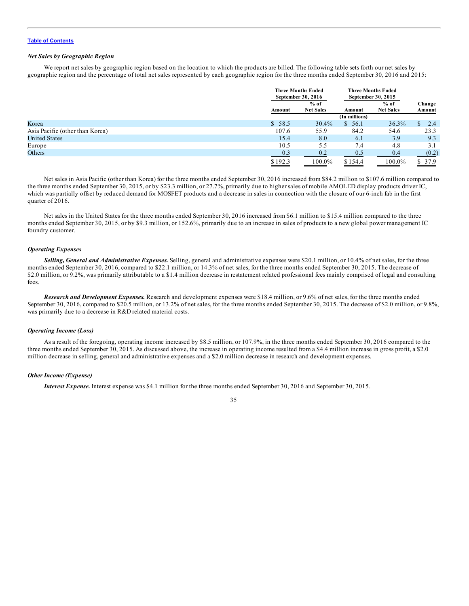#### *Net Sales by Geographic Region*

We report net sales by geographic region based on the location to which the products are billed. The following table sets forth our net sales by geographic region and the percentage of total net sales represented by each geographic region for the three months ended September 30, 2016 and 2015:

|                                 |         | <b>Three Months Ended</b><br>September 30, 2016 |                                             | <b>Three Months Ended</b><br>September 30, 2015 |           |
|---------------------------------|---------|-------------------------------------------------|---------------------------------------------|-------------------------------------------------|-----------|
|                                 |         | $%$ of                                          | <b>Net Sales</b><br>Amount<br>(In millions) |                                                 | Change    |
|                                 | Amount  |                                                 |                                             |                                                 | Amount    |
| Korea                           | \$58.5  | $30.4\%$                                        | \$56.1                                      | 36.3%                                           | 2.4<br>S. |
| Asia Pacific (other than Korea) | 107.6   | 55.9                                            | 84.2                                        | 54.6                                            | 23.3      |
| <b>United States</b>            | 15.4    | 8.0                                             | 6.1                                         | 3.9                                             | 9.3       |
| Europe                          | 10.5    | 5.5                                             | 7.4                                         | 4.8                                             | 3.1       |
| Others                          | 0.3     | 0.2                                             | 0.5                                         | 0.4                                             | (0.2)     |
|                                 | \$192.3 | 100.0%                                          | \$154.4                                     | 100.0%                                          | \$37.9    |

Net sales in Asia Pacific (other than Korea) for the three months ended September 30, 2016 increased from \$84.2 million to \$107.6 million compared to the three months ended September 30, 2015, or by \$23.3 million, or 27.7%, primarily due to higher sales of mobile AMOLED display products driver IC, which was partially offset by reduced demand for MOSFET products and a decrease in sales in connection with the closure of our 6-inch fab in the first quarter of 2016.

Net sales in the United States for the three months ended September 30, 2016 increased from \$6.1 million to \$15.4 million compared to the three months ended September 30, 2015, or by \$9.3 million, or 152.6%, primarily due to an increase in sales of products to a new global power management IC foundry customer.

#### *Operating Expenses*

*Selling, General and Administrative Expenses.* Selling, general and administrative expenses were \$20.1 million, or 10.4% of net sales, for the three months ended September 30, 2016, compared to \$22.1 million, or 14.3% of net sales, for the three months ended September 30, 2015. The decrease of \$2.0 million, or 9.2%, was primarily attributable to a \$1.4 million decrease in restatement related professional fees mainly comprised of legal and consulting fees.

*Research and Development Expenses.* Research and development expenses were \$18.4 million, or 9.6% of net sales, for the three months ended September 30, 2016, compared to \$20.5 million, or 13.2% of net sales, for the three months ended September 30, 2015. The decrease of \$2.0 million, or 9.8%, was primarily due to a decrease in R&D related material costs.

#### *Operating Income (Loss)*

As a result of the foregoing, operating income increased by \$8.5 million, or 107.9%, in the three months ended September 30, 2016 compared to the three months ended September 30, 2015. As discussed above, the increase in operating income resulted from a \$4.4 million increase in gross profit, a \$2.0 million decrease in selling, general and administrative expenses and a \$2.0 million decrease in research and development expenses.

#### *Other Income (Expense)*

*Interest Expense.* Interest expense was \$4.1 million for the three months ended September 30, 2016 and September 30, 2015.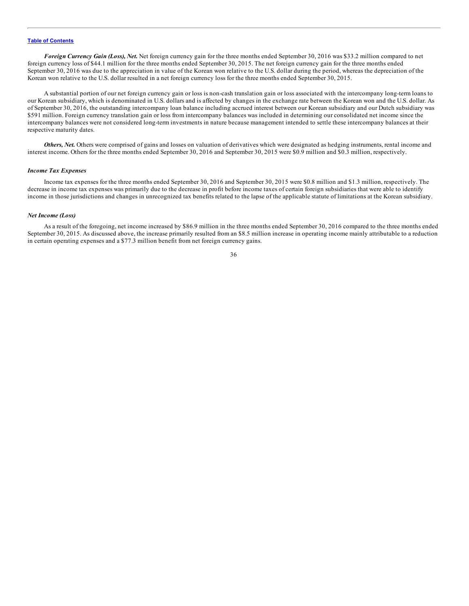*Foreign Currency Gain (Loss), Net.* Net foreign currency gain for the three months ended September 30, 2016 was \$33.2 million compared to net foreign currency loss of \$44.1 million for the three months ended September 30, 2015. The net foreign currency gain for the three months ended September 30, 2016 was due to the appreciation in value of the Korean won relative to the U.S. dollar during the period, whereas the depreciation of the Korean won relative to the U.S. dollar resulted in a net foreign currency loss for the three months ended September 30, 2015.

A substantial portion of our net foreign currency gain or loss is non-cash translation gain or loss associated with the intercompany long-term loans to our Korean subsidiary, which is denominated in U.S. dollars and is affected by changes in the exchange rate between the Korean won and the U.S. dollar. As of September 30, 2016, the outstanding intercompany loan balance including accrued interest between our Korean subsidiary and our Dutch subsidiary was \$591 million. Foreign currency translation gain or loss from intercompany balances was included in determining our consolidated net income since the intercompany balances were not considered long-term investments in nature because management intended to settle these intercompany balances at their respective maturity dates.

*Others, Net.* Others were comprised of gains and losses on valuation of derivatives which were designated as hedging instruments, rental income and interest income. Others for the three months ended September 30, 2016 and September 30, 2015 were \$0.9 million and \$0.3 million, respectively.

#### *Income Tax Expenses*

Income tax expenses for the three months ended September 30, 2016 and September 30, 2015 were \$0.8 million and \$1.3 million, respectively. The decrease in income tax expenses was primarily due to the decrease in profit before income taxes of certain foreign subsidiaries that were able to identify income in those jurisdictions and changes in unrecognized tax benefits related to the lapse of the applicable statute of limitations at the Korean subsidiary.

#### *Net Income (Loss)*

As a result of the foregoing, net income increased by \$86.9 million in the three months ended September 30, 2016 compared to the three months ended September 30, 2015. As discussed above, the increase primarily resulted from an \$8.5 million increase in operating income mainly attributable to a reduction in certain operating expenses and a \$77.3 million benefit from net foreign currency gains.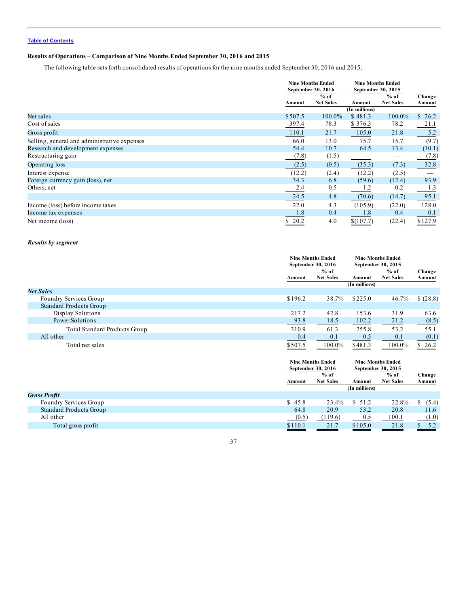## **Results of Operations – Comparison of Nine Months Ended September 30, 2016 and 2015**

The following table sets forth consolidated results of operations for the nine months ended September 30, 2016 and 2015:

|                                              |         | <b>Nine Months Ended</b><br>September 30, 2016 |               | <b>Nine Months Ended</b><br>September 30, 2015 |                  |
|----------------------------------------------|---------|------------------------------------------------|---------------|------------------------------------------------|------------------|
|                                              | Amount  | $%$ of<br><b>Net Sales</b>                     | Amount        | $%$ of<br><b>Net Sales</b>                     | Change<br>Amount |
|                                              |         |                                                | (In millions) |                                                |                  |
| Net sales                                    | \$507.5 | $100.0\%$                                      | \$481.3       | 100.0%                                         | \$26.2           |
| Cost of sales                                | 397.4   | 78.3                                           | \$376.3       | 78.2                                           | 21.1             |
| Gross profit                                 | 110.1   | 21.7                                           | 105.0         | 21.8                                           | 5.2              |
| Selling, general and administrative expenses | 66.0    | 13.0                                           | 75.7          | 15.7                                           | (9.7)            |
| Research and development expenses            | 54.4    | 10.7                                           | 64.5          | 13.4                                           | (10.1)           |
| Restructuring gain                           | (7.8)   | (1.5)                                          |               |                                                | (7.8)            |
| Operating loss                               | (2.5)   | (0.5)                                          | (35.3)        | (7.3)                                          | 32.8             |
| Interest expense                             | (12.2)  | (2.4)                                          | (12.2)        | (2.5)                                          |                  |
| Foreign currency gain (loss), net            | 34.3    | 6.8                                            | (59.6)        | (12.4)                                         | 93.9             |
| Others, net                                  | 2.4     | 0.5                                            | 1.2           | 0.2                                            | 1.3              |
|                                              | 24.5    | 4.8                                            | (70.6)        | (14.7)                                         | 95.1             |
| Income (loss) before income taxes            | 22.0    | 4.3                                            | (105.9)       | (22.0)                                         | 128.0            |
| Income tax expenses                          | 1.8     | 0.4                                            | 1.8           | 0.4                                            | 0.1              |
| Net income (loss)                            | \$20.2  | 4.0                                            | \$(107.7)     | (22.4)                                         | \$127.9          |

## *Results by segment*

|                                      | <b>Nine Months Ended</b><br>September 30, 2016 |                  | <b>Nine Months Ended</b><br>September 30, 2015 |                  |           |  |
|--------------------------------------|------------------------------------------------|------------------|------------------------------------------------|------------------|-----------|--|
|                                      |                                                | $%$ of           |                                                | $%$ of           | Change    |  |
|                                      | Amount                                         | <b>Net Sales</b> | Amount                                         | <b>Net Sales</b> | Amount    |  |
|                                      |                                                |                  | (In millions)                                  |                  |           |  |
| <b>Net Sales</b>                     |                                                |                  |                                                |                  |           |  |
| Foundry Services Group               | \$196.2                                        | 38.7%            | \$225.0                                        | $46.7\%$         | \$ (28.8) |  |
| <b>Standard Products Group</b>       |                                                |                  |                                                |                  |           |  |
| Display Solutions                    | 217.2                                          | 42.8             | 153.6                                          | 31.9             | 63.6      |  |
| Power Solutions                      | 93.8                                           | 18.5             | 102.2                                          | 21.2             | (8.5)     |  |
| <b>Total Standard Products Group</b> | 310.9                                          | 61.3             | 255.8                                          | 53.2             | 55.1      |  |
| All other                            | 0.4                                            | 0.1              | 0.5                                            | $\overline{0.1}$ | (0.1)     |  |
| Total net sales                      | \$507.5                                        | 100.0%           | \$481.3                                        | 100.0%           | \$26.2    |  |

|                                |         | <b>Nine Months Ended</b> |               | <b>Nine Months Ended</b> |        |
|--------------------------------|---------|--------------------------|---------------|--------------------------|--------|
|                                |         | September 30, 2016       |               | September 30, 2015       |        |
|                                |         | $%$ of                   |               | $%$ of                   | Change |
|                                | Amount  | <b>Net Sales</b>         | Amount        | <b>Net Sales</b>         | Amount |
|                                |         |                          | (In millions) |                          |        |
| <b>Gross Profit</b>            |         |                          |               |                          |        |
| Foundry Services Group         | \$45.8  | 23.4%                    | \$51.2        | 22.8%                    | (5.4)  |
| <b>Standard Products Group</b> | 64.8    | 20.9                     | 53.2          | 20.8                     | 11.6   |
| All other                      | (0.5)   | (119.6)                  | 0.5           | 100.1                    | (1.0)  |
| Total gross profit             | \$110.1 | 21.7                     | \$105.0       | 21.8                     | 5.2    |
|                                |         |                          |               |                          |        |

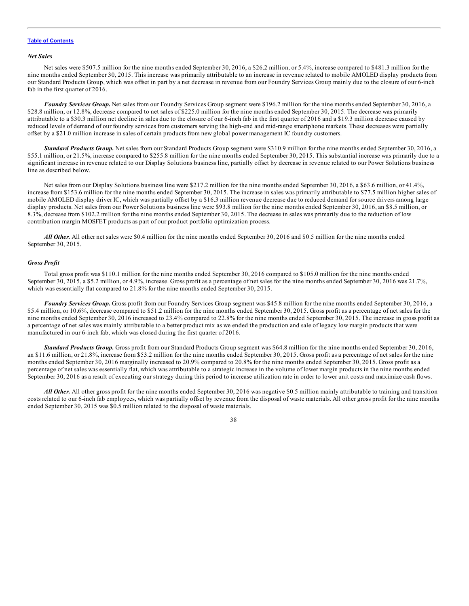#### *Net Sales*

Net sales were \$507.5 million for the nine months ended September 30, 2016, a \$26.2 million, or 5.4%, increase compared to \$481.3 million for the nine months ended September 30, 2015. This increase was primarily attributable to an increase in revenue related to mobile AMOLED display products from our Standard Products Group, which was offset in part by a net decrease in revenue from our Foundry Services Group mainly due to the closure of our 6-inch fab in the first quarter of 2016.

*Foundry Services Group.* Net sales from our Foundry Services Group segment were \$196.2 million for the nine months ended September 30, 2016, a \$28.8 million, or 12.8%, decrease compared to net sales of \$225.0 million for the nine months ended September 30, 2015. The decrease was primarily attributable to a \$30.3 million net decline in sales due to the closure of our 6-inch fab in the first quarter of 2016 and a \$19.3 million decrease caused by reduced levels of demand of our foundry services from customers serving the high-end and mid-range smartphone markets. These decreases were partially offset by a \$21.0 million increase in sales of certain products from new global power management IC foundry customers.

*Standard Products Group.* Net sales from our Standard Products Group segment were \$310.9 million for the nine months ended September 30, 2016, a \$55.1 million, or 21.5%, increase compared to \$255.8 million for the nine months ended September 30, 2015. This substantial increase was primarily due to a significant increase in revenue related to our Display Solutions business line, partially offset by decrease in revenue related to our Power Solutions business line as described below.

Net sales from our Display Solutions business line were \$217.2 million for the nine months ended September 30, 2016, a \$63.6 million, or 41.4%, increase from \$153.6 million for the nine months ended September 30, 2015. The increase in sales was primarily attributable to \$77.5 million higher sales of mobile AMOLED display driver IC, which was partially offset by a \$16.3 million revenue decrease due to reduced demand for source drivers among large display products. Net sales from our Power Solutions business line were \$93.8 million for the nine months ended September 30, 2016, an \$8.5 million, or 8.3%, decrease from \$102.2 million for the nine months ended September 30, 2015. The decrease in sales was primarily due to the reduction of low contribution margin MOSFET products as part of our product portfolio optimization process.

*All Other.* All other net sales were \$0.4 million for the nine months ended September 30, 2016 and \$0.5 million for the nine months ended September 30, 2015.

#### *Gross Profit*

Total gross profit was \$110.1 million for the nine months ended September 30, 2016 compared to \$105.0 million for the nine months ended September 30, 2015, a \$5.2 million, or 4.9%, increase. Gross profit as a percentage of net sales for the nine months ended September 30, 2016 was 21.7%, which was essentially flat compared to 21.8% for the nine months ended September 30, 2015.

*Foundry Services Group.* Gross profit from our Foundry Services Group segment was \$45.8 million for the nine months ended September 30, 2016, a \$5.4 million, or 10.6%, decrease compared to \$51.2 million for the nine months ended September 30, 2015. Gross profit as a percentage of net sales for the nine months ended September 30, 2016 increased to 23.4% compared to 22.8% for the nine months ended September 30, 2015. The increase in gross profit as a percentage of net sales was mainly attributable to a better product mix as we ended the production and sale of legacy low margin products that were manufactured in our 6-inch fab, which was closed during the first quarter of 2016.

*Standard Products Group.* Gross profit from our Standard Products Group segment was \$64.8 million for the nine months ended September 30, 2016, an \$11.6 million, or 21.8%, increase from \$53.2 million for the nine months ended September 30, 2015. Gross profit as a percentage of net sales for the nine months ended September 30, 2016 marginally increased to 20.9% compared to 20.8% for the nine months ended September 30, 2015. Gross profit as a percentage of net sales was essentially flat, which was attributable to a strategic increase in the volume of lower margin products in the nine months ended September 30, 2016 as a result of executing our strategy during this period to increase utilization rate in order to lower unit costs and maximize cash flows.

*All Other.* All other gross profit for the nine months ended September 30, 2016 was negative \$0.5 million mainly attributable to training and transition costs related to our 6-inch fab employees, which was partially offset by revenue from the disposal of waste materials. All other gross profit for the nine months ended September 30, 2015 was \$0.5 million related to the disposal of waste materials.

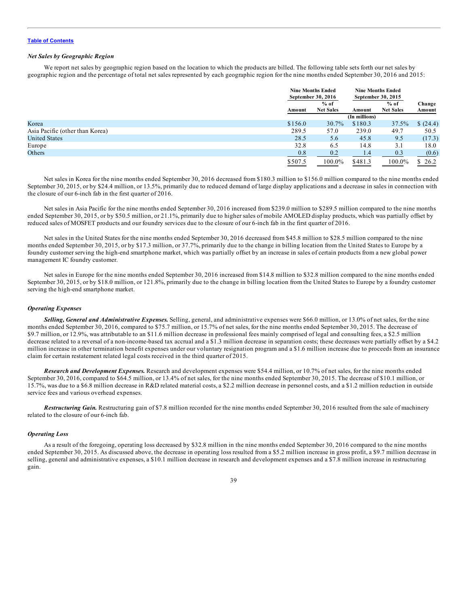#### *Net Sales by Geographic Region*

We report net sales by geographic region based on the location to which the products are billed. The following table sets forth our net sales by geographic region and the percentage of total net sales represented by each geographic region for the nine months ended September 30, 2016 and 2015:

|                                 |         | <b>Nine Months Ended</b><br>September 30, 2016 |               | <b>Nine Months Ended</b><br>September 30, 2015 |                  |
|---------------------------------|---------|------------------------------------------------|---------------|------------------------------------------------|------------------|
|                                 | Amount  | $%$ of<br><b>Net Sales</b>                     | Amount        | $%$ of<br><b>Net Sales</b>                     | Change<br>Amount |
|                                 |         |                                                | (In millions) |                                                |                  |
| Korea                           | \$156.0 | 30.7%                                          | \$180.3       | 37.5%                                          | \$(24.4)         |
| Asia Pacific (other than Korea) | 289.5   | 57.0                                           | 239.0         | 49.7                                           | 50.5             |
| <b>United States</b>            | 28.5    | 5.6                                            | 45.8          | 9.5                                            | (17.3)           |
| Europe                          | 32.8    | 6.5                                            | 14.8          | 3.1                                            | 18.0             |
| Others                          | 0.8     | 0.2                                            | 1.4           | 0.3                                            | (0.6)            |
|                                 | \$507.5 | 100.0%                                         | \$481.3       | 100.0%                                         | \$26.2           |

Net sales in Korea for the nine months ended September 30, 2016 decreased from \$180.3 million to \$156.0 million compared to the nine months ended September 30, 2015, or by \$24.4 million, or 13.5%, primarily due to reduced demand of large display applications and a decrease in sales in connection with the closure of our 6-inch fab in the first quarter of 2016.

Net sales in Asia Pacific for the nine months ended September 30, 2016 increased from \$239.0 million to \$289.5 million compared to the nine months ended September 30, 2015, or by \$50.5 million, or 21.1%, primarily due to higher sales of mobile AMOLED display products, which was partially offset by reduced sales of MOSFET products and our foundry services due to the closure of our 6-inch fab in the first quarter of 2016.

Net sales in the United States for the nine months ended September 30, 2016 decreased from \$45.8 million to \$28.5 million compared to the nine months ended September 30, 2015, or by \$17.3 million, or 37.7%, primarily due to the change in billing location from the United States to Europe by a foundry customer serving the high-end smartphone market, which was partially offset by an increase in sales of certain products from a new global power management IC foundry customer.

Net sales in Europe for the nine months ended September 30, 2016 increased from \$14.8 million to \$32.8 million compared to the nine months ended September 30, 2015, or by \$18.0 million, or 121.8%, primarily due to the change in billing location from the United States to Europe by a foundry customer serving the high-end smartphone market.

#### *Operating Expenses*

*Selling, General and Administrative Expenses.* Selling, general, and administrative expenses were \$66.0 million, or 13.0% of net sales, for the nine months ended September 30, 2016, compared to \$75.7 million, or 15.7% of net sales, for the nine months ended September 30, 2015. The decrease of \$9.7 million, or 12.9%, was attributable to an \$11.6 million decrease in professional fees mainly comprised of legal and consulting fees, a \$2.5 million decrease related to a reversal of a non-income-based tax accrual and a \$1.3 million decrease in separation costs; these decreases were partially offset by a \$4.2 million increase in other termination benefit expenses under our voluntary resignation program and a \$1.6 million increase due to proceeds from an insurance claim for certain restatement related legal costs received in the third quarter of 2015.

*Research and Development Expenses.* Research and development expenses were \$54.4 million, or 10.7% of net sales, for the nine months ended September 30, 2016, compared to \$64.5 million, or 13.4% of net sales, for the nine months ended September 30, 2015. The decrease of \$10.1 million, or 15.7%, was due to a \$6.8 million decrease in R&D related material costs, a \$2.2 million decrease in personnel costs, and a \$1.2 million reduction in outside service fees and various overhead expenses.

*Restructuring Gain.* Restructuring gain of \$7.8 million recorded for the nine months ended September 30, 2016 resulted from the sale of machinery related to the closure of our 6-inch fab.

#### *Operating Loss*

As a result of the foregoing, operating loss decreased by \$32.8 million in the nine months ended September 30, 2016 compared to the nine months ended September 30, 2015. As discussed above, the decrease in operating loss resulted from a \$5.2 million increase in gross profit, a \$9.7 million decrease in selling, general and administrative expenses, a \$10.1 million decrease in research and development expenses and a \$7.8 million increase in restructuring gain.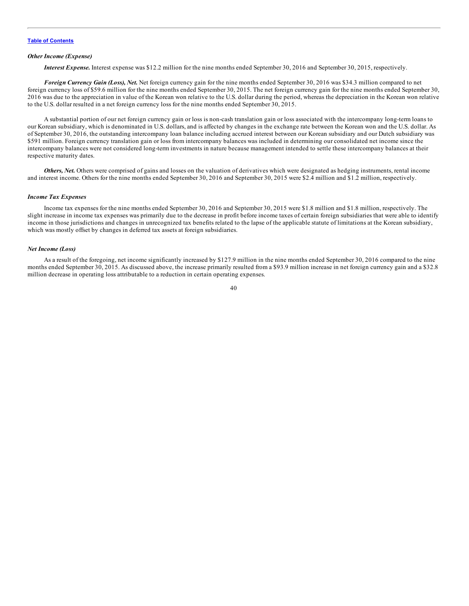#### *Other Income (Expense)*

*Interest Expense.* Interest expense was \$12.2 million for the nine months ended September 30, 2016 and September 30, 2015, respectively.

*Foreign Currency Gain (Loss), Net.* Net foreign currency gain for the nine months ended September 30, 2016 was \$34.3 million compared to net foreign currency loss of \$59.6 million for the nine months ended September 30, 2015. The net foreign currency gain for the nine months ended September 30, 2016 was due to the appreciation in value of the Korean won relative to the U.S. dollar during the period, whereas the depreciation in the Korean won relative to the U.S. dollar resulted in a net foreign currency loss for the nine months ended September 30, 2015.

A substantial portion of our net foreign currency gain or loss is non-cash translation gain or loss associated with the intercompany long-term loans to our Korean subsidiary, which is denominated in U.S. dollars, and is affected by changes in the exchange rate between the Korean won and the U.S. dollar. As of September 30, 2016, the outstanding intercompany loan balance including accrued interest between our Korean subsidiary and our Dutch subsidiary was \$591 million. Foreign currency translation gain or loss from intercompany balances was included in determining our consolidated net income since the intercompany balances were not considered long-term investments in nature because management intended to settle these intercompany balances at their respective maturity dates.

*Others, Net.* Others were comprised of gains and losses on the valuation of derivatives which were designated as hedging instruments, rental income and interest income. Others for the nine months ended September 30, 2016 and September 30, 2015 were \$2.4 million and \$1.2 million, respectively.

#### *Income Tax Expenses*

Income tax expenses for the nine months ended September 30, 2016 and September 30, 2015 were \$1.8 million and \$1.8 million, respectively. The slight increase in income tax expenses was primarily due to the decrease in profit before income taxes of certain foreign subsidiaries that were able to identify income in those jurisdictions and changes in unrecognized tax benefits related to the lapse of the applicable statute of limitations at the Korean subsidiary, which was mostly offset by changes in deferred tax assets at foreign subsidiaries.

#### *Net Income (Loss)*

As a result of the foregoing, net income significantly increased by \$127.9 million in the nine months ended September 30, 2016 compared to the nine months ended September 30, 2015. As discussed above, the increase primarily resulted from a \$93.9 million increase in net foreign currency gain and a \$32.8 million decrease in operating loss attributable to a reduction in certain operating expenses.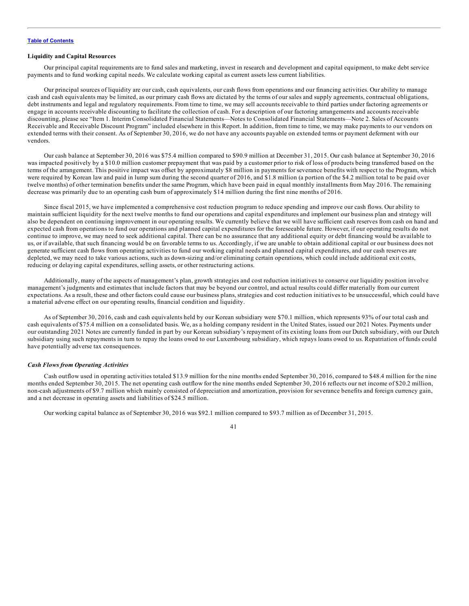#### **Liquidity and Capital Resources**

Our principal capital requirements are to fund sales and marketing, invest in research and development and capital equipment, to make debt service payments and to fund working capital needs. We calculate working capital as current assets less current liabilities.

Our principal sources of liquidity are our cash, cash equivalents, our cash flows from operations and our financing activities. Our ability to manage cash and cash equivalents may be limited, as our primary cash flows are dictated by the terms of our sales and supply agreements, contractual obligations, debt instruments and legal and regulatory requirements. From time to time, we may sell accounts receivable to third parties under factoring agreements or engage in accounts receivable discounting to facilitate the collection of cash. For a description of our factoring arrangements and accounts receivable discounting, please see "Item 1. Interim Consolidated Financial Statements—Notes to Consolidated Financial Statements—Note 2. Sales of Accounts Receivable and Receivable Discount Program" included elsewhere in this Report. In addition, from time to time, we may make payments to our vendors on extended terms with their consent. As of September 30, 2016, we do not have any accounts payable on extended terms or payment deferment with our vendors.

Our cash balance at September 30, 2016 was \$75.4 million compared to \$90.9 million at December 31, 2015. Our cash balance at September 30, 2016 was impacted positively by a \$10.0 million customer prepayment that was paid by a customer prior to risk of loss of products being transferred based on the terms of the arrangement. This positive impact was offset by approximately \$8 million in payments for severance benefits with respect to the Program, which were required by Korean law and paid in lump sum during the second quarter of 2016, and \$1.8 million (a portion of the \$4.2 million total to be paid over twelve months) of other termination benefits under the same Program, which have been paid in equal monthly installments from May 2016. The remaining decrease was primarily due to an operating cash burn of approximately \$14 million during the first nine months of 2016.

Since fiscal 2015, we have implemented a comprehensive cost reduction program to reduce spending and improve our cash flows. Our ability to maintain sufficient liquidity for the next twelve months to fund our operations and capital expenditures and implement our business plan and strategy will also be dependent on continuing improvement in our operating results. We currently believe that we will have sufficient cash reserves from cash on hand and expected cash from operations to fund our operations and planned capital expenditures for the foreseeable future. However, if our operating results do not continue to improve, we may need to seek additional capital. There can be no assurance that any additional equity or debt financing would be available to us, or if available, that such financing would be on favorable terms to us. Accordingly, if we are unable to obtain additional capital or our business does not generate sufficient cash flows from operating activities to fund our working capital needs and planned capital expenditures, and our cash reserves are depleted, we may need to take various actions, such as down-sizing and/or eliminating certain operations, which could include additional exit costs, reducing or delaying capital expenditures, selling assets, or other restructuring actions.

Additionally, many of the aspects of management's plan, growth strategies and cost reduction initiatives to conserve our liquidity position involve management's judgments and estimates that include factors that may be beyond our control, and actual results could differ materially from our current expectations. As a result, these and other factors could cause our business plans, strategies and cost reduction initiatives to be unsuccessful, which could have a material adverse effect on our operating results, financial condition and liquidity.

As of September 30, 2016, cash and cash equivalents held by our Korean subsidiary were \$70.1 million, which represents 93% of our total cash and cash equivalents of \$75.4 million on a consolidated basis. We, as a holding company resident in the United States, issued our 2021 Notes. Payments under our outstanding 2021 Notes are currently funded in part by our Korean subsidiary's repayment of its existing loans from our Dutch subsidiary, with our Dutch subsidiary using such repayments in turn to repay the loans owed to our Luxembourg subsidiary, which repays loans owed to us. Repatriation of funds could have potentially adverse tax consequences.

#### *Cash Flows from Operating Activities*

Cash outflow used in operating activities totaled \$13.9 million for the nine months ended September 30, 2016, compared to \$48.4 million for the nine months ended September 30, 2015. The net operating cash outflow for the nine months ended September 30, 2016 reflects our net income of \$20.2 million, non-cash adjustments of \$9.7 million which mainly consisted of depreciation and amortization, provision for severance benefits and foreign currency gain, and a net decrease in operating assets and liabilities of \$24.5 million.

Our working capital balance as of September 30, 2016 was \$92.1 million compared to \$93.7 million as of December 31, 2015.

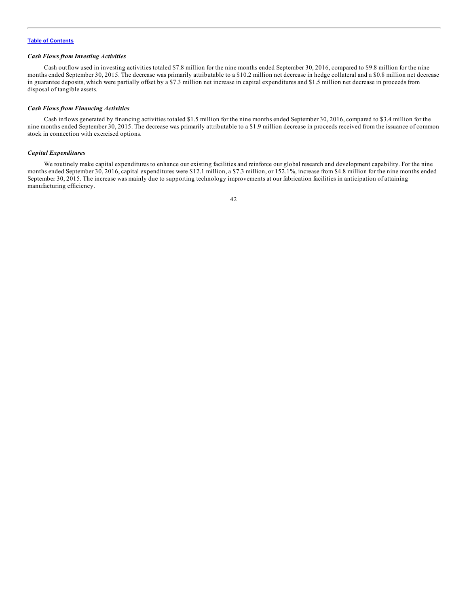#### *Cash Flows from Investing Activities*

Cash outflow used in investing activities totaled \$7.8 million for the nine months ended September 30, 2016, compared to \$9.8 million for the nine months ended September 30, 2015. The decrease was primarily attributable to a \$10.2 million net decrease in hedge collateral and a \$0.8 million net decrease in guarantee deposits, which were partially offset by a \$7.3 million net increase in capital expenditures and \$1.5 million net decrease in proceeds from disposal of tangible assets.

#### *Cash Flows from Financing Activities*

Cash inflows generated by financing activities totaled \$1.5 million for the nine months ended September 30, 2016, compared to \$3.4 million for the nine months ended September 30, 2015. The decrease was primarily attributable to a \$1.9 million decrease in proceeds received from the issuance of common stock in connection with exercised options.

#### *Capital Expenditures*

We routinely make capital expenditures to enhance our existing facilities and reinforce our global research and development capability. For the nine months ended September 30, 2016, capital expenditures were \$12.1 million, a \$7.3 million, or 152.1%, increase from \$4.8 million for the nine months ended September 30, 2015. The increase was mainly due to supporting technology improvements at our fabrication facilities in anticipation of attaining manufacturing efficiency.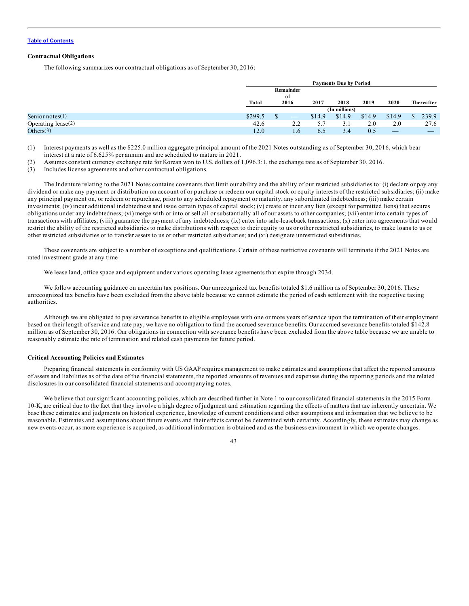#### **Contractual Obligations**

The following summarizes our contractual obligations as of September 30, 2016:

|                    |         |                         |        | <b>Payments Due by Period</b> |        |        |            |
|--------------------|---------|-------------------------|--------|-------------------------------|--------|--------|------------|
|                    | Total   | Remainder<br>of<br>2016 | 2017   | 2018                          | 2019   | 2020   | Thereafter |
|                    |         |                         |        | (In millions)                 |        |        |            |
| Senior notes $(1)$ | \$299.5 |                         | \$14.9 | \$14.9                        | \$14.9 | \$14.9 | 239.9      |
| Operating lease(2) | 42.6    | 2.2                     | 5.7    | 3.1                           | 2.0    | 2.0    | 27.6       |
| Others $(3)$       | 12.0    | 1.6                     | 6.5    | 3.4                           | 0.5    |        |            |

(1) Interest payments as well as the \$225.0 million aggregate principal amount of the 2021 Notes outstanding as of September 30, 2016, which bear interest at a rate of 6.625% per annum and are scheduled to mature in 2021.

(2) Assumes constant currency exchange rate for Korean won to U.S. dollars of 1,096.3:1, the exchange rate as of September 30, 2016.

(3) Includes license agreements and other contractual obligations.

The Indenture relating to the 2021 Notes contains covenants that limit our ability and the ability of our restricted subsidiaries to: (i) declare or pay any dividend or make any payment or distribution on account of or purchase or redeem our capital stock or equity interests of the restricted subsidiaries; (ii) make any principal payment on, or redeem or repurchase, prior to any scheduled repayment or maturity, any subordinated indebtedness; (iii) make certain investments; (iv) incur additional indebtedness and issue certain types of capital stock; (v) create or incur any lien (except for permitted liens) that secures obligations under any indebtedness; (vi) merge with or into or sell all or substantially all of our assets to other companies; (vii) enter into certain types of transactions with affiliates; (viii) guarantee the payment of any indebtedness; (ix) enter into sale-leaseback transactions; (x) enter into agreements that would restrict the ability of the restricted subsidiaries to make distributions with respect to their equity to us or other restricted subsidiaries, to make loans to us or other restricted subsidiaries or to transfer assets to us or other restricted subsidiaries; and (xi) designate unrestricted subsidiaries.

These covenants are subject to a number of exceptions and qualifications. Certain of these restrictive covenants will terminate if the 2021 Notes are rated investment grade at any time

We lease land, office space and equipment under various operating lease agreements that expire through 2034.

We follow accounting guidance on uncertain tax positions. Our unrecognized tax benefits totaled \$1.6 million as of September 30, 2016. These unrecognized tax benefits have been excluded from the above table because we cannot estimate the period of cash settlement with the respective taxing authorities.

Although we are obligated to pay severance benefits to eligible employees with one or more years of service upon the termination of their employment based on their length of service and rate pay, we have no obligation to fund the accrued severance benefits. Our accrued severance benefits totaled \$142.8 million as of September 30, 2016. Our obligations in connection with severance benefits have been excluded from the above table because we are unable to reasonably estimate the rate of termination and related cash payments for future period.

#### **Critical Accounting Policies and Estimates**

Preparing financial statements in conformity with US GAAP requires management to make estimates and assumptions that affect the reported amounts of assets and liabilities as of the date of the financial statements, the reported amounts of revenues and expenses during the reporting periods and the related disclosures in our consolidated financial statements and accompanying notes.

We believe that our significant accounting policies, which are described further in Note 1 to our consolidated financial statements in the 2015 Form 10-K, are critical due to the fact that they involve a high degree of judgment and estimation regarding the effects of matters that are inherently uncertain. We base these estimates and judgments on historical experience, knowledge of current conditions and other assumptions and information that we believe to be reasonable. Estimates and assumptions about future events and their effects cannot be determined with certainty. Accordingly, these estimates may change as new events occur, as more experience is acquired, as additional information is obtained and as the business environment in which we operate changes.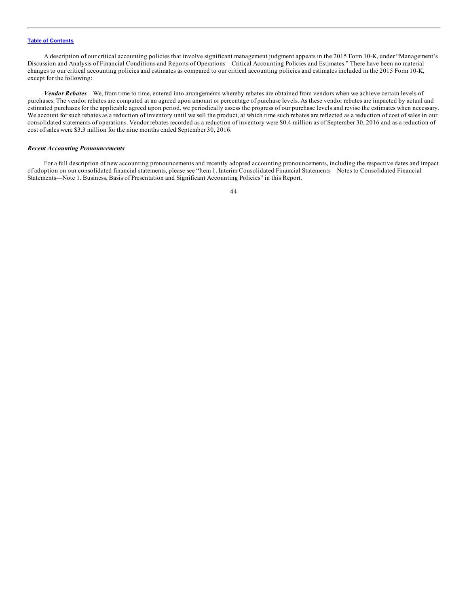A description of our critical accounting policies that involve significant management judgment appears in the 2015 Form 10-K, under "Management's Discussion and Analysis of Financial Conditions and Reports of Operations—Critical Accounting Policies and Estimates." There have been no material changes to our critical accounting policies and estimates as compared to our critical accounting policies and estimates included in the 2015 Form 10-K, except for the following:

*Vendor Rebates*—We, from time to time, entered into arrangements whereby rebates are obtained from vendors when we achieve certain levels of purchases. The vendor rebates are computed at an agreed upon amount or percentage of purchase levels. As these vendor rebates are impacted by actual and estimated purchases for the applicable agreed upon period, we periodically assess the progress of our purchase levels and revise the estimates when necessary. We account for such rebates as a reduction of inventory until we sell the product, at which time such rebates are reflected as a reduction of cost of sales in our consolidated statements of operations. Vendor rebates recorded as a reduction of inventory were \$0.4 million as of September 30, 2016 and as a reduction of cost of sales were \$3.3 million for the nine months ended September 30, 2016.

#### *Recent Accounting Pronouncements*

For a full description of new accounting pronouncements and recently adopted accounting pronouncements, including the respective dates and impact of adoption on our consolidated financial statements, please see "Item 1. Interim Consolidated Financial Statements—Notes to Consolidated Financial Statements—Note 1. Business, Basis of Presentation and Significant Accounting Policies" in this Report.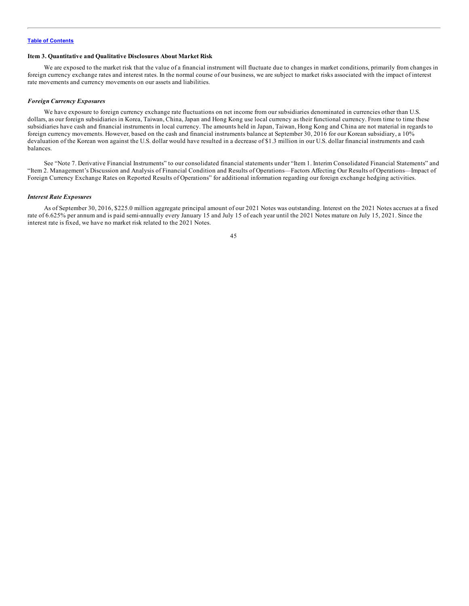#### <span id="page-44-0"></span>**Item 3. Quantitative and Qualitative Disclosures About Market Risk**

We are exposed to the market risk that the value of a financial instrument will fluctuate due to changes in market conditions, primarily from changes in foreign currency exchange rates and interest rates. In the normal course of our business, we are subject to market risks associated with the impact of interest rate movements and currency movements on our assets and liabilities.

#### *Foreign Currency Exposures*

We have exposure to foreign currency exchange rate fluctuations on net income from our subsidiaries denominated in currencies other than U.S. dollars, as our foreign subsidiaries in Korea, Taiwan, China, Japan and Hong Kong use local currency as their functional currency. From time to time these subsidiaries have cash and financial instruments in local currency. The amounts held in Japan, Taiwan, Hong Kong and China are not material in regards to foreign currency movements. However, based on the cash and financial instruments balance at September 30, 2016 for our Korean subsidiary, a  $10\%$ devaluation of the Korean won against the U.S. dollar would have resulted in a decrease of \$1.3 million in our U.S. dollar financial instruments and cash balances.

See "Note 7. Derivative Financial Instruments" to our consolidated financial statements under "Item 1. Interim Consolidated Financial Statements" and "Item 2. Management's Discussion and Analysis of Financial Condition and Results of Operations—Factors Affecting Our Results of Operations—Impact of Foreign Currency Exchange Rates on Reported Results of Operations" for additional information regarding our foreign exchange hedging activities.

#### *Interest Rate Exposures*

As of September 30, 2016, \$225.0 million aggregate principal amount of our 2021 Notes was outstanding. Interest on the 2021 Notes accrues at a fixed rate of 6.625% per annum and is paid semi-annually every January 15 and July 15 of each year until the 2021 Notes mature on July 15, 2021. Since the interest rate is fixed, we have no market risk related to the 2021 Notes.

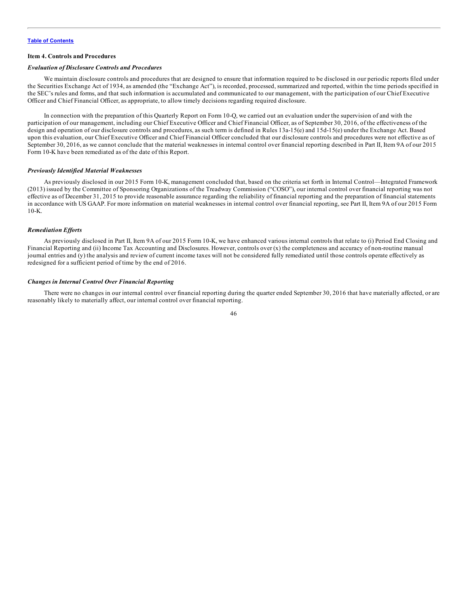#### <span id="page-45-0"></span>**Item 4. Controls and Procedures**

#### *Evaluation of Disclosure Controls and Procedures*

We maintain disclosure controls and procedures that are designed to ensure that information required to be disclosed in our periodic reports filed under the Securities Exchange Act of 1934, as amended (the "Exchange Act"), is recorded, processed, summarized and reported, within the time periods specified in the SEC's rules and forms, and that such information is accumulated and communicated to our management, with the participation of our Chief Executive Officer and Chief Financial Officer, as appropriate, to allow timely decisions regarding required disclosure.

In connection with the preparation of this Quarterly Report on Form 10-Q, we carried out an evaluation under the supervision of and with the participation of our management, including our Chief Executive Officer and Chief Financial Officer, as of September 30, 2016, of the effectiveness of the design and operation of our disclosure controls and procedures, as such term is defined in Rules 13a-15(e) and 15d-15(e) under the Exchange Act. Based upon this evaluation, our Chief Executive Officer and Chief Financial Officer concluded that our disclosure controls and procedures were not effective as of September 30, 2016, as we cannot conclude that the material weaknesses in internal control over financial reporting described in Part II, Item 9A of our 2015 Form 10-K have been remediated as of the date of this Report.

#### *Previously Identified Material Weaknesses*

As previously disclosed in our 2015 Form 10-K, management concluded that, based on the criteria set forth in Internal Control—Integrated Framework (2013) issued by the Committee of Sponsoring Organizations of the Treadway Commission ("COSO"), our internal control over financial reporting was not effective as of December 31, 2015 to provide reasonable assurance regarding the reliability of financial reporting and the preparation of financial statements in accordance with US GAAP. For more information on material weaknesses in internal control over financial reporting, see Part II, Item 9A of our 2015 Form  $10-K$ 

#### *Remediation Ef orts*

As previously disclosed in Part II, Item 9A of our 2015 Form 10-K, we have enhanced various internal controls that relate to (i) Period End Closing and Financial Reporting and (ii) Income Tax Accounting and Disclosures. However, controls over (x) the completeness and accuracy of non-routine manual journal entries and (y) the analysis and review of current income taxes will not be considered fully remediated until those controls operate effectively as redesigned for a sufficient period of time by the end of 2016.

#### *Changes in Internal Control Over Financial Reporting*

There were no changes in our internal control over financial reporting during the quarter ended September 30, 2016 that have materially affected, or are reasonably likely to materially affect, our internal control over financial reporting.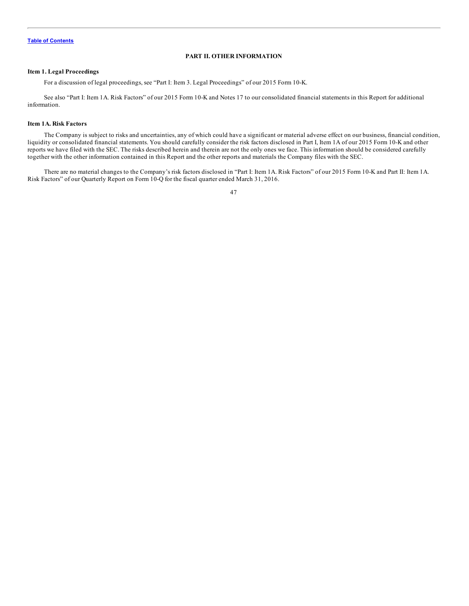#### **PART II. OTHER INFORMATION**

## <span id="page-46-0"></span>**Item 1. Legal Proceedings**

For a discussion of legal proceedings, see "Part I: Item 3. Legal Proceedings" of our 2015 Form 10-K.

See also "Part I: Item 1A. Risk Factors" of our 2015 Form 10-K and Notes 17 to our consolidated financial statements in this Report for additional information.

#### **Item 1A. Risk Factors**

The Company is subject to risks and uncertainties, any of which could have a significant or material adverse effect on our business, financial condition, liquidity or consolidated financial statements. You should carefully consider the risk factors disclosed in Part I, Item 1A of our 2015 Form 10-K and other reports we have filed with the SEC. The risks described herein and therein are not the only ones we face. This information should be considered carefully together with the other information contained in this Report and the other reports and materials the Company files with the SEC.

There are no material changes to the Company's risk factors disclosed in "Part I: Item 1A. Risk Factors" of our 2015 Form 10-K and Part II: Item 1A. Risk Factors" of our Quarterly Report on Form 10-Q for the fiscal quarter ended March 31, 2016.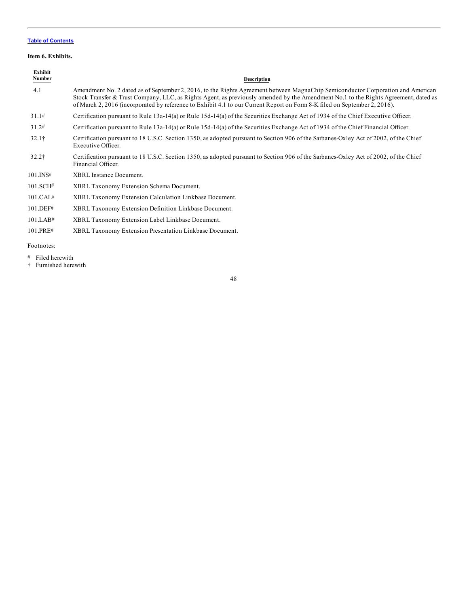## <span id="page-47-0"></span>**Item 6. Exhibits.**

| Exhibit<br>Number        | Description                                                                                                                                                                                                                                                                                                                                                                                         |
|--------------------------|-----------------------------------------------------------------------------------------------------------------------------------------------------------------------------------------------------------------------------------------------------------------------------------------------------------------------------------------------------------------------------------------------------|
| 4.1                      | Amendment No. 2 dated as of September 2, 2016, to the Rights Agreement between MagnaChip Semiconductor Corporation and American<br>Stock Transfer & Trust Company, LLC, as Rights Agent, as previously amended by the Amendment No.1 to the Rights Agreement, dated as<br>of March 2, 2016 (incorporated by reference to Exhibit 4.1 to our Current Report on Form 8-K filed on September 2, 2016). |
| 31.1#                    | Certification pursuant to Rule 13a-14(a) or Rule 15d-14(a) of the Securities Exchange Act of 1934 of the Chief Executive Officer.                                                                                                                                                                                                                                                                   |
| 31.2#                    | Certification pursuant to Rule 13a-14(a) or Rule 15d-14(a) of the Securities Exchange Act of 1934 of the Chief Financial Officer.                                                                                                                                                                                                                                                                   |
| 32.1 <sup>†</sup>        | Certification pursuant to 18 U.S.C. Section 1350, as adopted pursuant to Section 906 of the Sarbanes-Oxley Act of 2002, of the Chief<br>Executive Officer.                                                                                                                                                                                                                                          |
| $32.2\dagger$            | Certification pursuant to 18 U.S.C. Section 1350, as adopted pursuant to Section 906 of the Sarbanes-Oxley Act of 2002, of the Chief<br>Financial Officer.                                                                                                                                                                                                                                          |
| $101$ . INS <sup>#</sup> | <b>XBRL</b> Instance Document.                                                                                                                                                                                                                                                                                                                                                                      |
| $101.$ SCH#              | XBRL Taxonomy Extension Schema Document.                                                                                                                                                                                                                                                                                                                                                            |
| 101.CAL#                 | <b>XBRL Taxonomy Extension Calculation Linkbase Document.</b>                                                                                                                                                                                                                                                                                                                                       |
| 101.DEF#                 | <b>XBRL Taxonomy Extension Definition Linkbase Document.</b>                                                                                                                                                                                                                                                                                                                                        |
| $101$ .LAB#              | XBRL Taxonomy Extension Label Linkbase Document.                                                                                                                                                                                                                                                                                                                                                    |
| 101.PRE#                 | XBRL Taxonomy Extension Presentation Linkbase Document.                                                                                                                                                                                                                                                                                                                                             |
|                          |                                                                                                                                                                                                                                                                                                                                                                                                     |

Footnotes:

# Filed herewith

† Furnished herewith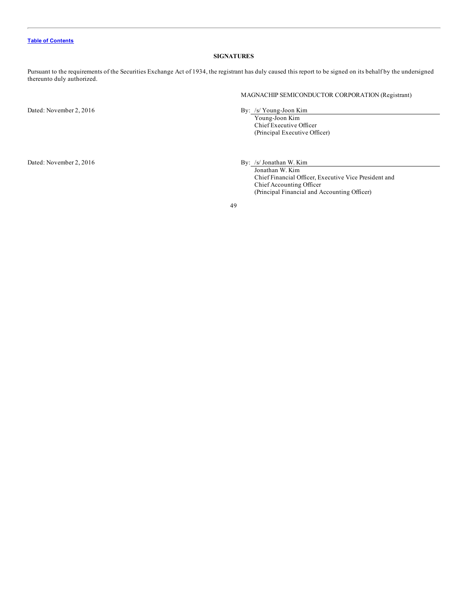#### **SIGNATURES**

<span id="page-48-0"></span>Pursuant to the requirements of the Securities Exchange Act of 1934, the registrant has duly caused this report to be signed on its behalf by the undersigned thereunto duly authorized.

Dated: November 2, 2016 By: /s/ Young-Joon Kim

MAGNACHIP SEMICONDUCTOR CORPORATION (Registrant)

Young-Joon Kim Chief Executive Officer (Principal Executive Officer)

Dated: November 2, 2016 By: /s/ Jonathan W. Kim

Jonathan W. Kim Chief Financial Officer, Executive Vice President and Chief Accounting Officer (Principal Financial and Accounting Officer)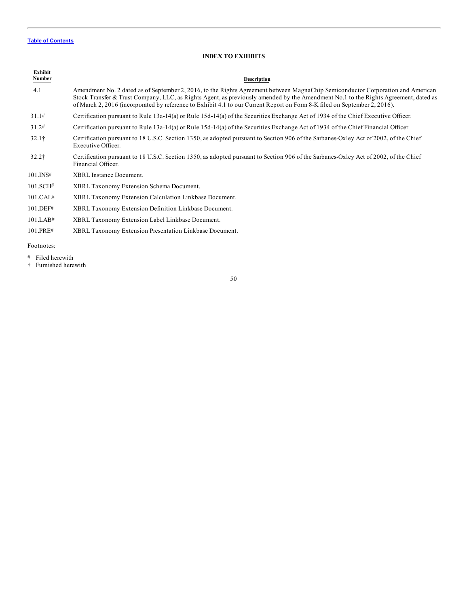## **INDEX TO EXHIBITS**

| <b>Exhibit</b><br>Number | <b>Description</b>                                                                                                                                                                                                                                                                                                                                                                                  |
|--------------------------|-----------------------------------------------------------------------------------------------------------------------------------------------------------------------------------------------------------------------------------------------------------------------------------------------------------------------------------------------------------------------------------------------------|
| 4.1                      | Amendment No. 2 dated as of September 2, 2016, to the Rights Agreement between MagnaChip Semiconductor Corporation and American<br>Stock Transfer & Trust Company, LLC, as Rights Agent, as previously amended by the Amendment No.1 to the Rights Agreement, dated as<br>of March 2, 2016 (incorporated by reference to Exhibit 4.1 to our Current Report on Form 8-K filed on September 2, 2016). |
| 31.1#                    | Certification pursuant to Rule 13a-14(a) or Rule 15d-14(a) of the Securities Exchange Act of 1934 of the Chief Executive Officer.                                                                                                                                                                                                                                                                   |
| 31.2#                    | Certification pursuant to Rule 13a-14(a) or Rule 15d-14(a) of the Securities Exchange Act of 1934 of the Chief Financial Officer.                                                                                                                                                                                                                                                                   |
| $32.1+$                  | Certification pursuant to 18 U.S.C. Section 1350, as adopted pursuant to Section 906 of the Sarbanes-Oxley Act of 2002, of the Chief<br>Executive Officer.                                                                                                                                                                                                                                          |
| $32.2\dagger$            | Certification pursuant to 18 U.S.C. Section 1350, as adopted pursuant to Section 906 of the Sarbanes-Oxley Act of 2002, of the Chief<br>Financial Officer.                                                                                                                                                                                                                                          |
| $101$ . INS <sup>#</sup> | <b>XBRL</b> Instance Document.                                                                                                                                                                                                                                                                                                                                                                      |
| 101.SCH#                 | XBRL Taxonomy Extension Schema Document.                                                                                                                                                                                                                                                                                                                                                            |
| 101.CAL#                 | XBRL Taxonomy Extension Calculation Linkbase Document.                                                                                                                                                                                                                                                                                                                                              |
| 101.DEF#                 | XBRL Taxonomy Extension Definition Linkbase Document.                                                                                                                                                                                                                                                                                                                                               |
| $101$ .LAB#              | XBRL Taxonomy Extension Label Linkbase Document.                                                                                                                                                                                                                                                                                                                                                    |
| 101.PRE#                 | XBRL Taxonomy Extension Presentation Linkbase Document.                                                                                                                                                                                                                                                                                                                                             |

Footnotes:

# Filed herewith

† Furnished herewith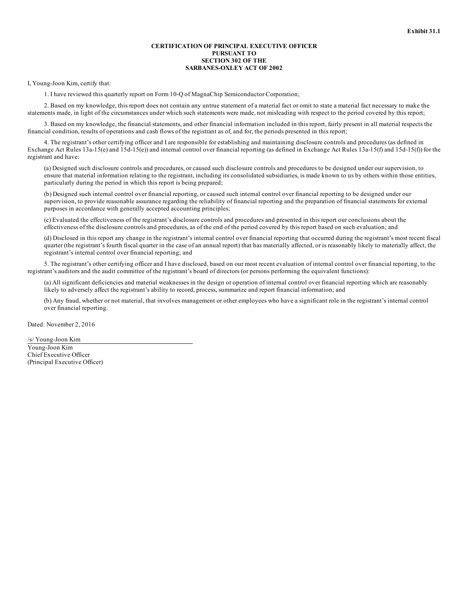#### **CERTIFICATION OF PRINCIPAL EXECUTIVE OFFICER PURSUANT TO SECTION 302 OF THE SARBANES-OXLEY ACT OF 2002**

I, Young-Joon Kim, certify that:

1. I have reviewed this quarterly report on Form 10-Q of MagnaChip Semiconductor Corporation;

2. Based on my knowledge, this report does not contain any untrue statement of a material fact or omit to state a material fact necessary to make the statements made, in light of the circumstances under which such statements were made, not misleading with respect to the period covered by this report;

3. Based on my knowledge, the financial statements, and other financial information included in this report, fairly present in all material respects the financial condition, results of operations and cash flows of the registrant as of, and for, the periods presented in this report;

4. The registrant's other certifying officer and I are responsible for establishing and maintaining disclosure controls and procedures (as defined in Exchange Act Rules 13a-15(e) and 15d-15(e)) and internal control over financial reporting (as defined in Exchange Act Rules 13a-15(f) and 15d-15(f)) for the registrant and have:

(a) Designed such disclosure controls and procedures, or caused such disclosure controls and procedures to be designed under our supervision, to ensure that material information relating to the registrant, including its consolidated subsidiaries, is made known to us by others within those entities, particularly during the period in which this report is being prepared;

(b) Designed such internal control over financial reporting, or caused such internal control over financial reporting to be designed under our supervision, to provide reasonable assurance regarding the reliability of financial reporting and the preparation of financial statements for external purposes in accordance with generally accepted accounting principles;

(c) Evaluated the effectiveness of the registrant's disclosure controls and procedures and presented in this report our conclusions about the effectiveness of the disclosure controls and procedures, as of the end of the period covered by this report based on such evaluation; and

(d) Disclosed in this report any change in the registrant's internal control over financial reporting that occurred during the registrant's most recent fiscal quarter (the registrant's fourth fiscal quarter in the case of an annual report) that has materially affected, or is reasonably likely to materially affect, the registrant's internal control over financial reporting; and

5. The registrant's other certifying officer and I have disclosed, based on our most recent evaluation of internal control over financial reporting, to the registrant's auditors and the audit committee of the registrant's board of directors (or persons performing the equivalent functions):

(a) All significant deficiencies and material weaknesses in the design or operation of internal control over financial reporting which are reasonably likely to adversely affect the registrant's ability to record, process, summarize and report financial information; and

(b) Any fraud, whether or not material, that involves management or other employees who have a significant role in the registrant's internal control over financial reporting.

Dated: November 2, 2016

/s/ Young-Joon Kim Young-Joon Kim Chief Executive Officer (Principal Executive Officer)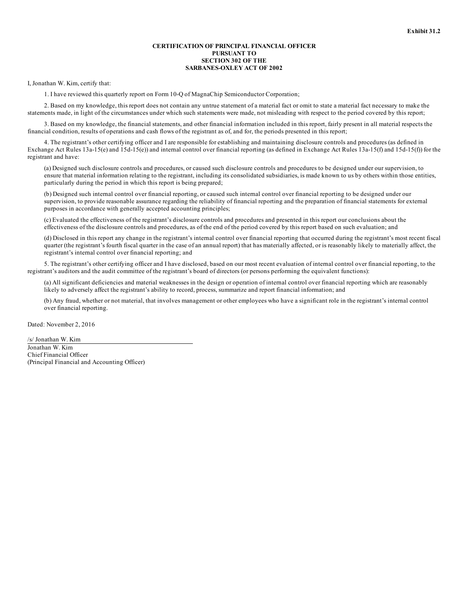#### **CERTIFICATION OF PRINCIPAL FINANCIAL OFFICER PURSUANT TO SECTION 302 OF THE SARBANES-OXLEY ACT OF 2002**

I, Jonathan W. Kim, certify that:

1. I have reviewed this quarterly report on Form 10-Q of MagnaChip Semiconductor Corporation;

2. Based on my knowledge, this report does not contain any untrue statement of a material fact or omit to state a material fact necessary to make the statements made, in light of the circumstances under which such statements were made, not misleading with respect to the period covered by this report;

3. Based on my knowledge, the financial statements, and other financial information included in this report, fairly present in all material respects the financial condition, results of operations and cash flows of the registrant as of, and for, the periods presented in this report;

4. The registrant's other certifying officer and I are responsible for establishing and maintaining disclosure controls and procedures (as defined in Exchange Act Rules 13a-15(e) and 15d-15(e)) and internal control over financial reporting (as defined in Exchange Act Rules 13a-15(f) and 15d-15(f)) for the registrant and have:

(a) Designed such disclosure controls and procedures, or caused such disclosure controls and procedures to be designed under our supervision, to ensure that material information relating to the registrant, including its consolidated subsidiaries, is made known to us by others within those entities, particularly during the period in which this report is being prepared;

(b) Designed such internal control over financial reporting, or caused such internal control over financial reporting to be designed under our supervision, to provide reasonable assurance regarding the reliability of financial reporting and the preparation of financial statements for external purposes in accordance with generally accepted accounting principles;

(c) Evaluated the effectiveness of the registrant's disclosure controls and procedures and presented in this report our conclusions about the effectiveness of the disclosure controls and procedures, as of the end of the period covered by this report based on such evaluation; and

(d) Disclosed in this report any change in the registrant's internal control over financial reporting that occurred during the registrant's most recent fiscal quarter (the registrant's fourth fiscal quarter in the case of an annual report) that has materially affected, or is reasonably likely to materially affect, the registrant's internal control over financial reporting; and

5. The registrant's other certifying officer and I have disclosed, based on our most recent evaluation of internal control over financial reporting, to the registrant's auditors and the audit committee of the registrant's board of directors (or persons performing the equivalent functions):

(a) All significant deficiencies and material weaknesses in the design or operation of internal control over financial reporting which are reasonably likely to adversely affect the registrant's ability to record, process, summarize and report financial information; and

(b) Any fraud, whether or not material, that involves management or other employees who have a significant role in the registrant's internal control over financial reporting.

Dated: November 2, 2016

/s/ Jonathan W. Kim Jonathan W. Kim Chief Financial Officer (Principal Financial and Accounting Officer)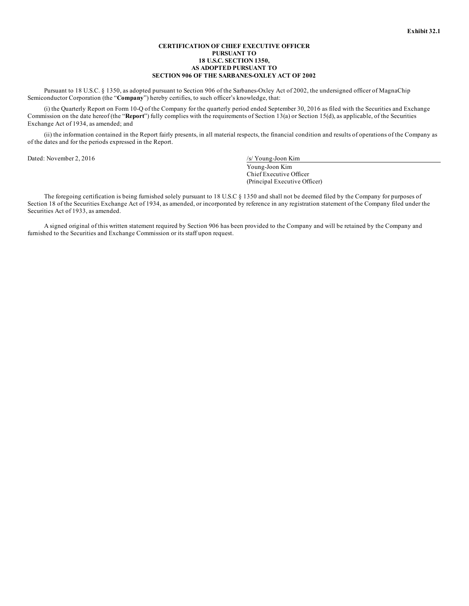#### **CERTIFICATION OF CHIEF EXECUTIVE OFFICER PURSUANT TO 18 U.S.C. SECTION 1350, AS ADOPTED PURSUANT TO SECTION 906 OF THE SARBANES-OXLEY ACT OF 2002**

Pursuant to 18 U.S.C. § 1350, as adopted pursuant to Section 906 of the Sarbanes-Oxley Act of 2002, the undersigned officer of MagnaChip Semiconductor Corporation (the "**Company**") hereby certifies, to such officer's knowledge, that:

(i) the Quarterly Report on Form 10-Q of the Company for the quarterly period ended September 30, 2016 as filed with the Securities and Exchange Commission on the date hereof (the "**Report**") fully complies with the requirements of Section 13(a) or Section 15(d), as applicable, of the Securities Exchange Act of 1934, as amended; and

(ii) the information contained in the Report fairly presents, in all material respects, the financial condition and results of operations of the Company as of the dates and for the periods expressed in the Report.

Dated: November 2, 2016 /s/ Young-Joon Kim

Young-Joon Kim Chief Executive Officer (Principal Executive Officer)

The foregoing certification is being furnished solely pursuant to 18 U.S.C § 1350 and shall not be deemed filed by the Company for purposes of Section 18 of the Securities Exchange Act of 1934, as amended, or incorporated by reference in any registration statement of the Company filed under the Securities Act of 1933, as amended.

A signed original of this written statement required by Section 906 has been provided to the Company and will be retained by the Company and furnished to the Securities and Exchange Commission or its staff upon request.